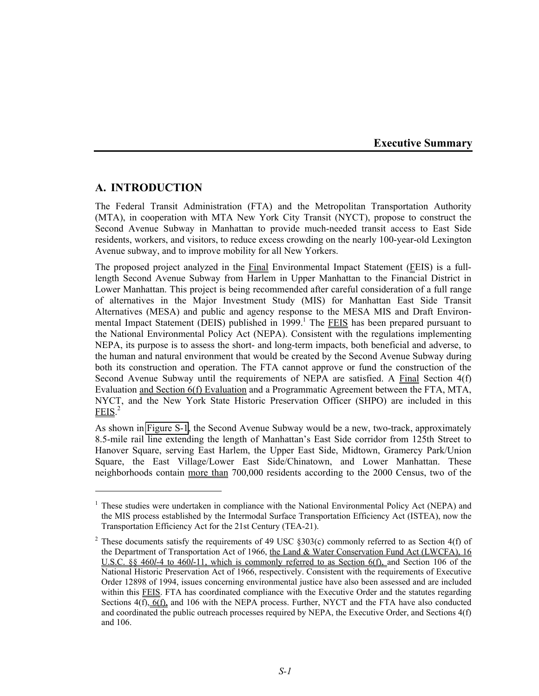**Executive Summary** 

# **A. INTRODUCTION**

1

The Federal Transit Administration (FTA) and the Metropolitan Transportation Authority (MTA), in cooperation with MTA New York City Transit (NYCT), propose to construct the Second Avenue Subway in Manhattan to provide much-needed transit access to East Side residents, workers, and visitors, to reduce excess crowding on the nearly 100-year-old Lexington Avenue subway, and to improve mobility for all New Yorkers.

The proposed project analyzed in the Final Environmental Impact Statement (FEIS) is a fulllength Second Avenue Subway from Harlem in Upper Manhattan to the Financial District in Lower Manhattan. This project is being recommended after careful consideration of a full range of alternatives in the Major Investment Study (MIS) for Manhattan East Side Transit Alternatives (MESA) and public and agency response to the MESA MIS and Draft Environmental Impact Statement (DEIS) published in 1999.<sup>1</sup> The **FEIS** has been prepared pursuant to the National Environmental Policy Act (NEPA). Consistent with the regulations implementing NEPA, its purpose is to assess the short- and long-term impacts, both beneficial and adverse, to the human and natural environment that would be created by the Second Avenue Subway during both its construction and operation. The FTA cannot approve or fund the construction of the Second Avenue Subway until the requirements of NEPA are satisfied. A Final Section 4(f) Evaluation and Section 6(f) Evaluation and a Programmatic Agreement between the FTA, MTA, NYCT, and the New York State Historic Preservation Officer (SHPO) are included in this  $FEIS.<sup>2</sup>$ 

As shown in Figure S-1, the Second Avenue Subway would be a new, two-track, approximately 8.5-mile rail line extending the length of Manhattan's East Side corridor from 125th Street to Hanover Square, serving East Harlem, the Upper East Side, Midtown, Gramercy Park/Union Square, the East Village/Lower East Side/Chinatown, and Lower Manhattan. These neighborhoods contain more than 700,000 residents according to the 2000 Census, two of the

<sup>&</sup>lt;sup>1</sup> These studies were undertaken in compliance with the National Environmental Policy Act (NEPA) and the MIS process established by the Intermodal Surface Transportation Efficiency Act (ISTEA), now the Transportation Efficiency Act for the 21st Century (TEA-21).

<sup>&</sup>lt;sup>2</sup> These documents satisfy the requirements of 49 USC  $\S 303(c)$  commonly referred to as Section 4(f) of the Department of Transportation Act of 1966, the Land & Water Conservation Fund Act (LWCFA), 16 U.S.C. §§ 460*l*-4 to 460*l*-11, which is commonly referred to as Section 6(f), and Section 106 of the National Historic Preservation Act of 1966, respectively. Consistent with the requirements of Executive Order 12898 of 1994, issues concerning environmental justice have also been assessed and are included within this FEIS. FTA has coordinated compliance with the Executive Order and the statutes regarding Sections 4(f), 6(f), and 106 with the NEPA process. Further, NYCT and the FTA have also conducted and coordinated the public outreach processes required by NEPA, the Executive Order, and Sections 4(f) and 106.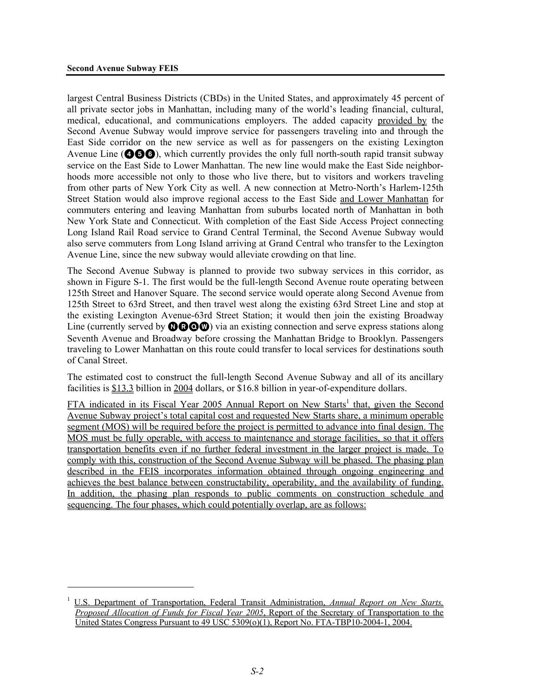<u>.</u> 1

largest Central Business Districts (CBDs) in the United States, and approximately 45 percent of all private sector jobs in Manhattan, including many of the world's leading financial, cultural, medical, educational, and communications employers. The added capacity provided by the Second Avenue Subway would improve service for passengers traveling into and through the East Side corridor on the new service as well as for passengers on the existing Lexington Avenue Line ( $\odot$  $\odot$  $\odot$ ), which currently provides the only full north-south rapid transit subway service on the East Side to Lower Manhattan. The new line would make the East Side neighborhoods more accessible not only to those who live there, but to visitors and workers traveling from other parts of New York City as well. A new connection at Metro-North's Harlem-125th Street Station would also improve regional access to the East Side and Lower Manhattan for commuters entering and leaving Manhattan from suburbs located north of Manhattan in both New York State and Connecticut. With completion of the East Side Access Project connecting Long Island Rail Road service to Grand Central Terminal, the Second Avenue Subway would also serve commuters from Long Island arriving at Grand Central who transfer to the Lexington Avenue Line, since the new subway would alleviate crowding on that line.

The Second Avenue Subway is planned to provide two subway services in this corridor, as shown in Figure S-1. The first would be the full-length Second Avenue route operating between 125th Street and Hanover Square. The second service would operate along Second Avenue from 125th Street to 63rd Street, and then travel west along the existing 63rd Street Line and stop at the existing Lexington Avenue-63rd Street Station; it would then join the existing Broadway Line (currently served by  $\mathbf{O}\mathbf{O}\mathbf{O}\mathbf{O}$ ) via an existing connection and serve express stations along Seventh Avenue and Broadway before crossing the Manhattan Bridge to Brooklyn. Passengers traveling to Lower Manhattan on this route could transfer to local services for destinations south of Canal Street.

The estimated cost to construct the full-length Second Avenue Subway and all of its ancillary facilities is \$13.3 billion in 2004 dollars, or \$16.8 billion in year-of-expenditure dollars.

FTA indicated in its Fiscal Year 2005 Annual Report on New Starts<sup>1</sup> that, given the Second Avenue Subway project's total capital cost and requested New Starts share, a minimum operable segment (MOS) will be required before the project is permitted to advance into final design. The MOS must be fully operable, with access to maintenance and storage facilities, so that it offers transportation benefits even if no further federal investment in the larger project is made. To comply with this, construction of the Second Avenue Subway will be phased. The phasing plan described in the FEIS incorporates information obtained through ongoing engineering and achieves the best balance between constructability, operability, and the availability of funding. In addition, the phasing plan responds to public comments on construction schedule and sequencing. The four phases, which could potentially overlap, are as follows:

U.S. Department of Transportation, Federal Transit Administration, *Annual Report on New Starts, Proposed Allocation of Funds for Fiscal Year 2005*, Report of the Secretary of Transportation to the United States Congress Pursuant to 49 USC 5309(o)(1), Report No. FTA-TBP10-2004-1, 2004.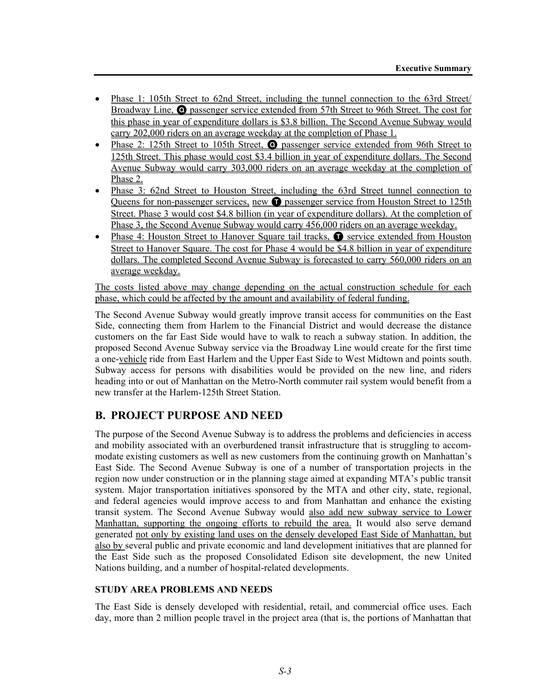- Phase 1: 105th Street to 62nd Street, including the tunnel connection to the 63rd Street/ Broadway Line, Q passenger service extended from 57th Street to 96th Street. The cost for this phase in year of expenditure dollars is \$3.8 billion. The Second Avenue Subway would carry 202,000 riders on an average weekday at the completion of Phase 1.
- Phase 2: 125th Street to 105th Street, **O** passenger service extended from 96th Street to 125th Street. This phase would cost \$3.4 billion in year of expenditure dollars. The Second Avenue Subway would carry 303,000 riders on an average weekday at the completion of Phase 2.
- Phase 3: 62nd Street to Houston Street, including the 63rd Street tunnel connection to Queens for non-passenger services, new **O** passenger service from Houston Street to 125th Street. Phase 3 would cost \$4.8 billion (in year of expenditure dollars). At the completion of Phase 3, the Second Avenue Subway would carry 456,000 riders on an average weekday.
- Phase 4: Houston Street to Hanover Square tail tracks, **O** service extended from Houston Street to Hanover Square. The cost for Phase 4 would be \$4.8 billion in year of expenditure dollars. The completed Second Avenue Subway is forecasted to carry 560,000 riders on an average weekday.

The costs listed above may change depending on the actual construction schedule for each phase, which could be affected by the amount and availability of federal funding.

The Second Avenue Subway would greatly improve transit access for communities on the East Side, connecting them from Harlem to the Financial District and would decrease the distance customers on the far East Side would have to walk to reach a subway station. In addition, the proposed Second Avenue Subway service via the Broadway Line would create for the first time a one-vehicle ride from East Harlem and the Upper East Side to West Midtown and points south. Subway access for persons with disabilities would be provided on the new line, and riders heading into or out of Manhattan on the Metro-North commuter rail system would benefit from a new transfer at the Harlem-125th Street Station.

# **B. PROJECT PURPOSE AND NEED**

The purpose of the Second Avenue Subway is to address the problems and deficiencies in access and mobility associated with an overburdened transit infrastructure that is struggling to accommodate existing customers as well as new customers from the continuing growth on Manhattan's East Side. The Second Avenue Subway is one of a number of transportation projects in the region now under construction or in the planning stage aimed at expanding MTA's public transit system. Major transportation initiatives sponsored by the MTA and other city, state, regional, and federal agencies would improve access to and from Manhattan and enhance the existing transit system. The Second Avenue Subway would also add new subway service to Lower Manhattan, supporting the ongoing efforts to rebuild the area. It would also serve demand generated not only by existing land uses on the densely developed East Side of Manhattan, but also by several public and private economic and land development initiatives that are planned for the East Side such as the proposed Consolidated Edison site development, the new United Nations building, and a number of hospital-related developments.

#### **STUDY AREA PROBLEMS AND NEEDS**

The East Side is densely developed with residential, retail, and commercial office uses. Each day, more than 2 million people travel in the project area (that is, the portions of Manhattan that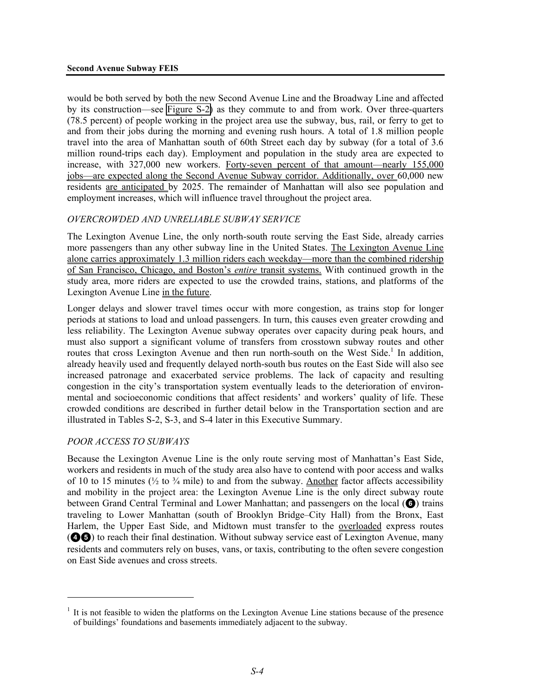would be both served by both the new Second Avenue Line and the Broadway Line and affected by its construction—see Figure S-2) as they commute to and from work. Over three-quarters (78.5 percent) of people working in the project area use the subway, bus, rail, or ferry to get to and from their jobs during the morning and evening rush hours. A total of 1.8 million people travel into the area of Manhattan south of 60th Street each day by subway (for a total of 3.6 million round-trips each day). Employment and population in the study area are expected to increase, with 327,000 new workers. Forty-seven percent of that amount—nearly 155,000 jobs—are expected along the Second Avenue Subway corridor. Additionally, over 60,000 new residents are anticipated by 2025. The remainder of Manhattan will also see population and employment increases, which will influence travel throughout the project area.

# *OVERCROWDED AND UNRELIABLE SUBWAY SERVICE*

The Lexington Avenue Line, the only north-south route serving the East Side, already carries more passengers than any other subway line in the United States. The Lexington Avenue Line alone carries approximately 1.3 million riders each weekday—more than the combined ridership of San Francisco, Chicago, and Boston's *entire* transit systems. With continued growth in the study area, more riders are expected to use the crowded trains, stations, and platforms of the Lexington Avenue Line in the future.

Longer delays and slower travel times occur with more congestion, as trains stop for longer periods at stations to load and unload passengers. In turn, this causes even greater crowding and less reliability. The Lexington Avenue subway operates over capacity during peak hours, and must also support a significant volume of transfers from crosstown subway routes and other routes that cross Lexington Avenue and then run north-south on the West Side.<sup>1</sup> In addition, already heavily used and frequently delayed north-south bus routes on the East Side will also see increased patronage and exacerbated service problems. The lack of capacity and resulting congestion in the city's transportation system eventually leads to the deterioration of environmental and socioeconomic conditions that affect residents' and workers' quality of life. These crowded conditions are described in further detail below in the Transportation section and are illustrated in Tables S-2, S-3, and S-4 later in this Executive Summary.

#### *POOR ACCESS TO SUBWAYS*

<u>.</u>

Because the Lexington Avenue Line is the only route serving most of Manhattan's East Side, workers and residents in much of the study area also have to contend with poor access and walks of 10 to 15 minutes ( $\frac{1}{2}$  to  $\frac{3}{4}$  mile) to and from the subway. Another factor affects accessibility and mobility in the project area: the Lexington Avenue Line is the only direct subway route between Grand Central Terminal and Lower Manhattan; and passengers on the local ( $\odot$ ) trains traveling to Lower Manhattan (south of Brooklyn Bridge–City Hall) from the Bronx, East Harlem, the Upper East Side, and Midtown must transfer to the overloaded express routes (45) to reach their final destination. Without subway service east of Lexington Avenue, many residents and commuters rely on buses, vans, or taxis, contributing to the often severe congestion on East Side avenues and cross streets.

 $<sup>1</sup>$  It is not feasible to widen the platforms on the Lexington Avenue Line stations because of the presence</sup> of buildings' foundations and basements immediately adjacent to the subway.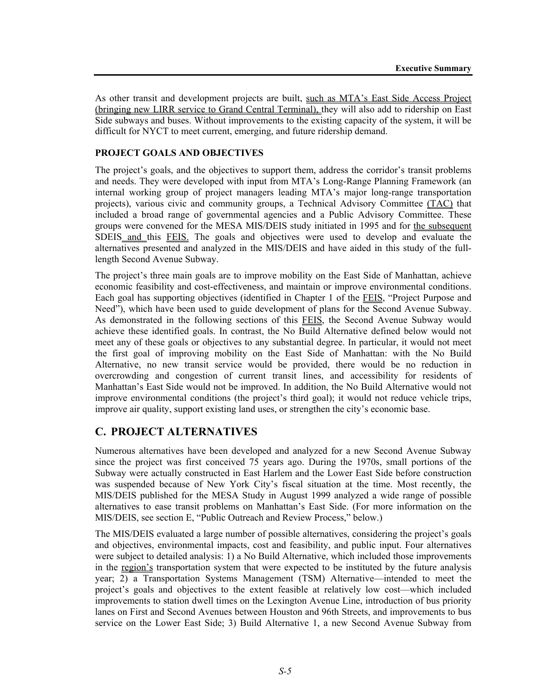As other transit and development projects are built, such as MTA's East Side Access Project (bringing new LIRR service to Grand Central Terminal), they will also add to ridership on East Side subways and buses. Without improvements to the existing capacity of the system, it will be difficult for NYCT to meet current, emerging, and future ridership demand.

### **PROJECT GOALS AND OBJECTIVES**

The project's goals, and the objectives to support them, address the corridor's transit problems and needs. They were developed with input from MTA's Long-Range Planning Framework (an internal working group of project managers leading MTA's major long-range transportation projects), various civic and community groups, a Technical Advisory Committee (TAC) that included a broad range of governmental agencies and a Public Advisory Committee. These groups were convened for the MESA MIS/DEIS study initiated in 1995 and for the subsequent SDEIS and this FEIS. The goals and objectives were used to develop and evaluate the alternatives presented and analyzed in the MIS/DEIS and have aided in this study of the fulllength Second Avenue Subway.

The project's three main goals are to improve mobility on the East Side of Manhattan, achieve economic feasibility and cost-effectiveness, and maintain or improve environmental conditions. Each goal has supporting objectives (identified in Chapter 1 of the FEIS, "Project Purpose and Need"), which have been used to guide development of plans for the Second Avenue Subway. As demonstrated in the following sections of this FEIS, the Second Avenue Subway would achieve these identified goals. In contrast, the No Build Alternative defined below would not meet any of these goals or objectives to any substantial degree. In particular, it would not meet the first goal of improving mobility on the East Side of Manhattan: with the No Build Alternative, no new transit service would be provided, there would be no reduction in overcrowding and congestion of current transit lines, and accessibility for residents of Manhattan's East Side would not be improved. In addition, the No Build Alternative would not improve environmental conditions (the project's third goal); it would not reduce vehicle trips, improve air quality, support existing land uses, or strengthen the city's economic base.

# **C. PROJECT ALTERNATIVES**

Numerous alternatives have been developed and analyzed for a new Second Avenue Subway since the project was first conceived 75 years ago. During the 1970s, small portions of the Subway were actually constructed in East Harlem and the Lower East Side before construction was suspended because of New York City's fiscal situation at the time. Most recently, the MIS/DEIS published for the MESA Study in August 1999 analyzed a wide range of possible alternatives to ease transit problems on Manhattan's East Side. (For more information on the MIS/DEIS, see section E, "Public Outreach and Review Process," below.)

The MIS/DEIS evaluated a large number of possible alternatives, considering the project's goals and objectives, environmental impacts, cost and feasibility, and public input. Four alternatives were subject to detailed analysis: 1) a No Build Alternative, which included those improvements in the region's transportation system that were expected to be instituted by the future analysis year; 2) a Transportation Systems Management (TSM) Alternative—intended to meet the project's goals and objectives to the extent feasible at relatively low cost—which included improvements to station dwell times on the Lexington Avenue Line, introduction of bus priority lanes on First and Second Avenues between Houston and 96th Streets, and improvements to bus service on the Lower East Side; 3) Build Alternative 1, a new Second Avenue Subway from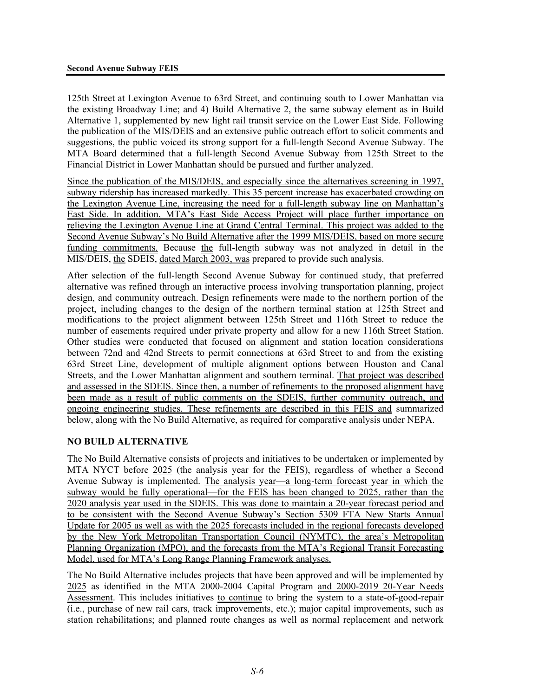125th Street at Lexington Avenue to 63rd Street, and continuing south to Lower Manhattan via the existing Broadway Line; and 4) Build Alternative 2, the same subway element as in Build Alternative 1, supplemented by new light rail transit service on the Lower East Side. Following the publication of the MIS/DEIS and an extensive public outreach effort to solicit comments and suggestions, the public voiced its strong support for a full-length Second Avenue Subway. The MTA Board determined that a full-length Second Avenue Subway from 125th Street to the Financial District in Lower Manhattan should be pursued and further analyzed.

Since the publication of the MIS/DEIS, and especially since the alternatives screening in 1997, subway ridership has increased markedly. This 35 percent increase has exacerbated crowding on the Lexington Avenue Line, increasing the need for a full-length subway line on Manhattan's East Side. In addition, MTA's East Side Access Project will place further importance on relieving the Lexington Avenue Line at Grand Central Terminal. This project was added to the Second Avenue Subway's No Build Alternative after the 1999 MIS/DEIS, based on more secure funding commitments. Because the full-length subway was not analyzed in detail in the MIS/DEIS, the SDEIS, dated March 2003, was prepared to provide such analysis.

After selection of the full-length Second Avenue Subway for continued study, that preferred alternative was refined through an interactive process involving transportation planning, project design, and community outreach. Design refinements were made to the northern portion of the project, including changes to the design of the northern terminal station at 125th Street and modifications to the project alignment between 125th Street and 116th Street to reduce the number of easements required under private property and allow for a new 116th Street Station. Other studies were conducted that focused on alignment and station location considerations between 72nd and 42nd Streets to permit connections at 63rd Street to and from the existing 63rd Street Line, development of multiple alignment options between Houston and Canal Streets, and the Lower Manhattan alignment and southern terminal. That project was described and assessed in the SDEIS. Since then, a number of refinements to the proposed alignment have been made as a result of public comments on the SDEIS, further community outreach, and ongoing engineering studies. These refinements are described in this FEIS and summarized below, along with the No Build Alternative, as required for comparative analysis under NEPA.

# **NO BUILD ALTERNATIVE**

The No Build Alternative consists of projects and initiatives to be undertaken or implemented by MTA NYCT before 2025 (the analysis year for the FEIS), regardless of whether a Second Avenue Subway is implemented. The analysis year—a long-term forecast year in which the subway would be fully operational—for the FEIS has been changed to 2025, rather than the 2020 analysis year used in the SDEIS. This was done to maintain a 20-year forecast period and to be consistent with the Second Avenue Subway's Section 5309 FTA New Starts Annual Update for 2005 as well as with the 2025 forecasts included in the regional forecasts developed by the New York Metropolitan Transportation Council (NYMTC), the area's Metropolitan Planning Organization (MPO), and the forecasts from the MTA's Regional Transit Forecasting Model, used for MTA's Long Range Planning Framework analyses.

The No Build Alternative includes projects that have been approved and will be implemented by 2025 as identified in the MTA 2000-2004 Capital Program and 2000-2019 20-Year Needs Assessment. This includes initiatives to continue to bring the system to a state-of-good-repair (i.e., purchase of new rail cars, track improvements, etc.); major capital improvements, such as station rehabilitations; and planned route changes as well as normal replacement and network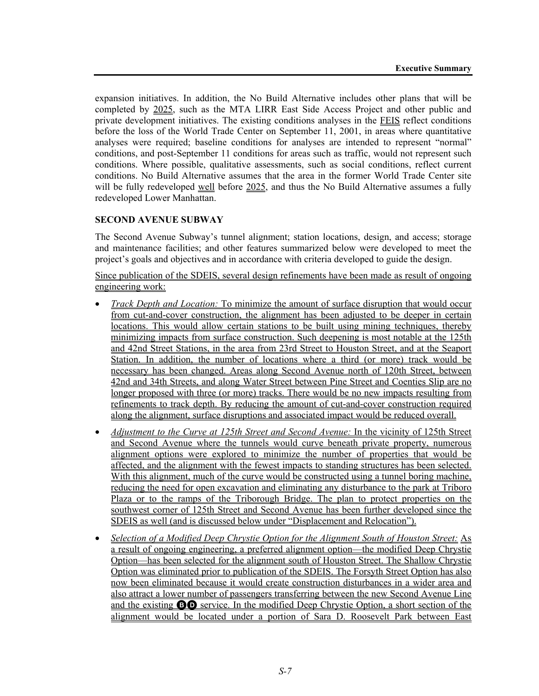expansion initiatives. In addition, the No Build Alternative includes other plans that will be completed by 2025, such as the MTA LIRR East Side Access Project and other public and private development initiatives. The existing conditions analyses in the FEIS reflect conditions before the loss of the World Trade Center on September 11, 2001, in areas where quantitative analyses were required; baseline conditions for analyses are intended to represent "normal" conditions, and post-September 11 conditions for areas such as traffic, would not represent such conditions. Where possible, qualitative assessments, such as social conditions, reflect current conditions. No Build Alternative assumes that the area in the former World Trade Center site will be fully redeveloped <u>well</u> before 2025, and thus the No Build Alternative assumes a fully redeveloped Lower Manhattan.

# **SECOND AVENUE SUBWAY**

The Second Avenue Subway's tunnel alignment; station locations, design, and access; storage and maintenance facilities; and other features summarized below were developed to meet the project's goals and objectives and in accordance with criteria developed to guide the design.

Since publication of the SDEIS, several design refinements have been made as result of ongoing engineering work:

- *Track Depth and Location:* To minimize the amount of surface disruption that would occur from cut-and-cover construction, the alignment has been adjusted to be deeper in certain locations. This would allow certain stations to be built using mining techniques, thereby minimizing impacts from surface construction. Such deepening is most notable at the 125th and 42nd Street Stations, in the area from 23rd Street to Houston Street, and at the Seaport Station. In addition, the number of locations where a third (or more) track would be necessary has been changed. Areas along Second Avenue north of 120th Street, between 42nd and 34th Streets, and along Water Street between Pine Street and Coenties Slip are no longer proposed with three (or more) tracks. There would be no new impacts resulting from refinements to track depth. By reducing the amount of cut-and-cover construction required along the alignment, surface disruptions and associated impact would be reduced overall.
- *Adjustment to the Curve at 125th Street and Second Avenue: In the vicinity of 125th Street* and Second Avenue where the tunnels would curve beneath private property, numerous alignment options were explored to minimize the number of properties that would be affected, and the alignment with the fewest impacts to standing structures has been selected. With this alignment, much of the curve would be constructed using a tunnel boring machine, reducing the need for open excavation and eliminating any disturbance to the park at Triboro Plaza or to the ramps of the Triborough Bridge. The plan to protect properties on the southwest corner of 125th Street and Second Avenue has been further developed since the SDEIS as well (and is discussed below under "Displacement and Relocation").
- *Selection of a Modified Deep Chrystie Option for the Alignment South of Houston Street:* As a result of ongoing engineering, a preferred alignment option—the modified Deep Chrystie Option—has been selected for the alignment south of Houston Street. The Shallow Chrystie Option was eliminated prior to publication of the SDEIS. The Forsyth Street Option has also now been eliminated because it would create construction disturbances in a wider area and also attract a lower number of passengers transferring between the new Second Avenue Line and the existing BD service. In the modified Deep Chrystie Option, a short section of the alignment would be located under a portion of Sara D. Roosevelt Park between East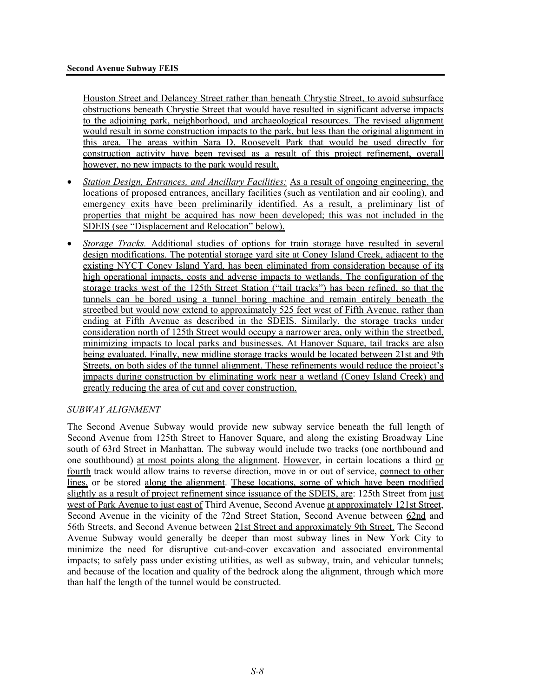Houston Street and Delancey Street rather than beneath Chrystie Street, to avoid subsurface obstructions beneath Chrystie Street that would have resulted in significant adverse impacts to the adjoining park, neighborhood, and archaeological resources. The revised alignment would result in some construction impacts to the park, but less than the original alignment in this area. The areas within Sara D. Roosevelt Park that would be used directly for construction activity have been revised as a result of this project refinement, overall however, no new impacts to the park would result.

- *Station Design, Entrances, and Ancillary Facilities:* As a result of ongoing engineering, the locations of proposed entrances, ancillary facilities (such as ventilation and air cooling), and emergency exits have been preliminarily identified. As a result, a preliminary list of properties that might be acquired has now been developed; this was not included in the SDEIS (see "Displacement and Relocation" below).
- *Storage Tracks.* Additional studies of options for train storage have resulted in several design modifications. The potential storage yard site at Coney Island Creek, adjacent to the existing NYCT Coney Island Yard, has been eliminated from consideration because of its high operational impacts, costs and adverse impacts to wetlands. The configuration of the storage tracks west of the 125th Street Station ("tail tracks") has been refined, so that the tunnels can be bored using a tunnel boring machine and remain entirely beneath the streetbed but would now extend to approximately 525 feet west of Fifth Avenue, rather than ending at Fifth Avenue as described in the SDEIS. Similarly, the storage tracks under consideration north of 125th Street would occupy a narrower area, only within the streetbed, minimizing impacts to local parks and businesses. At Hanover Square, tail tracks are also being evaluated. Finally, new midline storage tracks would be located between 21st and 9th Streets, on both sides of the tunnel alignment. These refinements would reduce the project's impacts during construction by eliminating work near a wetland (Coney Island Creek) and greatly reducing the area of cut and cover construction.

#### *SUBWAY ALIGNMENT*

The Second Avenue Subway would provide new subway service beneath the full length of Second Avenue from 125th Street to Hanover Square, and along the existing Broadway Line south of 63rd Street in Manhattan. The subway would include two tracks (one northbound and one southbound) at most points along the alignment. However, in certain locations a third or fourth track would allow trains to reverse direction, move in or out of service, connect to other lines, or be stored along the alignment. These locations, some of which have been modified slightly as a result of project refinement since issuance of the SDEIS, are: 125th Street from just west of Park Avenue to just east of Third Avenue, Second Avenue at approximately 121st Street, Second Avenue in the vicinity of the 72nd Street Station, Second Avenue between 62nd and 56th Streets, and Second Avenue between 21st Street and approximately 9th Street. The Second Avenue Subway would generally be deeper than most subway lines in New York City to minimize the need for disruptive cut-and-cover excavation and associated environmental impacts; to safely pass under existing utilities, as well as subway, train, and vehicular tunnels; and because of the location and quality of the bedrock along the alignment, through which more than half the length of the tunnel would be constructed.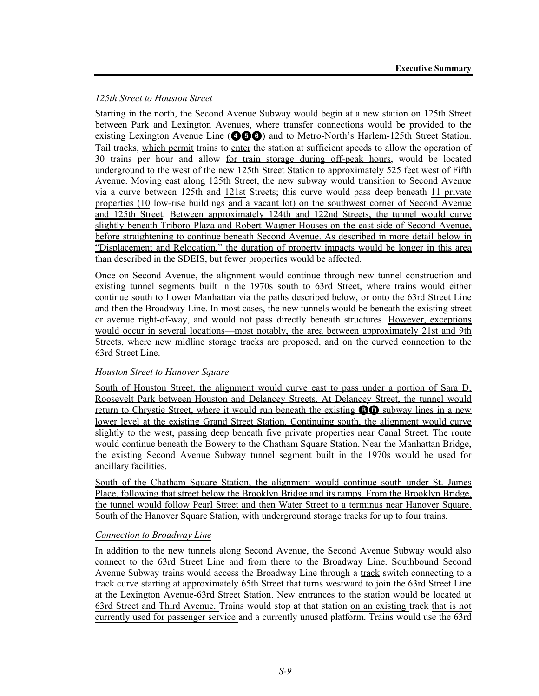# *125th Street to Houston Street*

Starting in the north, the Second Avenue Subway would begin at a new station on 125th Street between Park and Lexington Avenues, where transfer connections would be provided to the existing Lexington Avenue Line (**466**) and to Metro-North's Harlem-125th Street Station. Tail tracks, which permit trains to enter the station at sufficient speeds to allow the operation of 30 trains per hour and allow for train storage during off-peak hours, would be located underground to the west of the new 125th Street Station to approximately 525 feet west of Fifth Avenue. Moving east along 125th Street, the new subway would transition to Second Avenue via a curve between 125th and 121st Streets; this curve would pass deep beneath 11 private properties (10 low-rise buildings and a vacant lot) on the southwest corner of Second Avenue and 125th Street. Between approximately 124th and 122nd Streets, the tunnel would curve slightly beneath Triboro Plaza and Robert Wagner Houses on the east side of Second Avenue, before straightening to continue beneath Second Avenue. As described in more detail below in "Displacement and Relocation," the duration of property impacts would be longer in this area than described in the SDEIS, but fewer properties would be affected.

Once on Second Avenue, the alignment would continue through new tunnel construction and existing tunnel segments built in the 1970s south to 63rd Street, where trains would either continue south to Lower Manhattan via the paths described below, or onto the 63rd Street Line and then the Broadway Line. In most cases, the new tunnels would be beneath the existing street or avenue right-of-way, and would not pass directly beneath structures. However, exceptions would occur in several locations—most notably, the area between approximately 21st and 9th Streets, where new midline storage tracks are proposed, and on the curved connection to the 63rd Street Line.

# *Houston Street to Hanover Square*

South of Houston Street, the alignment would curve east to pass under a portion of Sara D. Roosevelt Park between Houston and Delancey Streets. At Delancey Street, the tunnel would return to Chrystie Street, where it would run beneath the existing **BO** subway lines in a new lower level at the existing Grand Street Station. Continuing south, the alignment would curve slightly to the west, passing deep beneath five private properties near Canal Street. The route would continue beneath the Bowery to the Chatham Square Station. Near the Manhattan Bridge, the existing Second Avenue Subway tunnel segment built in the 1970s would be used for ancillary facilities.

South of the Chatham Square Station, the alignment would continue south under St. James Place, following that street below the Brooklyn Bridge and its ramps. From the Brooklyn Bridge, the tunnel would follow Pearl Street and then Water Street to a terminus near Hanover Square. South of the Hanover Square Station, with underground storage tracks for up to four trains.

#### *Connection to Broadway Line*

In addition to the new tunnels along Second Avenue, the Second Avenue Subway would also connect to the 63rd Street Line and from there to the Broadway Line. Southbound Second Avenue Subway trains would access the Broadway Line through a track switch connecting to a track curve starting at approximately 65th Street that turns westward to join the 63rd Street Line at the Lexington Avenue-63rd Street Station. New entrances to the station would be located at 63rd Street and Third Avenue. Trains would stop at that station on an existing track that is not currently used for passenger service and a currently unused platform. Trains would use the 63rd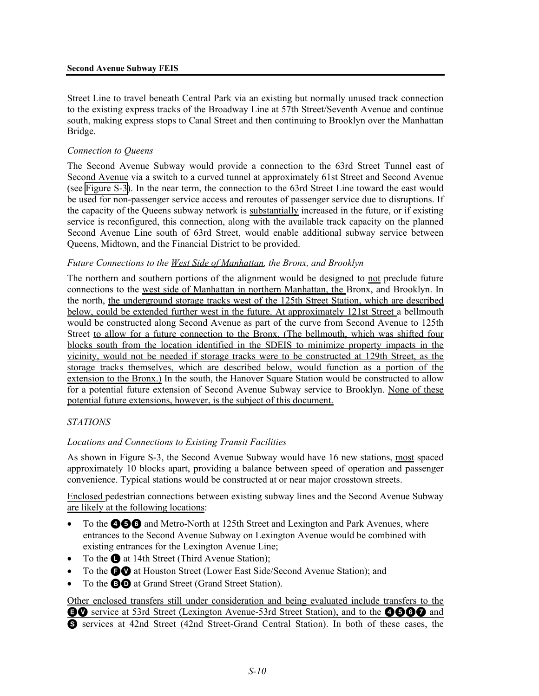Street Line to travel beneath Central Park via an existing but normally unused track connection to the existing express tracks of the Broadway Line at 57th Street/Seventh Avenue and continue south, making express stops to Canal Street and then continuing to Brooklyn over the Manhattan Bridge.

#### *Connection to Queens*

The Second Avenue Subway would provide a connection to the 63rd Street Tunnel east of Second Avenue via a switch to a curved tunnel at approximately 61st Street and Second Avenue (see Figure S-3). In the near term, the connection to the 63rd Street Line toward the east would be used for non-passenger service access and reroutes of passenger service due to disruptions. If the capacity of the Queens subway network is substantially increased in the future, or if existing service is reconfigured, this connection, along with the available track capacity on the planned Second Avenue Line south of 63rd Street, would enable additional subway service between Queens, Midtown, and the Financial District to be provided.

#### *Future Connections to the West Side of Manhattan, the Bronx, and Brooklyn*

The northern and southern portions of the alignment would be designed to not preclude future connections to the west side of Manhattan in northern Manhattan, the Bronx, and Brooklyn. In the north, the underground storage tracks west of the 125th Street Station, which are described below, could be extended further west in the future. At approximately 121st Street a bellmouth would be constructed along Second Avenue as part of the curve from Second Avenue to 125th Street to allow for a future connection to the Bronx. (The bellmouth, which was shifted four blocks south from the location identified in the SDEIS to minimize property impacts in the vicinity, would not be needed if storage tracks were to be constructed at 129th Street, as the storage tracks themselves, which are described below, would function as a portion of the extension to the Bronx.) In the south, the Hanover Square Station would be constructed to allow for a potential future extension of Second Avenue Subway service to Brooklyn. None of these potential future extensions, however, is the subject of this document.

#### *STATIONS*

# *Locations and Connections to Existing Transit Facilities*

As shown in Figure S-3, the Second Avenue Subway would have 16 new stations, most spaced approximately 10 blocks apart, providing a balance between speed of operation and passenger convenience. Typical stations would be constructed at or near major crosstown streets.

Enclosed pedestrian connections between existing subway lines and the Second Avenue Subway are likely at the following locations:

- To the **466** and Metro-North at 125th Street and Lexington and Park Avenues, where entrances to the Second Avenue Subway on Lexington Avenue would be combined with existing entrances for the Lexington Avenue Line;
- To the  $\bullet$  at 14th Street (Third Avenue Station);
- To the **OO** at Houston Street (Lower East Side/Second Avenue Station); and
- To the **BD** at Grand Street (Grand Street Station).

Other enclosed transfers still under consideration and being evaluated include transfers to the **EQ** service at 53rd Street (Lexington Avenue-53rd Street Station), and to the **4660** and S services at 42nd Street (42nd Street-Grand Central Station). In both of these cases, the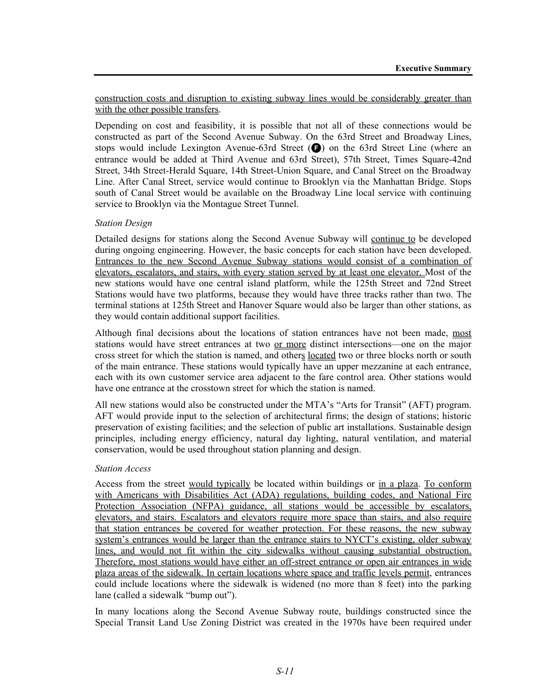construction costs and disruption to existing subway lines would be considerably greater than with the other possible transfers.

Depending on cost and feasibility, it is possible that not all of these connections would be constructed as part of the Second Avenue Subway. On the 63rd Street and Broadway Lines, stops would include Lexington Avenue-63rd Street  $\left( \bigodot \right)$  on the 63rd Street Line (where an entrance would be added at Third Avenue and 63rd Street), 57th Street, Times Square-42nd Street, 34th Street-Herald Square, 14th Street-Union Square, and Canal Street on the Broadway Line. After Canal Street, service would continue to Brooklyn via the Manhattan Bridge. Stops south of Canal Street would be available on the Broadway Line local service with continuing service to Brooklyn via the Montague Street Tunnel.

#### *Station Design*

Detailed designs for stations along the Second Avenue Subway will continue to be developed during ongoing engineering. However, the basic concepts for each station have been developed. Entrances to the new Second Avenue Subway stations would consist of a combination of elevators, escalators, and stairs, with every station served by at least one elevator. Most of the new stations would have one central island platform, while the 125th Street and 72nd Street Stations would have two platforms, because they would have three tracks rather than two. The terminal stations at 125th Street and Hanover Square would also be larger than other stations, as they would contain additional support facilities.

Although final decisions about the locations of station entrances have not been made, most stations would have street entrances at two or more distinct intersections—one on the major cross street for which the station is named, and others located two or three blocks north or south of the main entrance. These stations would typically have an upper mezzanine at each entrance, each with its own customer service area adjacent to the fare control area. Other stations would have one entrance at the crosstown street for which the station is named.

All new stations would also be constructed under the MTA's "Arts for Transit" (AFT) program. AFT would provide input to the selection of architectural firms; the design of stations; historic preservation of existing facilities; and the selection of public art installations. Sustainable design principles, including energy efficiency, natural day lighting, natural ventilation, and material conservation, would be used throughout station planning and design.

#### *Station Access*

Access from the street would typically be located within buildings or in a plaza. To conform with Americans with Disabilities Act (ADA) regulations, building codes, and National Fire Protection Association (NFPA) guidance, all stations would be accessible by escalators, elevators, and stairs. Escalators and elevators require more space than stairs, and also require that station entrances be covered for weather protection. For these reasons, the new subway system's entrances would be larger than the entrance stairs to NYCT's existing, older subway lines, and would not fit within the city sidewalks without causing substantial obstruction. Therefore, most stations would have either an off-street entrance or open air entrances in wide plaza areas of the sidewalk. In certain locations where space and traffic levels permit, entrances could include locations where the sidewalk is widened (no more than 8 feet) into the parking lane (called a sidewalk "bump out").

In many locations along the Second Avenue Subway route, buildings constructed since the Special Transit Land Use Zoning District was created in the 1970s have been required under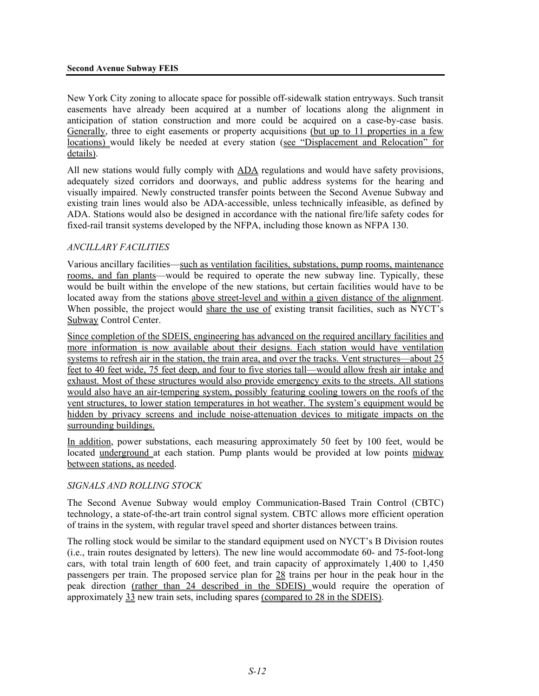#### **Second Avenue Subway FEIS**

New York City zoning to allocate space for possible off-sidewalk station entryways. Such transit easements have already been acquired at a number of locations along the alignment in anticipation of station construction and more could be acquired on a case-by-case basis. Generally, three to eight easements or property acquisitions (but up to 11 properties in a few locations) would likely be needed at every station (see "Displacement and Relocation" for details).

All new stations would fully comply with ADA regulations and would have safety provisions, adequately sized corridors and doorways, and public address systems for the hearing and visually impaired. Newly constructed transfer points between the Second Avenue Subway and existing train lines would also be ADA-accessible, unless technically infeasible, as defined by ADA. Stations would also be designed in accordance with the national fire/life safety codes for fixed-rail transit systems developed by the NFPA, including those known as NFPA 130.

#### *ANCILLARY FACILITIES*

Various ancillary facilities—such as ventilation facilities, substations, pump rooms, maintenance rooms, and fan plants—would be required to operate the new subway line. Typically, these would be built within the envelope of the new stations, but certain facilities would have to be located away from the stations above street-level and within a given distance of the alignment. When possible, the project would share the use of existing transit facilities, such as NYCT's Subway Control Center.

Since completion of the SDEIS, engineering has advanced on the required ancillary facilities and more information is now available about their designs. Each station would have ventilation systems to refresh air in the station, the train area, and over the tracks. Vent structures—about 25 feet to 40 feet wide, 75 feet deep, and four to five stories tall—would allow fresh air intake and exhaust. Most of these structures would also provide emergency exits to the streets. All stations would also have an air-tempering system, possibly featuring cooling towers on the roofs of the vent structures, to lower station temperatures in hot weather. The system's equipment would be hidden by privacy screens and include noise-attenuation devices to mitigate impacts on the surrounding buildings.

In addition, power substations, each measuring approximately 50 feet by 100 feet, would be located underground at each station. Pump plants would be provided at low points midway between stations, as needed.

# *SIGNALS AND ROLLING STOCK*

The Second Avenue Subway would employ Communication-Based Train Control (CBTC) technology, a state-of-the-art train control signal system. CBTC allows more efficient operation of trains in the system, with regular travel speed and shorter distances between trains.

The rolling stock would be similar to the standard equipment used on NYCT's B Division routes (i.e., train routes designated by letters). The new line would accommodate 60- and 75-foot-long cars, with total train length of 600 feet, and train capacity of approximately 1,400 to 1,450 passengers per train. The proposed service plan for 28 trains per hour in the peak hour in the peak direction (rather than 24 described in the SDEIS) would require the operation of approximately 33 new train sets, including spares (compared to 28 in the SDEIS).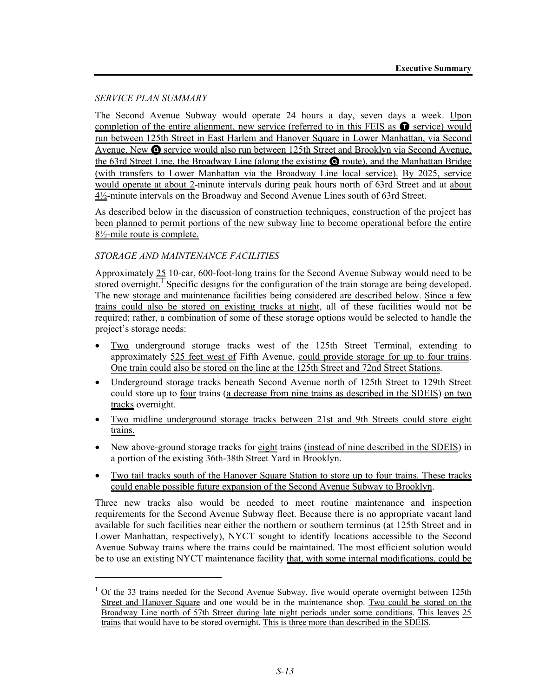### *SERVICE PLAN SUMMARY*

l

The Second Avenue Subway would operate 24 hours a day, seven days a week. Upon completion of the entire alignment, new service (referred to in this FEIS as  $\bullet$  service) would run between 125th Street in East Harlem and Hanover Square in Lower Manhattan, via Second Avenue. New Q service would also run between 125th Street and Brooklyn via Second Avenue, the 63rd Street Line, the Broadway Line (along the existing Q route), and the Manhattan Bridge (with transfers to Lower Manhattan via the Broadway Line local service). By 2025, service would operate at about 2-minute intervals during peak hours north of 63rd Street and at about 4½-minute intervals on the Broadway and Second Avenue Lines south of 63rd Street.

As described below in the discussion of construction techniques, construction of the project has been planned to permit portions of the new subway line to become operational before the entire 8½-mile route is complete.

# *STORAGE AND MAINTENANCE FACILITIES*

Approximately 25 10-car, 600-foot-long trains for the Second Avenue Subway would need to be stored overnight.<sup>1</sup> Specific designs for the configuration of the train storage are being developed. The new storage and maintenance facilities being considered are described below. Since a few trains could also be stored on existing tracks at night, all of these facilities would not be required; rather, a combination of some of these storage options would be selected to handle the project's storage needs:

- Two underground storage tracks west of the 125th Street Terminal, extending to approximately 525 feet west of Fifth Avenue, could provide storage for up to four trains. One train could also be stored on the line at the 125th Street and 72nd Street Stations.
- Underground storage tracks beneath Second Avenue north of 125th Street to 129th Street could store up to four trains (a decrease from nine trains as described in the SDEIS) on two tracks overnight.
- Two midline underground storage tracks between 21st and 9th Streets could store eight trains.
- New above-ground storage tracks for eight trains (instead of nine described in the SDEIS) in a portion of the existing 36th-38th Street Yard in Brooklyn.
- Two tail tracks south of the Hanover Square Station to store up to four trains. These tracks could enable possible future expansion of the Second Avenue Subway to Brooklyn.

Three new tracks also would be needed to meet routine maintenance and inspection requirements for the Second Avenue Subway fleet. Because there is no appropriate vacant land available for such facilities near either the northern or southern terminus (at 125th Street and in Lower Manhattan, respectively), NYCT sought to identify locations accessible to the Second Avenue Subway trains where the trains could be maintained. The most efficient solution would be to use an existing NYCT maintenance facility that, with some internal modifications, could be

<sup>&</sup>lt;sup>1</sup> Of the  $33$  trains needed for the Second Avenue Subway, five would operate overnight between 125th Street and Hanover Square and one would be in the maintenance shop. Two could be stored on the Broadway Line north of 57th Street during late night periods under some conditions. This leaves 25 trains that would have to be stored overnight. This is three more than described in the SDEIS.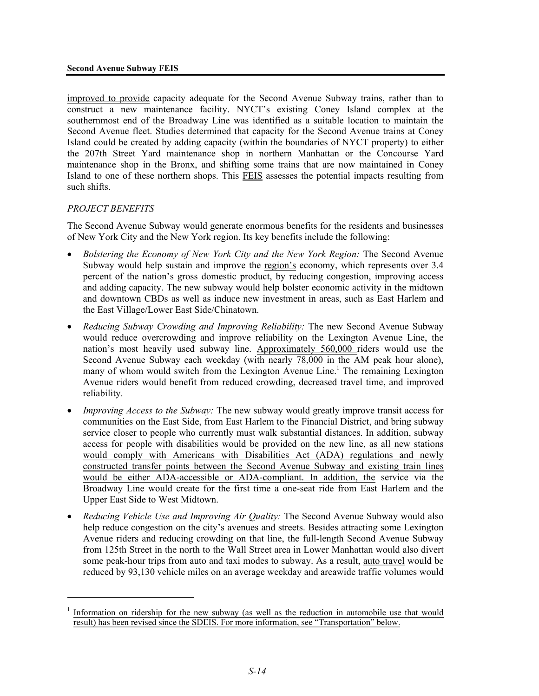improved to provide capacity adequate for the Second Avenue Subway trains, rather than to construct a new maintenance facility. NYCT's existing Coney Island complex at the southernmost end of the Broadway Line was identified as a suitable location to maintain the Second Avenue fleet. Studies determined that capacity for the Second Avenue trains at Coney Island could be created by adding capacity (within the boundaries of NYCT property) to either the 207th Street Yard maintenance shop in northern Manhattan or the Concourse Yard maintenance shop in the Bronx, and shifting some trains that are now maintained in Coney Island to one of these northern shops. This FEIS assesses the potential impacts resulting from such shifts.

# *PROJECT BENEFITS*

<u>.</u>

The Second Avenue Subway would generate enormous benefits for the residents and businesses of New York City and the New York region. Its key benefits include the following:

- *Bolstering the Economy of New York City and the New York Region:* The Second Avenue Subway would help sustain and improve the region's economy, which represents over 3.4 percent of the nation's gross domestic product, by reducing congestion, improving access and adding capacity. The new subway would help bolster economic activity in the midtown and downtown CBDs as well as induce new investment in areas, such as East Harlem and the East Village/Lower East Side/Chinatown.
- *Reducing Subway Crowding and Improving Reliability:* The new Second Avenue Subway would reduce overcrowding and improve reliability on the Lexington Avenue Line, the nation's most heavily used subway line. Approximately 560,000 riders would use the Second Avenue Subway each weekday (with nearly 78,000 in the AM peak hour alone), many of whom would switch from the Lexington Avenue Line.<sup>1</sup> The remaining Lexington Avenue riders would benefit from reduced crowding, decreased travel time, and improved reliability.
- *Improving Access to the Subway:* The new subway would greatly improve transit access for communities on the East Side, from East Harlem to the Financial District, and bring subway service closer to people who currently must walk substantial distances. In addition, subway access for people with disabilities would be provided on the new line, as all new stations would comply with Americans with Disabilities Act (ADA) regulations and newly constructed transfer points between the Second Avenue Subway and existing train lines would be either ADA-accessible or ADA-compliant. In addition, the service via the Broadway Line would create for the first time a one-seat ride from East Harlem and the Upper East Side to West Midtown.
- *Reducing Vehicle Use and Improving Air Quality:* The Second Avenue Subway would also help reduce congestion on the city's avenues and streets. Besides attracting some Lexington Avenue riders and reducing crowding on that line, the full-length Second Avenue Subway from 125th Street in the north to the Wall Street area in Lower Manhattan would also divert some peak-hour trips from auto and taxi modes to subway. As a result, auto travel would be reduced by 93,130 vehicle miles on an average weekday and areawide traffic volumes would

<sup>1</sup> Information on ridership for the new subway (as well as the reduction in automobile use that would result) has been revised since the SDEIS. For more information, see "Transportation" below.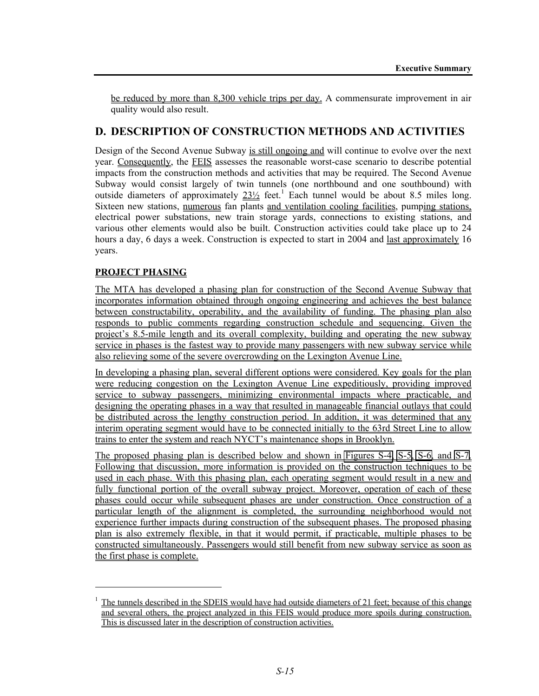be reduced by more than 8,300 vehicle trips per day. A commensurate improvement in air quality would also result.

# **D. DESCRIPTION OF CONSTRUCTION METHODS AND ACTIVITIES**

Design of the Second Avenue Subway is still ongoing and will continue to evolve over the next year. Consequently, the FEIS assesses the reasonable worst-case scenario to describe potential impacts from the construction methods and activities that may be required. The Second Avenue Subway would consist largely of twin tunnels (one northbound and one southbound) with outside diameters of approximately  $23\frac{1}{2}$  feet.<sup>1</sup> Each tunnel would be about 8.5 miles long. Sixteen new stations, numerous fan plants and ventilation cooling facilities, pumping stations, electrical power substations, new train storage yards, connections to existing stations, and various other elements would also be built. Construction activities could take place up to 24 hours a day, 6 days a week. Construction is expected to start in 2004 and last approximately 16 years.

# **PROJECT PHASING**

1

The MTA has developed a phasing plan for construction of the Second Avenue Subway that incorporates information obtained through ongoing engineering and achieves the best balance between constructability, operability, and the availability of funding. The phasing plan also responds to public comments regarding construction schedule and sequencing. Given the project's 8.5-mile length and its overall complexity, building and operating the new subway service in phases is the fastest way to provide many passengers with new subway service while also relieving some of the severe overcrowding on the Lexington Avenue Line.

In developing a phasing plan, several different options were considered. Key goals for the plan were reducing congestion on the Lexington Avenue Line expeditiously, providing improved service to subway passengers, minimizing environmental impacts where practicable, and designing the operating phases in a way that resulted in manageable financial outlays that could be distributed across the lengthy construction period. In addition, it was determined that any interim operating segment would have to be connected initially to the 63rd Street Line to allow trains to enter the system and reach NYCT's maintenance shops in Brooklyn.

The proposed phasing plan is described below and shown in Figures S-4, S-5, S-6, and S-7. Following that discussion, more information is provided on the construction techniques to be used in each phase. With this phasing plan, each operating segment would result in a new and fully functional portion of the overall subway project. Moreover, operation of each of these phases could occur while subsequent phases are under construction. Once construction of a particular length of the alignment is completed, the surrounding neighborhood would not experience further impacts during construction of the subsequent phases. The proposed phasing plan is also extremely flexible, in that it would permit, if practicable, multiple phases to be constructed simultaneously. Passengers would still benefit from new subway service as soon as the first phase is complete.

<sup>1</sup> The tunnels described in the SDEIS would have had outside diameters of 21 feet; because of this change and several others, the project analyzed in this FEIS would produce more spoils during construction. This is discussed later in the description of construction activities.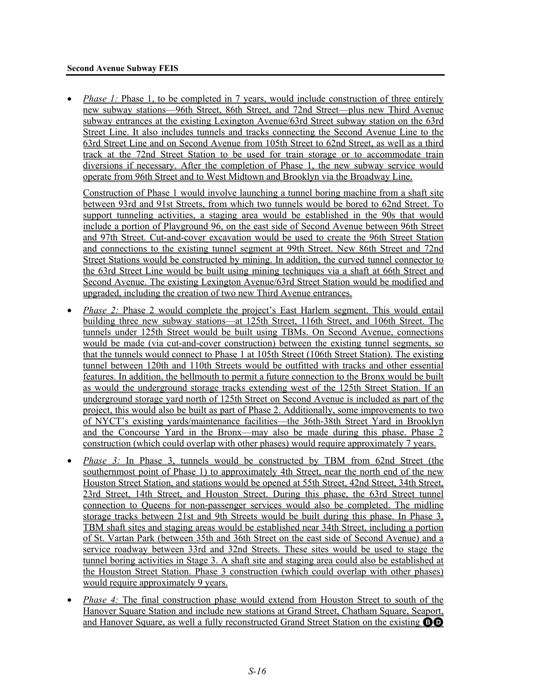#### **Second Avenue Subway FEIS**

*Phase 1:* Phase 1, to be completed in 7 years, would include construction of three entirely new subway stations—96th Street, 86th Street, and 72nd Street—plus new Third Avenue subway entrances at the existing Lexington Avenue/63rd Street subway station on the 63rd Street Line. It also includes tunnels and tracks connecting the Second Avenue Line to the 63rd Street Line and on Second Avenue from 105th Street to 62nd Street, as well as a third track at the 72nd Street Station to be used for train storage or to accommodate train diversions if necessary. After the completion of Phase 1, the new subway service would operate from 96th Street and to West Midtown and Brooklyn via the Broadway Line.

Construction of Phase 1 would involve launching a tunnel boring machine from a shaft site between 93rd and 91st Streets, from which two tunnels would be bored to 62nd Street. To support tunneling activities, a staging area would be established in the 90s that would include a portion of Playground 96, on the east side of Second Avenue between 96th Street and 97th Street. Cut-and-cover excavation would be used to create the 96th Street Station and connections to the existing tunnel segment at 99th Street. New 86th Street and 72nd Street Stations would be constructed by mining. In addition, the curved tunnel connector to the 63rd Street Line would be built using mining techniques via a shaft at 66th Street and Second Avenue. The existing Lexington Avenue/63rd Street Station would be modified and upgraded, including the creation of two new Third Avenue entrances.

- *Phase 2:* Phase 2 would complete the project's East Harlem segment. This would entail building three new subway stations—at 125th Street, 116th Street, and 106th Street. The tunnels under 125th Street would be built using TBMs. On Second Avenue, connections would be made (via cut-and-cover construction) between the existing tunnel segments, so that the tunnels would connect to Phase 1 at 105th Street (106th Street Station). The existing tunnel between 120th and 110th Streets would be outfitted with tracks and other essential features. In addition, the bellmouth to permit a future connection to the Bronx would be built as would the underground storage tracks extending west of the 125th Street Station. If an underground storage yard north of 125th Street on Second Avenue is included as part of the project, this would also be built as part of Phase 2. Additionally, some improvements to two of NYCT's existing yards/maintenance facilities—the 36th-38th Street Yard in Brooklyn and the Concourse Yard in the Bronx—may also be made during this phase. Phase 2 construction (which could overlap with other phases) would require approximately 7 years.
- *Phase 3:* In Phase 3, tunnels would be constructed by TBM from 62nd Street (the southernmost point of Phase 1) to approximately 4th Street, near the north end of the new Houston Street Station, and stations would be opened at 55th Street, 42nd Street, 34th Street, 23rd Street, 14th Street, and Houston Street. During this phase, the 63rd Street tunnel connection to Queens for non-passenger services would also be completed. The midline storage tracks between 21st and 9th Streets would be built during this phase. In Phase 3, TBM shaft sites and staging areas would be established near 34th Street, including a portion of St. Vartan Park (between 35th and 36th Street on the east side of Second Avenue) and a service roadway between 33rd and 32nd Streets. These sites would be used to stage the tunnel boring activities in Stage 3. A shaft site and staging area could also be established at the Houston Street Station. Phase 3 construction (which could overlap with other phases) would require approximately 9 years.
- *Phase 4:* The final construction phase would extend from Houston Street to south of the Hanover Square Station and include new stations at Grand Street, Chatham Square, Seaport, and Hanover Square, as well a fully reconstructed Grand Street Station on the existing BD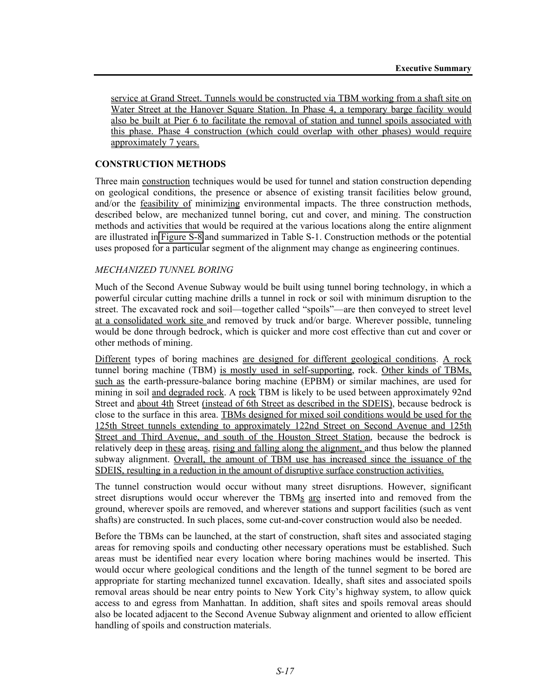service at Grand Street. Tunnels would be constructed via TBM working from a shaft site on Water Street at the Hanover Square Station. In Phase 4, a temporary barge facility would also be built at Pier 6 to facilitate the removal of station and tunnel spoils associated with this phase. Phase 4 construction (which could overlap with other phases) would require approximately 7 years.

### **CONSTRUCTION METHODS**

Three main construction techniques would be used for tunnel and station construction depending on geological conditions, the presence or absence of existing transit facilities below ground, and/or the feasibility of minimizing environmental impacts. The three construction methods, described below, are mechanized tunnel boring, cut and cover, and mining. The construction methods and activities that would be required at the various locations along the entire alignment are illustrated in Figure S-8 and summarized in Table S-1. Construction methods or the potential uses proposed for a particular segment of the alignment may change as engineering continues.

#### *MECHANIZED TUNNEL BORING*

Much of the Second Avenue Subway would be built using tunnel boring technology, in which a powerful circular cutting machine drills a tunnel in rock or soil with minimum disruption to the street. The excavated rock and soil—together called "spoils"—are then conveyed to street level at a consolidated work site and removed by truck and/or barge. Wherever possible, tunneling would be done through bedrock, which is quicker and more cost effective than cut and cover or other methods of mining.

Different types of boring machines are designed for different geological conditions. A rock tunnel boring machine (TBM) is mostly used in self-supporting, rock. Other kinds of TBMs, such as the earth-pressure-balance boring machine (EPBM) or similar machines, are used for mining in soil and degraded rock. A rock TBM is likely to be used between approximately 92nd Street and about 4th Street (instead of 6th Street as described in the SDEIS), because bedrock is close to the surface in this area. TBMs designed for mixed soil conditions would be used for the 125th Street tunnels extending to approximately 122nd Street on Second Avenue and 125th Street and Third Avenue, and south of the Houston Street Station, because the bedrock is relatively deep in these areas, rising and falling along the alignment, and thus below the planned subway alignment. Overall, the amount of TBM use has increased since the issuance of the SDEIS, resulting in a reduction in the amount of disruptive surface construction activities.

The tunnel construction would occur without many street disruptions. However, significant street disruptions would occur wherever the TBMs are inserted into and removed from the ground, wherever spoils are removed, and wherever stations and support facilities (such as vent shafts) are constructed. In such places, some cut-and-cover construction would also be needed.

Before the TBMs can be launched, at the start of construction, shaft sites and associated staging areas for removing spoils and conducting other necessary operations must be established. Such areas must be identified near every location where boring machines would be inserted. This would occur where geological conditions and the length of the tunnel segment to be bored are appropriate for starting mechanized tunnel excavation. Ideally, shaft sites and associated spoils removal areas should be near entry points to New York City's highway system, to allow quick access to and egress from Manhattan. In addition, shaft sites and spoils removal areas should also be located adjacent to the Second Avenue Subway alignment and oriented to allow efficient handling of spoils and construction materials.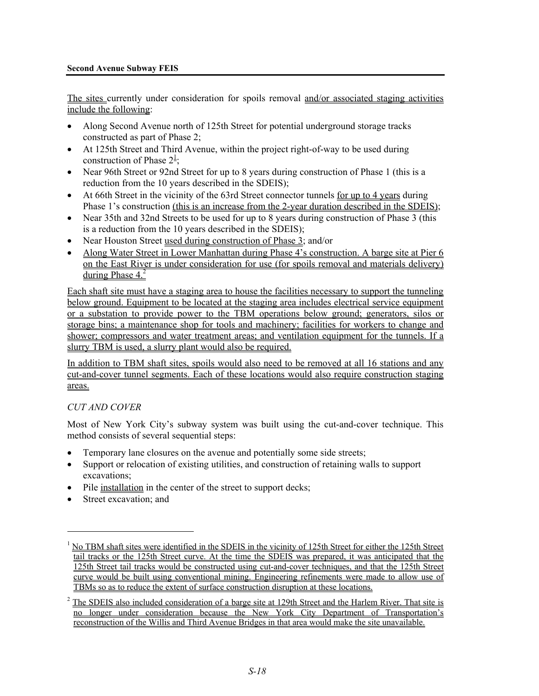#### **Second Avenue Subway FEIS**

The sites currently under consideration for spoils removal and/or associated staging activities include the following:

- Along Second Avenue north of 125th Street for potential underground storage tracks constructed as part of Phase 2;
- At 125th Street and Third Avenue, within the project right-of-way to be used during construction of Phase  $2^{\frac{1}{2}}$ ;
- Near 96th Street or 92nd Street for up to 8 years during construction of Phase 1 (this is a reduction from the 10 years described in the SDEIS);
- At 66th Street in the vicinity of the 63rd Street connector tunnels for up to 4 years during Phase 1's construction (this is an increase from the 2-year duration described in the SDEIS);
- Near 35th and 32nd Streets to be used for up to 8 years during construction of Phase 3 (this is a reduction from the 10 years described in the SDEIS);
- Near Houston Street used during construction of Phase 3; and/or
- Along Water Street in Lower Manhattan during Phase 4's construction. A barge site at Pier 6 on the East River is under consideration for use (for spoils removal and materials delivery) during Phase  $4<sup>2</sup>$

Each shaft site must have a staging area to house the facilities necessary to support the tunneling below ground. Equipment to be located at the staging area includes electrical service equipment or a substation to provide power to the TBM operations below ground; generators, silos or storage bins; a maintenance shop for tools and machinery; facilities for workers to change and shower; compressors and water treatment areas; and ventilation equipment for the tunnels. If a slurry TBM is used, a slurry plant would also be required.

In addition to TBM shaft sites, spoils would also need to be removed at all 16 stations and any cut-and-cover tunnel segments. Each of these locations would also require construction staging areas.

#### *CUT AND COVER*

Most of New York City's subway system was built using the cut-and-cover technique. This method consists of several sequential steps:

- Temporary lane closures on the avenue and potentially some side streets;
- Support or relocation of existing utilities, and construction of retaining walls to support excavations;
- Pile installation in the center of the street to support decks;
- Street excavation; and

<u>.</u>

<sup>&</sup>lt;sup>1</sup> No TBM shaft sites were identified in the SDEIS in the vicinity of 125th Street for either the 125th Street tail tracks or the 125th Street curve. At the time the SDEIS was prepared, it was anticipated that the 125th Street tail tracks would be constructed using cut-and-cover techniques, and that the 125th Street curve would be built using conventional mining. Engineering refinements were made to allow use of TBMs so as to reduce the extent of surface construction disruption at these locations.

<sup>&</sup>lt;sup>2</sup> The SDEIS also included consideration of a barge site at 129th Street and the Harlem River. That site is no longer under consideration because the New York City Department of Transportation's reconstruction of the Willis and Third Avenue Bridges in that area would make the site unavailable.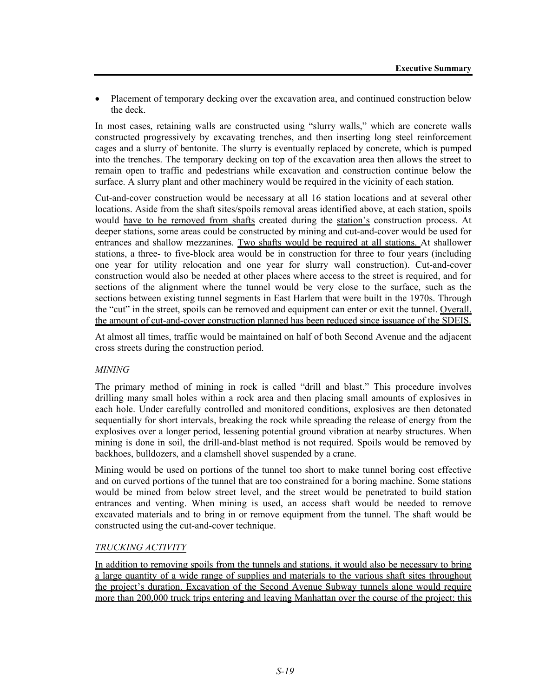• Placement of temporary decking over the excavation area, and continued construction below the deck.

In most cases, retaining walls are constructed using "slurry walls," which are concrete walls constructed progressively by excavating trenches, and then inserting long steel reinforcement cages and a slurry of bentonite. The slurry is eventually replaced by concrete, which is pumped into the trenches. The temporary decking on top of the excavation area then allows the street to remain open to traffic and pedestrians while excavation and construction continue below the surface. A slurry plant and other machinery would be required in the vicinity of each station.

Cut-and-cover construction would be necessary at all 16 station locations and at several other locations. Aside from the shaft sites/spoils removal areas identified above, at each station, spoils would have to be removed from shafts created during the station's construction process. At deeper stations, some areas could be constructed by mining and cut-and-cover would be used for entrances and shallow mezzanines. Two shafts would be required at all stations. At shallower stations, a three- to five-block area would be in construction for three to four years (including one year for utility relocation and one year for slurry wall construction). Cut-and-cover construction would also be needed at other places where access to the street is required, and for sections of the alignment where the tunnel would be very close to the surface, such as the sections between existing tunnel segments in East Harlem that were built in the 1970s. Through the "cut" in the street, spoils can be removed and equipment can enter or exit the tunnel. Overall, the amount of cut-and-cover construction planned has been reduced since issuance of the SDEIS.

At almost all times, traffic would be maintained on half of both Second Avenue and the adjacent cross streets during the construction period.

# *MINING*

The primary method of mining in rock is called "drill and blast." This procedure involves drilling many small holes within a rock area and then placing small amounts of explosives in each hole. Under carefully controlled and monitored conditions, explosives are then detonated sequentially for short intervals, breaking the rock while spreading the release of energy from the explosives over a longer period, lessening potential ground vibration at nearby structures. When mining is done in soil, the drill-and-blast method is not required. Spoils would be removed by backhoes, bulldozers, and a clamshell shovel suspended by a crane.

Mining would be used on portions of the tunnel too short to make tunnel boring cost effective and on curved portions of the tunnel that are too constrained for a boring machine. Some stations would be mined from below street level, and the street would be penetrated to build station entrances and venting. When mining is used, an access shaft would be needed to remove excavated materials and to bring in or remove equipment from the tunnel. The shaft would be constructed using the cut-and-cover technique.

#### *TRUCKING ACTIVITY*

In addition to removing spoils from the tunnels and stations, it would also be necessary to bring a large quantity of a wide range of supplies and materials to the various shaft sites throughout the project's duration. Excavation of the Second Avenue Subway tunnels alone would require more than 200,000 truck trips entering and leaving Manhattan over the course of the project; this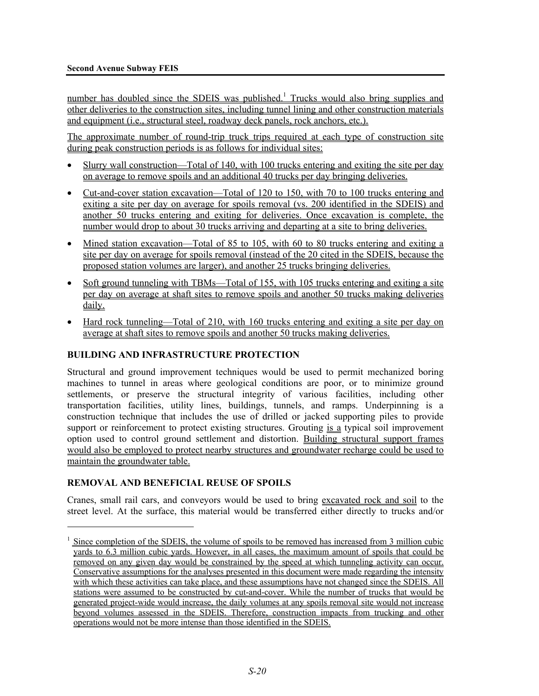number has doubled since the SDEIS was published.<sup>1</sup> Trucks would also bring supplies and other deliveries to the construction sites, including tunnel lining and other construction materials and equipment (i.e., structural steel, roadway deck panels, rock anchors, etc.).

The approximate number of round-trip truck trips required at each type of construction site during peak construction periods is as follows for individual sites:

- Slurry wall construction—Total of 140, with 100 trucks entering and exiting the site per day on average to remove spoils and an additional 40 trucks per day bringing deliveries.
- Cut-and-cover station excavation—Total of 120 to 150, with 70 to 100 trucks entering and exiting a site per day on average for spoils removal (vs. 200 identified in the SDEIS) and another 50 trucks entering and exiting for deliveries. Once excavation is complete, the number would drop to about 30 trucks arriving and departing at a site to bring deliveries.
- Mined station excavation—Total of 85 to 105, with 60 to 80 trucks entering and exiting a site per day on average for spoils removal (instead of the 20 cited in the SDEIS, because the proposed station volumes are larger), and another 25 trucks bringing deliveries.
- Soft ground tunneling with TBMs—Total of 155, with 105 trucks entering and exiting a site per day on average at shaft sites to remove spoils and another 50 trucks making deliveries daily.
- Hard rock tunneling—Total of 210, with 160 trucks entering and exiting a site per day on average at shaft sites to remove spoils and another 50 trucks making deliveries.

# **BUILDING AND INFRASTRUCTURE PROTECTION**

Structural and ground improvement techniques would be used to permit mechanized boring machines to tunnel in areas where geological conditions are poor, or to minimize ground settlements, or preserve the structural integrity of various facilities, including other transportation facilities, utility lines, buildings, tunnels, and ramps. Underpinning is a construction technique that includes the use of drilled or jacked supporting piles to provide support or reinforcement to protect existing structures. Grouting is a typical soil improvement option used to control ground settlement and distortion. Building structural support frames would also be employed to protect nearby structures and groundwater recharge could be used to maintain the groundwater table.

#### **REMOVAL AND BENEFICIAL REUSE OF SPOILS**

<u>.</u>

Cranes, small rail cars, and conveyors would be used to bring excavated rock and soil to the street level. At the surface, this material would be transferred either directly to trucks and/or

 $1$  Since completion of the SDEIS, the volume of spoils to be removed has increased from 3 million cubic yards to 6.3 million cubic yards. However, in all cases, the maximum amount of spoils that could be removed on any given day would be constrained by the speed at which tunneling activity can occur. Conservative assumptions for the analyses presented in this document were made regarding the intensity with which these activities can take place, and these assumptions have not changed since the SDEIS. All stations were assumed to be constructed by cut-and-cover. While the number of trucks that would be generated project-wide would increase, the daily volumes at any spoils removal site would not increase beyond volumes assessed in the SDEIS. Therefore, construction impacts from trucking and other operations would not be more intense than those identified in the SDEIS.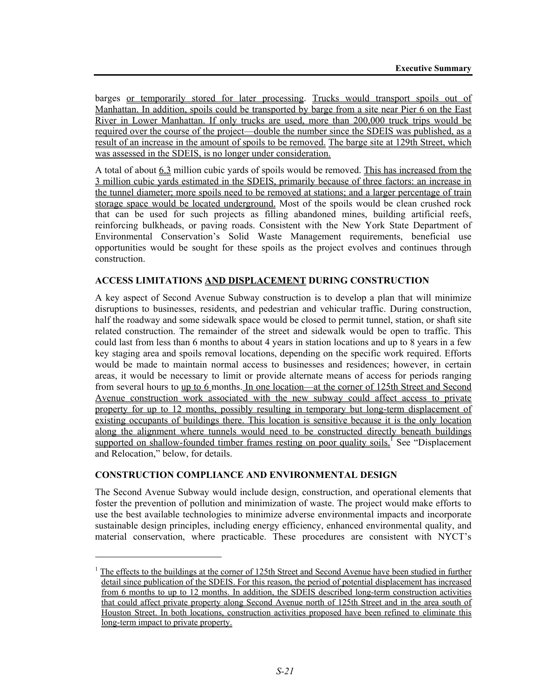barges or temporarily stored for later processing. Trucks would transport spoils out of Manhattan. In addition, spoils could be transported by barge from a site near Pier 6 on the East River in Lower Manhattan. If only trucks are used, more than 200,000 truck trips would be required over the course of the project—double the number since the SDEIS was published, as a result of an increase in the amount of spoils to be removed. The barge site at 129th Street, which was assessed in the SDEIS, is no longer under consideration.

A total of about 6.3 million cubic yards of spoils would be removed. This has increased from the 3 million cubic yards estimated in the SDEIS, primarily because of three factors: an increase in the tunnel diameter; more spoils need to be removed at stations; and a larger percentage of train storage space would be located underground. Most of the spoils would be clean crushed rock that can be used for such projects as filling abandoned mines, building artificial reefs, reinforcing bulkheads, or paving roads. Consistent with the New York State Department of Environmental Conservation's Solid Waste Management requirements, beneficial use opportunities would be sought for these spoils as the project evolves and continues through construction.

#### **ACCESS LIMITATIONS AND DISPLACEMENT DURING CONSTRUCTION**

A key aspect of Second Avenue Subway construction is to develop a plan that will minimize disruptions to businesses, residents, and pedestrian and vehicular traffic. During construction, half the roadway and some sidewalk space would be closed to permit tunnel, station, or shaft site related construction. The remainder of the street and sidewalk would be open to traffic. This could last from less than 6 months to about 4 years in station locations and up to 8 years in a few key staging area and spoils removal locations, depending on the specific work required. Efforts would be made to maintain normal access to businesses and residences; however, in certain areas, it would be necessary to limit or provide alternate means of access for periods ranging from several hours to up to 6 months. In one location—at the corner of 125th Street and Second Avenue construction work associated with the new subway could affect access to private property for up to 12 months, possibly resulting in temporary but long-term displacement of existing occupants of buildings there. This location is sensitive because it is the only location along the alignment where tunnels would need to be constructed directly beneath buildings supported on shallow-founded timber frames resting on poor quality soils.<sup>1</sup> See "Displacement" and Relocation," below, for details.

#### **CONSTRUCTION COMPLIANCE AND ENVIRONMENTAL DESIGN**

l

The Second Avenue Subway would include design, construction, and operational elements that foster the prevention of pollution and minimization of waste. The project would make efforts to use the best available technologies to minimize adverse environmental impacts and incorporate sustainable design principles, including energy efficiency, enhanced environmental quality, and material conservation, where practicable. These procedures are consistent with NYCT's

<sup>1</sup> The effects to the buildings at the corner of 125th Street and Second Avenue have been studied in further detail since publication of the SDEIS. For this reason, the period of potential displacement has increased from 6 months to up to 12 months. In addition, the SDEIS described long-term construction activities that could affect private property along Second Avenue north of 125th Street and in the area south of Houston Street. In both locations, construction activities proposed have been refined to eliminate this long-term impact to private property.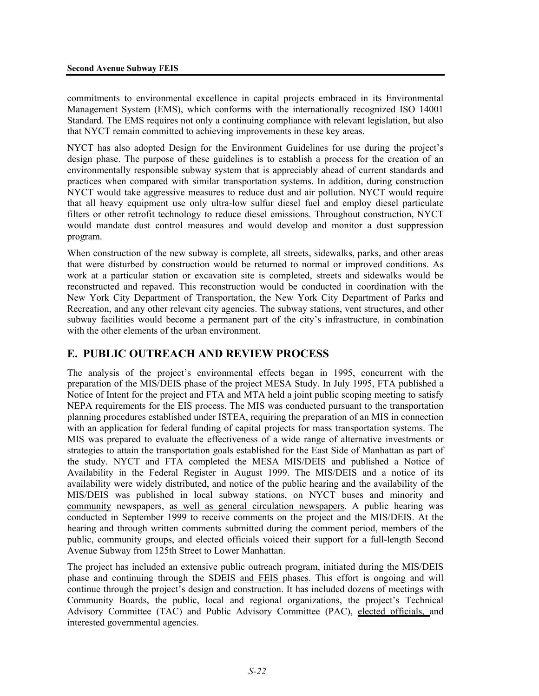commitments to environmental excellence in capital projects embraced in its Environmental Management System (EMS), which conforms with the internationally recognized ISO 14001 Standard. The EMS requires not only a continuing compliance with relevant legislation, but also that NYCT remain committed to achieving improvements in these key areas.

NYCT has also adopted Design for the Environment Guidelines for use during the project's design phase. The purpose of these guidelines is to establish a process for the creation of an environmentally responsible subway system that is appreciably ahead of current standards and practices when compared with similar transportation systems. In addition, during construction NYCT would take aggressive measures to reduce dust and air pollution. NYCT would require that all heavy equipment use only ultra-low sulfur diesel fuel and employ diesel particulate filters or other retrofit technology to reduce diesel emissions. Throughout construction, NYCT would mandate dust control measures and would develop and monitor a dust suppression program.

When construction of the new subway is complete, all streets, sidewalks, parks, and other areas that were disturbed by construction would be returned to normal or improved conditions. As work at a particular station or excavation site is completed, streets and sidewalks would be reconstructed and repaved. This reconstruction would be conducted in coordination with the New York City Department of Transportation, the New York City Department of Parks and Recreation, and any other relevant city agencies. The subway stations, vent structures, and other subway facilities would become a permanent part of the city's infrastructure, in combination with the other elements of the urban environment.

# **E. PUBLIC OUTREACH AND REVIEW PROCESS**

The analysis of the project's environmental effects began in 1995, concurrent with the preparation of the MIS/DEIS phase of the project MESA Study. In July 1995, FTA published a Notice of Intent for the project and FTA and MTA held a joint public scoping meeting to satisfy NEPA requirements for the EIS process. The MIS was conducted pursuant to the transportation planning procedures established under ISTEA, requiring the preparation of an MIS in connection with an application for federal funding of capital projects for mass transportation systems. The MIS was prepared to evaluate the effectiveness of a wide range of alternative investments or strategies to attain the transportation goals established for the East Side of Manhattan as part of the study. NYCT and FTA completed the MESA MIS/DEIS and published a Notice of Availability in the Federal Register in August 1999. The MIS/DEIS and a notice of its availability were widely distributed, and notice of the public hearing and the availability of the MIS/DEIS was published in local subway stations, on NYCT buses and minority and community newspapers, as well as general circulation newspapers. A public hearing was conducted in September 1999 to receive comments on the project and the MIS/DEIS. At the hearing and through written comments submitted during the comment period, members of the public, community groups, and elected officials voiced their support for a full-length Second Avenue Subway from 125th Street to Lower Manhattan.

The project has included an extensive public outreach program, initiated during the MIS/DEIS phase and continuing through the SDEIS and FEIS phases. This effort is ongoing and will continue through the project's design and construction. It has included dozens of meetings with Community Boards, the public, local and regional organizations, the project's Technical Advisory Committee (TAC) and Public Advisory Committee (PAC), elected officials, and interested governmental agencies.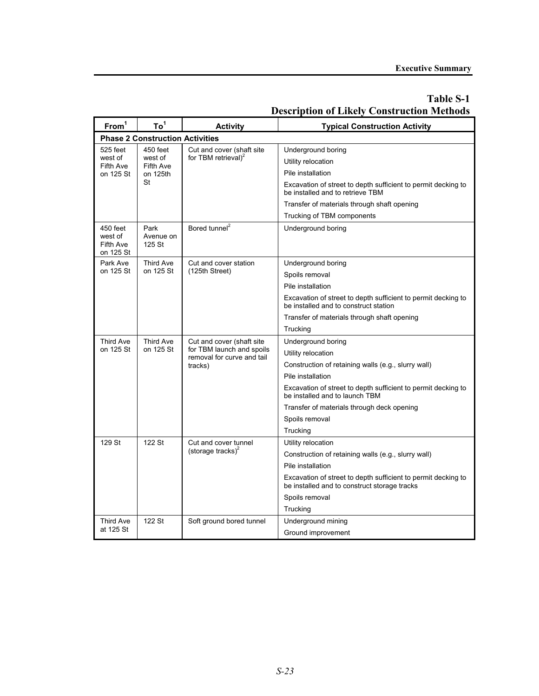| From <sup>1</sup>                             | To <sup>1</sup>                          | <b>Activity</b>                                         | <b>Typical Construction Activity</b>                                                                          |  |  |  |  |
|-----------------------------------------------|------------------------------------------|---------------------------------------------------------|---------------------------------------------------------------------------------------------------------------|--|--|--|--|
|                                               | <b>Phase 2 Construction Activities</b>   |                                                         |                                                                                                               |  |  |  |  |
| 525 feet                                      | 450 feet                                 | Cut and cover (shaft site                               | Underground boring                                                                                            |  |  |  |  |
| west of<br>Fifth Ave                          | west of<br>Fifth Ave                     | for TBM retrieval) <sup>2</sup>                         | Utility relocation                                                                                            |  |  |  |  |
| on 125 St                                     | on 125th                                 |                                                         | Pile installation                                                                                             |  |  |  |  |
|                                               | St                                       |                                                         | Excavation of street to depth sufficient to permit decking to<br>be installed and to retrieve TBM             |  |  |  |  |
|                                               |                                          |                                                         | Transfer of materials through shaft opening                                                                   |  |  |  |  |
|                                               |                                          |                                                         | Trucking of TBM components                                                                                    |  |  |  |  |
| 450 feet<br>west of<br>Fifth Ave<br>on 125 St | Park<br>Avenue on<br>125 St              | Bored tunnel <sup>2</sup>                               | Underground boring                                                                                            |  |  |  |  |
| Park Ave                                      | Third Ave                                | Cut and cover station                                   | Underground boring                                                                                            |  |  |  |  |
|                                               | on 125 St<br>on 125 St<br>(125th Street) |                                                         | Spoils removal                                                                                                |  |  |  |  |
|                                               |                                          |                                                         | Pile installation                                                                                             |  |  |  |  |
|                                               |                                          |                                                         | Excavation of street to depth sufficient to permit decking to<br>be installed and to construct station        |  |  |  |  |
|                                               |                                          |                                                         | Transfer of materials through shaft opening                                                                   |  |  |  |  |
|                                               |                                          |                                                         | Trucking                                                                                                      |  |  |  |  |
| Third Ave                                     | Third Ave                                | Cut and cover (shaft site                               | Underground boring                                                                                            |  |  |  |  |
| on 125 St                                     | on 125 St                                | for TBM launch and spoils<br>removal for curve and tail | Utility relocation                                                                                            |  |  |  |  |
|                                               |                                          | tracks)                                                 | Construction of retaining walls (e.g., slurry wall)                                                           |  |  |  |  |
|                                               |                                          |                                                         | Pile installation                                                                                             |  |  |  |  |
|                                               |                                          |                                                         | Excavation of street to depth sufficient to permit decking to<br>be installed and to launch TBM               |  |  |  |  |
|                                               |                                          |                                                         | Transfer of materials through deck opening                                                                    |  |  |  |  |
|                                               |                                          |                                                         | Spoils removal                                                                                                |  |  |  |  |
|                                               |                                          |                                                         | Trucking                                                                                                      |  |  |  |  |
| 129 St                                        | 122 St                                   | Cut and cover tunnel                                    | Utility relocation                                                                                            |  |  |  |  |
|                                               |                                          | (storage tracks) <sup>2</sup>                           | Construction of retaining walls (e.g., slurry wall)                                                           |  |  |  |  |
|                                               |                                          |                                                         | Pile installation                                                                                             |  |  |  |  |
|                                               |                                          |                                                         | Excavation of street to depth sufficient to permit decking to<br>be installed and to construct storage tracks |  |  |  |  |
|                                               |                                          |                                                         | Spoils removal                                                                                                |  |  |  |  |
|                                               |                                          |                                                         | Trucking                                                                                                      |  |  |  |  |
| Third Ave                                     | 122 St                                   | Soft ground bored tunnel                                | Underground mining                                                                                            |  |  |  |  |
| at 125 St                                     |                                          |                                                         | Ground improvement                                                                                            |  |  |  |  |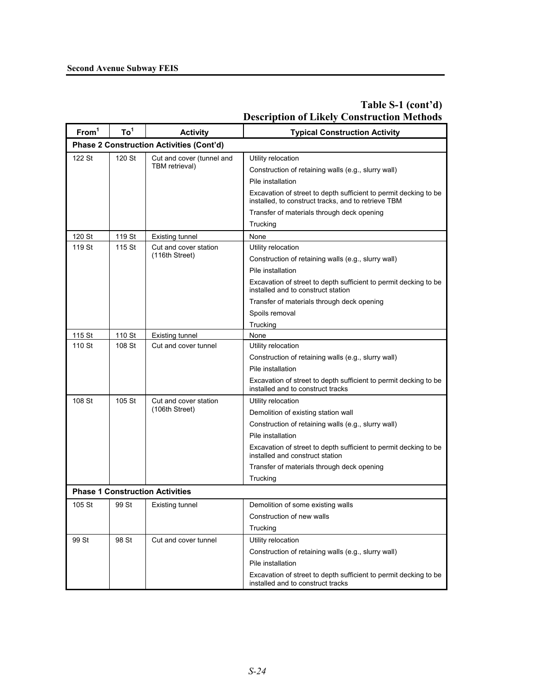| From <sup>1</sup> | To <sup>1</sup> | <b>Activity</b>                                 | <b>Typical Construction Activity</b>                                                                                    |  |  |  |  |
|-------------------|-----------------|-------------------------------------------------|-------------------------------------------------------------------------------------------------------------------------|--|--|--|--|
|                   |                 | <b>Phase 2 Construction Activities (Cont'd)</b> |                                                                                                                         |  |  |  |  |
| 122 St            | 120 St          | Cut and cover (tunnel and                       | Utility relocation                                                                                                      |  |  |  |  |
|                   |                 | TBM retrieval)                                  | Construction of retaining walls (e.g., slurry wall)                                                                     |  |  |  |  |
|                   |                 |                                                 | Pile installation                                                                                                       |  |  |  |  |
|                   |                 |                                                 | Excavation of street to depth sufficient to permit decking to be<br>installed, to construct tracks, and to retrieve TBM |  |  |  |  |
|                   |                 |                                                 | Transfer of materials through deck opening                                                                              |  |  |  |  |
|                   |                 |                                                 | Trucking                                                                                                                |  |  |  |  |
| 120 St            | 119 St          | <b>Existing tunnel</b>                          | None                                                                                                                    |  |  |  |  |
| 119 St            | 115 St          | Cut and cover station                           | Utility relocation                                                                                                      |  |  |  |  |
|                   | (116th Street)  |                                                 | Construction of retaining walls (e.g., slurry wall)                                                                     |  |  |  |  |
|                   |                 |                                                 | Pile installation                                                                                                       |  |  |  |  |
|                   |                 |                                                 | Excavation of street to depth sufficient to permit decking to be<br>installed and to construct station                  |  |  |  |  |
|                   |                 |                                                 | Transfer of materials through deck opening                                                                              |  |  |  |  |
|                   |                 |                                                 | Spoils removal                                                                                                          |  |  |  |  |
|                   |                 |                                                 | Trucking                                                                                                                |  |  |  |  |
| 115 St            | 110 St          | <b>Existing tunnel</b>                          | None                                                                                                                    |  |  |  |  |
| 110 St            | 108 St          | Cut and cover tunnel                            | Utility relocation                                                                                                      |  |  |  |  |
|                   |                 |                                                 | Construction of retaining walls (e.g., slurry wall)                                                                     |  |  |  |  |
|                   |                 |                                                 | Pile installation                                                                                                       |  |  |  |  |
|                   |                 |                                                 | Excavation of street to depth sufficient to permit decking to be<br>installed and to construct tracks                   |  |  |  |  |
| 108 St            | 105 St          | Cut and cover station                           | Utility relocation                                                                                                      |  |  |  |  |
|                   |                 | (106th Street)                                  | Demolition of existing station wall                                                                                     |  |  |  |  |
|                   |                 |                                                 | Construction of retaining walls (e.g., slurry wall)                                                                     |  |  |  |  |
|                   |                 |                                                 | Pile installation                                                                                                       |  |  |  |  |
|                   |                 |                                                 | Excavation of street to depth sufficient to permit decking to be<br>installed and construct station                     |  |  |  |  |
|                   |                 |                                                 | Transfer of materials through deck opening                                                                              |  |  |  |  |
|                   |                 |                                                 | Trucking                                                                                                                |  |  |  |  |
|                   |                 | <b>Phase 1 Construction Activities</b>          |                                                                                                                         |  |  |  |  |
| 105 St            | 99 St           | Existing tunnel                                 | Demolition of some existing walls                                                                                       |  |  |  |  |
|                   |                 |                                                 | Construction of new walls                                                                                               |  |  |  |  |
|                   |                 |                                                 | Trucking                                                                                                                |  |  |  |  |
| 99 St             | 98 St           | Cut and cover tunnel                            | Utility relocation                                                                                                      |  |  |  |  |
|                   |                 |                                                 | Construction of retaining walls (e.g., slurry wall)                                                                     |  |  |  |  |
|                   |                 |                                                 | Pile installation                                                                                                       |  |  |  |  |
|                   |                 |                                                 | Excavation of street to depth sufficient to permit decking to be<br>installed and to construct tracks                   |  |  |  |  |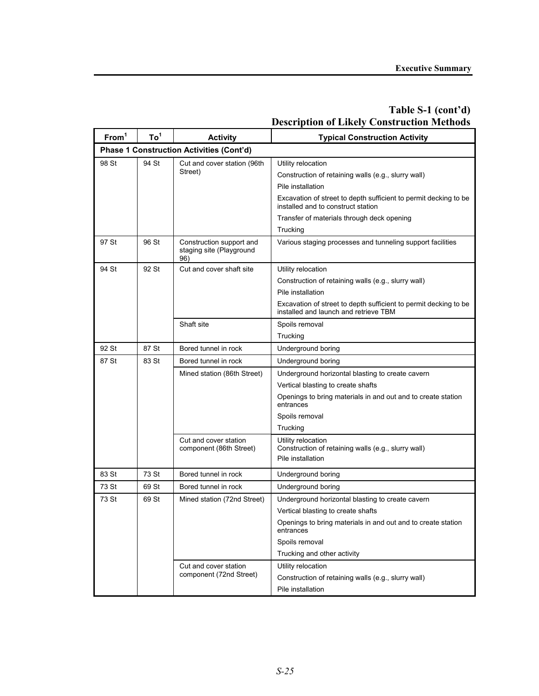| From <sup>1</sup> | To <sup>1</sup> | <b>Activity</b>                                             | <b>Typical Construction Activity</b>                                                                      |  |  |  |  |
|-------------------|-----------------|-------------------------------------------------------------|-----------------------------------------------------------------------------------------------------------|--|--|--|--|
|                   |                 | <b>Phase 1 Construction Activities (Cont'd)</b>             |                                                                                                           |  |  |  |  |
| 98 St             | 94 St           | Cut and cover station (96th                                 | Utility relocation                                                                                        |  |  |  |  |
|                   |                 | Street)                                                     | Construction of retaining walls (e.g., slurry wall)                                                       |  |  |  |  |
|                   |                 |                                                             | Pile installation                                                                                         |  |  |  |  |
|                   |                 |                                                             | Excavation of street to depth sufficient to permit decking to be<br>installed and to construct station    |  |  |  |  |
|                   |                 |                                                             | Transfer of materials through deck opening                                                                |  |  |  |  |
|                   |                 |                                                             | Trucking                                                                                                  |  |  |  |  |
| 97 St             | 96 St           | Construction support and<br>staging site (Playground<br>96) | Various staging processes and tunneling support facilities                                                |  |  |  |  |
| 94 St             | 92 St           | Cut and cover shaft site                                    | Utility relocation                                                                                        |  |  |  |  |
|                   |                 |                                                             | Construction of retaining walls (e.g., slurry wall)                                                       |  |  |  |  |
|                   |                 |                                                             | Pile installation                                                                                         |  |  |  |  |
|                   |                 |                                                             | Excavation of street to depth sufficient to permit decking to be<br>installed and launch and retrieve TBM |  |  |  |  |
|                   |                 | Shaft site                                                  | Spoils removal                                                                                            |  |  |  |  |
|                   |                 |                                                             | Trucking                                                                                                  |  |  |  |  |
| 92 St             | 87 St           | Bored tunnel in rock                                        | Underground boring                                                                                        |  |  |  |  |
| 87 St             | 83 St           | Bored tunnel in rock                                        | Underground boring                                                                                        |  |  |  |  |
|                   |                 | Mined station (86th Street)                                 | Underground horizontal blasting to create cavern                                                          |  |  |  |  |
|                   |                 |                                                             | Vertical blasting to create shafts                                                                        |  |  |  |  |
|                   |                 |                                                             | Openings to bring materials in and out and to create station<br>entrances                                 |  |  |  |  |
|                   |                 |                                                             | Spoils removal                                                                                            |  |  |  |  |
|                   |                 |                                                             | Trucking                                                                                                  |  |  |  |  |
|                   |                 | Cut and cover station                                       | Utility relocation                                                                                        |  |  |  |  |
|                   |                 | component (86th Street)                                     | Construction of retaining walls (e.g., slurry wall)<br>Pile installation                                  |  |  |  |  |
|                   |                 |                                                             |                                                                                                           |  |  |  |  |
| 83 St             | 73 St           | Bored tunnel in rock                                        | Underground boring                                                                                        |  |  |  |  |
| 73 St             | 69 St           | Bored tunnel in rock                                        | Underground boring                                                                                        |  |  |  |  |
| 73 St             | 69 St           | Mined station (72nd Street)                                 | Underground horizontal blasting to create cavern                                                          |  |  |  |  |
|                   |                 |                                                             | Vertical blasting to create shafts                                                                        |  |  |  |  |
|                   |                 |                                                             | Openings to bring materials in and out and to create station<br>entrances                                 |  |  |  |  |
|                   |                 |                                                             | Spoils removal                                                                                            |  |  |  |  |
|                   |                 |                                                             | Trucking and other activity                                                                               |  |  |  |  |
|                   |                 | Cut and cover station<br>component (72nd Street)            | Utility relocation                                                                                        |  |  |  |  |
|                   |                 |                                                             | Construction of retaining walls (e.g., slurry wall)                                                       |  |  |  |  |
|                   |                 |                                                             | Pile installation                                                                                         |  |  |  |  |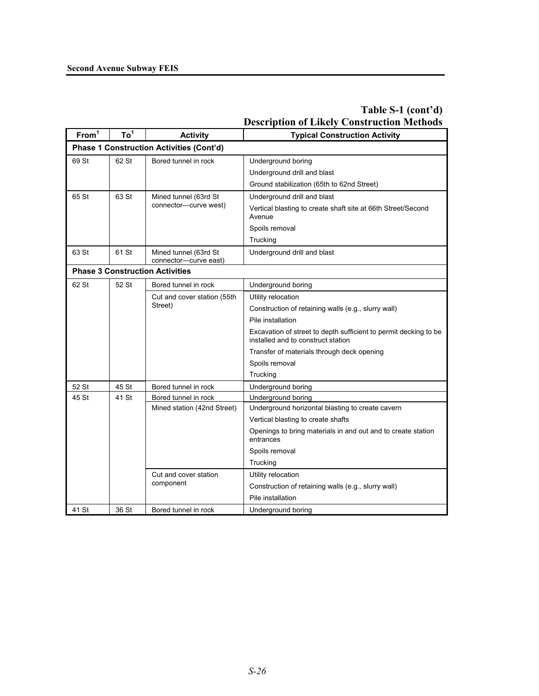| From <sup>1</sup> | To <sup>1</sup> | <b>Activity</b>                                 | <b>Typical Construction Activity</b>                                                                   |  |  |  |  |
|-------------------|-----------------|-------------------------------------------------|--------------------------------------------------------------------------------------------------------|--|--|--|--|
|                   |                 | <b>Phase 1 Construction Activities (Cont'd)</b> |                                                                                                        |  |  |  |  |
| 69 St             | 62 St           | Bored tunnel in rock                            | Underground boring                                                                                     |  |  |  |  |
|                   |                 |                                                 | Underground drill and blast                                                                            |  |  |  |  |
|                   |                 |                                                 | Ground stabilization (65th to 62nd Street)                                                             |  |  |  |  |
| 65 St             | 63 St           | Mined tunnel (63rd St                           | Underground drill and blast                                                                            |  |  |  |  |
|                   |                 | connector-curve west)                           | Vertical blasting to create shaft site at 66th Street/Second<br>Avenue                                 |  |  |  |  |
|                   |                 |                                                 | Spoils removal                                                                                         |  |  |  |  |
|                   |                 |                                                 | Trucking                                                                                               |  |  |  |  |
| 63 St             | 61 St           | Mined tunnel (63rd St<br>connector-curve east)  | Underground drill and blast                                                                            |  |  |  |  |
|                   |                 | <b>Phase 3 Construction Activities</b>          |                                                                                                        |  |  |  |  |
| 62 St             | 52 St           | Bored tunnel in rock                            | Underground boring                                                                                     |  |  |  |  |
|                   |                 | Cut and cover station (55th<br>Street)          | Utility relocation                                                                                     |  |  |  |  |
|                   |                 |                                                 | Construction of retaining walls (e.g., slurry wall)                                                    |  |  |  |  |
|                   |                 |                                                 | Pile installation                                                                                      |  |  |  |  |
|                   |                 |                                                 | Excavation of street to depth sufficient to permit decking to be<br>installed and to construct station |  |  |  |  |
|                   |                 |                                                 | Transfer of materials through deck opening                                                             |  |  |  |  |
|                   |                 |                                                 | Spoils removal                                                                                         |  |  |  |  |
|                   |                 |                                                 | Trucking                                                                                               |  |  |  |  |
| 52 St             | 45 St           | Bored tunnel in rock                            | Underground boring                                                                                     |  |  |  |  |
| 45 St             | 41 St           | Bored tunnel in rock                            | Underground boring                                                                                     |  |  |  |  |
|                   |                 | Mined station (42nd Street)                     | Underground horizontal blasting to create cavern                                                       |  |  |  |  |
|                   |                 |                                                 | Vertical blasting to create shafts                                                                     |  |  |  |  |
|                   |                 |                                                 | Openings to bring materials in and out and to create station<br>entrances                              |  |  |  |  |
|                   |                 |                                                 | Spoils removal                                                                                         |  |  |  |  |
|                   |                 |                                                 | Trucking                                                                                               |  |  |  |  |
|                   |                 | Cut and cover station                           | Utility relocation                                                                                     |  |  |  |  |
|                   |                 | component                                       | Construction of retaining walls (e.g., slurry wall)                                                    |  |  |  |  |
|                   |                 |                                                 | Pile installation                                                                                      |  |  |  |  |
| 41 St             | 36 St           | Bored tunnel in rock                            | Underground boring                                                                                     |  |  |  |  |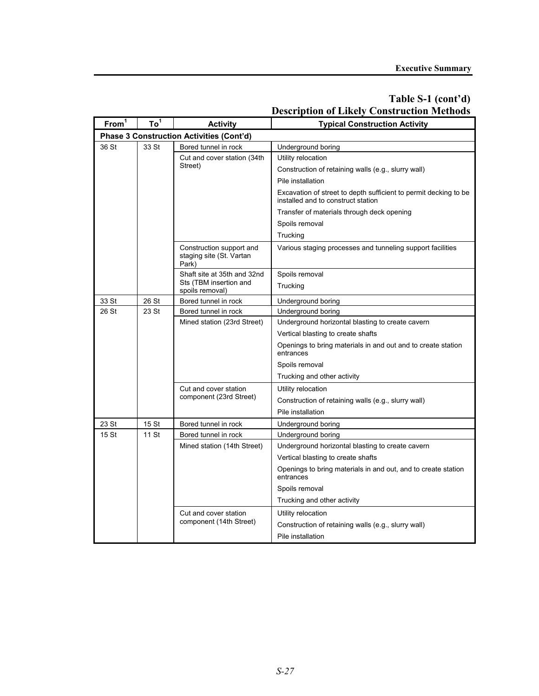| From <sup>1</sup> | To <sup>1</sup> | <b>Activity</b>                                               | <b>Typical Construction Activity</b>                                                                   |  |  |  |  |  |
|-------------------|-----------------|---------------------------------------------------------------|--------------------------------------------------------------------------------------------------------|--|--|--|--|--|
|                   |                 | Phase 3 Construction Activities (Cont'd)                      |                                                                                                        |  |  |  |  |  |
| 36 St             | 33 St           | Bored tunnel in rock                                          | Underground boring                                                                                     |  |  |  |  |  |
|                   |                 | Cut and cover station (34th                                   | Utility relocation                                                                                     |  |  |  |  |  |
|                   |                 | Street)                                                       | Construction of retaining walls (e.g., slurry wall)                                                    |  |  |  |  |  |
|                   |                 |                                                               | Pile installation                                                                                      |  |  |  |  |  |
|                   |                 |                                                               | Excavation of street to depth sufficient to permit decking to be<br>installed and to construct station |  |  |  |  |  |
|                   |                 |                                                               | Transfer of materials through deck opening                                                             |  |  |  |  |  |
|                   |                 |                                                               | Spoils removal                                                                                         |  |  |  |  |  |
|                   |                 |                                                               | Trucking                                                                                               |  |  |  |  |  |
|                   |                 | Construction support and<br>staging site (St. Vartan<br>Park) | Various staging processes and tunneling support facilities                                             |  |  |  |  |  |
|                   |                 | Shaft site at 35th and 32nd                                   | Spoils removal                                                                                         |  |  |  |  |  |
|                   |                 | Sts (TBM insertion and<br>spoils removal)                     | Trucking                                                                                               |  |  |  |  |  |
| 33 St             | 26 St           | Bored tunnel in rock                                          | Underground boring                                                                                     |  |  |  |  |  |
| 26 St             | 23 St           | Bored tunnel in rock                                          | Underground boring                                                                                     |  |  |  |  |  |
|                   |                 | Mined station (23rd Street)                                   | Underground horizontal blasting to create cavern                                                       |  |  |  |  |  |
|                   |                 |                                                               | Vertical blasting to create shafts                                                                     |  |  |  |  |  |
|                   |                 |                                                               | Openings to bring materials in and out and to create station<br>entrances                              |  |  |  |  |  |
|                   |                 | Cut and cover station                                         | Spoils removal<br>Trucking and other activity                                                          |  |  |  |  |  |
|                   |                 |                                                               |                                                                                                        |  |  |  |  |  |
|                   |                 |                                                               | Utility relocation                                                                                     |  |  |  |  |  |
|                   |                 | component (23rd Street)                                       | Construction of retaining walls (e.g., slurry wall)                                                    |  |  |  |  |  |
|                   |                 |                                                               | Pile installation                                                                                      |  |  |  |  |  |
| 23 St             | 15 St           | Bored tunnel in rock                                          | Underground boring                                                                                     |  |  |  |  |  |
| 15 St             | 11 St           | Bored tunnel in rock                                          | Underground boring                                                                                     |  |  |  |  |  |
|                   |                 | Mined station (14th Street)                                   | Underground horizontal blasting to create cavern                                                       |  |  |  |  |  |
|                   |                 |                                                               | Vertical blasting to create shafts                                                                     |  |  |  |  |  |
|                   |                 |                                                               | Openings to bring materials in and out, and to create station<br>entrances                             |  |  |  |  |  |
|                   |                 |                                                               | Spoils removal                                                                                         |  |  |  |  |  |
|                   |                 |                                                               | Trucking and other activity                                                                            |  |  |  |  |  |
|                   |                 | Cut and cover station                                         | Utility relocation                                                                                     |  |  |  |  |  |
|                   |                 | component (14th Street)                                       | Construction of retaining walls (e.g., slurry wall)                                                    |  |  |  |  |  |
|                   |                 |                                                               | Pile installation                                                                                      |  |  |  |  |  |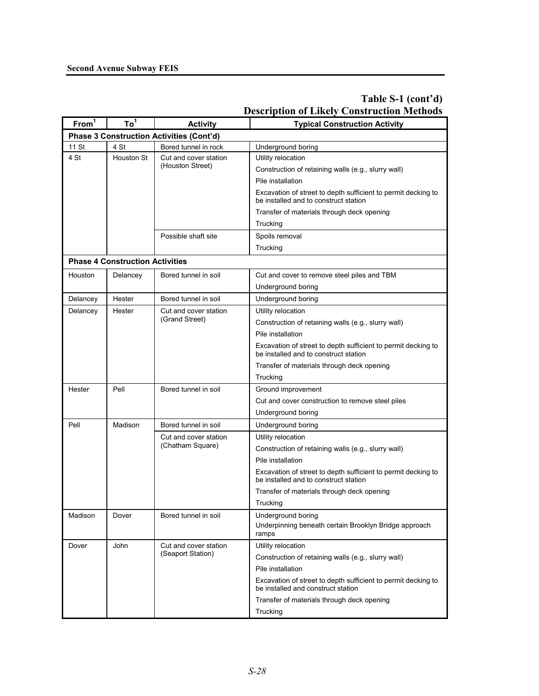| From <sup>1</sup> | Description of Likely Construction Methods<br>To <sup>1</sup> |                                                 |                                                                                                        |  |  |  |  |
|-------------------|---------------------------------------------------------------|-------------------------------------------------|--------------------------------------------------------------------------------------------------------|--|--|--|--|
|                   |                                                               | <b>Activity</b>                                 | <b>Typical Construction Activity</b>                                                                   |  |  |  |  |
|                   |                                                               | <b>Phase 3 Construction Activities (Cont'd)</b> |                                                                                                        |  |  |  |  |
| 11 St<br>4 St     | 4 St<br><b>Houston St</b>                                     | Bored tunnel in rock<br>Cut and cover station   | Underground boring                                                                                     |  |  |  |  |
|                   |                                                               | (Houston Street)                                | Utility relocation                                                                                     |  |  |  |  |
|                   |                                                               |                                                 | Construction of retaining walls (e.g., slurry wall)                                                    |  |  |  |  |
|                   |                                                               |                                                 | Pile installation                                                                                      |  |  |  |  |
|                   |                                                               |                                                 | Excavation of street to depth sufficient to permit decking to<br>be installed and to construct station |  |  |  |  |
|                   |                                                               |                                                 | Transfer of materials through deck opening                                                             |  |  |  |  |
|                   |                                                               |                                                 | Trucking                                                                                               |  |  |  |  |
|                   |                                                               | Possible shaft site                             | Spoils removal                                                                                         |  |  |  |  |
|                   |                                                               |                                                 | Trucking                                                                                               |  |  |  |  |
|                   | <b>Phase 4 Construction Activities</b>                        |                                                 |                                                                                                        |  |  |  |  |
| Houston           | Delancey                                                      | Bored tunnel in soil                            | Cut and cover to remove steel piles and TBM                                                            |  |  |  |  |
|                   |                                                               |                                                 | Underground boring                                                                                     |  |  |  |  |
| Delancey          | Hester                                                        | Bored tunnel in soil                            | Underground boring                                                                                     |  |  |  |  |
| Delancey          | Hester                                                        | Cut and cover station                           | Utility relocation                                                                                     |  |  |  |  |
|                   |                                                               | (Grand Street)                                  | Construction of retaining walls (e.g., slurry wall)                                                    |  |  |  |  |
|                   |                                                               |                                                 | Pile installation                                                                                      |  |  |  |  |
|                   |                                                               |                                                 | Excavation of street to depth sufficient to permit decking to<br>be installed and to construct station |  |  |  |  |
|                   |                                                               |                                                 | Transfer of materials through deck opening                                                             |  |  |  |  |
|                   |                                                               |                                                 | Trucking                                                                                               |  |  |  |  |
| Hester            | Pell                                                          | Bored tunnel in soil                            | Ground improvement                                                                                     |  |  |  |  |
|                   |                                                               |                                                 | Cut and cover construction to remove steel piles                                                       |  |  |  |  |
|                   |                                                               |                                                 | Underground boring                                                                                     |  |  |  |  |
| Pell              | Madison                                                       | Bored tunnel in soil                            | Underground boring                                                                                     |  |  |  |  |
|                   |                                                               | Cut and cover station                           | Utility relocation                                                                                     |  |  |  |  |
|                   |                                                               | (Chatham Square)                                | Construction of retaining walls (e.g., slurry wall)                                                    |  |  |  |  |
|                   |                                                               |                                                 | Pile installation                                                                                      |  |  |  |  |
|                   |                                                               |                                                 | Excavation of street to depth sufficient to permit decking to<br>be installed and to construct station |  |  |  |  |
|                   |                                                               |                                                 | Transfer of materials through deck opening                                                             |  |  |  |  |
|                   |                                                               |                                                 | Trucking                                                                                               |  |  |  |  |
| Madison           | Dover                                                         | Bored tunnel in soil                            | Underground boring                                                                                     |  |  |  |  |
|                   |                                                               |                                                 | Underpinning beneath certain Brooklyn Bridge approach<br>ramps                                         |  |  |  |  |
| Dover             | John                                                          | Cut and cover station                           | Utility relocation                                                                                     |  |  |  |  |
|                   |                                                               | (Seaport Station)                               | Construction of retaining walls (e.g., slurry wall)                                                    |  |  |  |  |
|                   |                                                               |                                                 | Pile installation                                                                                      |  |  |  |  |
|                   |                                                               |                                                 | Excavation of street to depth sufficient to permit decking to<br>be installed and construct station    |  |  |  |  |
|                   |                                                               |                                                 | Transfer of materials through deck opening                                                             |  |  |  |  |
|                   |                                                               |                                                 | Trucking                                                                                               |  |  |  |  |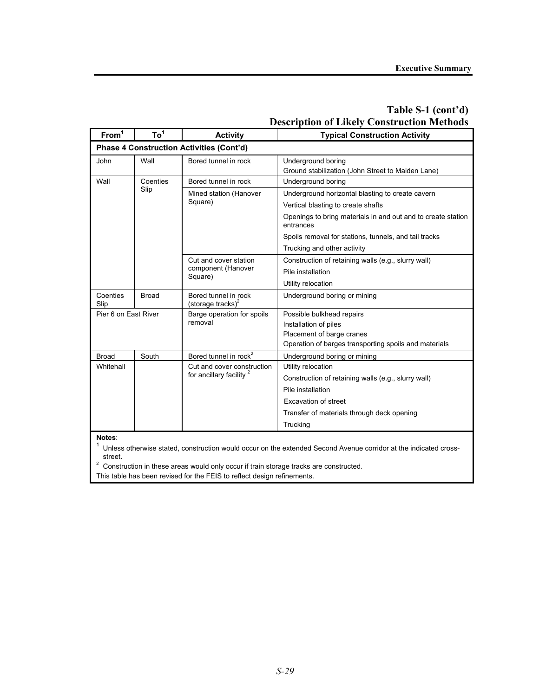| From <sup>1</sup>    | $To^1$       | <b>Activity</b>                                 | <b>Typical Construction Activity</b>                                               |  |  |
|----------------------|--------------|-------------------------------------------------|------------------------------------------------------------------------------------|--|--|
|                      |              | <b>Phase 4 Construction Activities (Cont'd)</b> |                                                                                    |  |  |
| John                 | Wall         | Bored tunnel in rock                            | Underground boring<br>Ground stabilization (John Street to Maiden Lane)            |  |  |
| Wall                 | Coenties     | Bored tunnel in rock                            | Underground boring                                                                 |  |  |
|                      | Slip         | Mined station (Hanover                          | Underground horizontal blasting to create cavern                                   |  |  |
|                      |              | Square)                                         | Vertical blasting to create shafts                                                 |  |  |
|                      |              |                                                 | Openings to bring materials in and out and to create station<br>entrances          |  |  |
|                      |              |                                                 | Spoils removal for stations, tunnels, and tail tracks                              |  |  |
|                      |              |                                                 | Trucking and other activity                                                        |  |  |
|                      |              | Cut and cover station                           | Construction of retaining walls (e.g., slurry wall)                                |  |  |
|                      |              | component (Hanover<br>Square)                   | Pile installation                                                                  |  |  |
|                      |              |                                                 | Utility relocation                                                                 |  |  |
| Coenties<br>Slip     | <b>Broad</b> | Bored tunnel in rock<br>(storage tracks) $2$    | Underground boring or mining                                                       |  |  |
| Pier 6 on East River |              | Barge operation for spoils                      | Possible bulkhead repairs                                                          |  |  |
|                      |              | removal                                         | Installation of piles                                                              |  |  |
|                      |              |                                                 | Placement of barge cranes<br>Operation of barges transporting spoils and materials |  |  |
| <b>Broad</b>         | South        | Bored tunnel in rock <sup>2</sup>               | Underground boring or mining                                                       |  |  |
| Whitehall            |              | Cut and cover construction                      | Utility relocation                                                                 |  |  |
|                      |              | for ancillary facility <sup>2</sup>             | Construction of retaining walls (e.g., slurry wall)                                |  |  |
|                      |              |                                                 | Pile installation                                                                  |  |  |
|                      |              |                                                 | Excavation of street                                                               |  |  |
|                      |              |                                                 | Transfer of materials through deck opening                                         |  |  |
|                      |              |                                                 | Trucking                                                                           |  |  |

**Notes**:<br><sup>1</sup> Unless otherwise stated, construction would occur on the extended Second Avenue corridor at the indicated crossstreet.

 $2$  Construction in these areas would only occur if train storage tracks are constructed.

This table has been revised for the FEIS to reflect design refinements.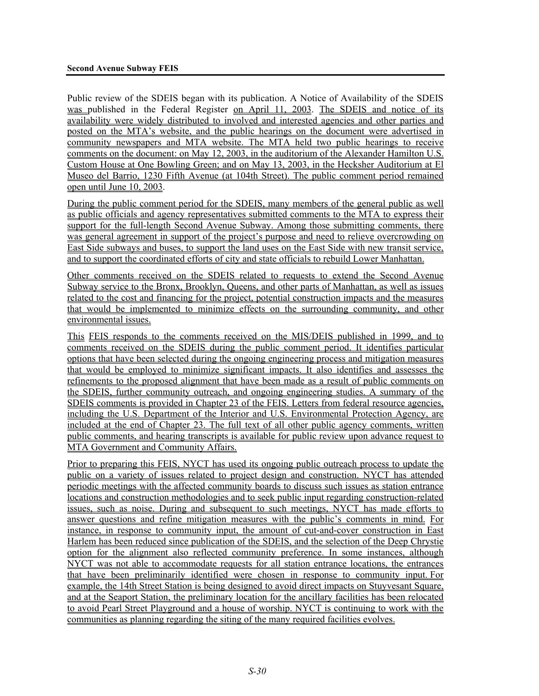Public review of the SDEIS began with its publication. A Notice of Availability of the SDEIS was published in the Federal Register on April 11, 2003. The SDEIS and notice of its availability were widely distributed to involved and interested agencies and other parties and posted on the MTA's website, and the public hearings on the document were advertised in community newspapers and MTA website. The MTA held two public hearings to receive comments on the document: on May 12, 2003, in the auditorium of the Alexander Hamilton U.S. Custom House at One Bowling Green; and on May 13, 2003, in the Hecksher Auditorium at El Museo del Barrio, 1230 Fifth Avenue (at 104th Street). The public comment period remained open until June 10, 2003.

During the public comment period for the SDEIS, many members of the general public as well as public officials and agency representatives submitted comments to the MTA to express their support for the full-length Second Avenue Subway. Among those submitting comments, there was general agreement in support of the project's purpose and need to relieve overcrowding on East Side subways and buses, to support the land uses on the East Side with new transit service, and to support the coordinated efforts of city and state officials to rebuild Lower Manhattan.

Other comments received on the SDEIS related to requests to extend the Second Avenue Subway service to the Bronx, Brooklyn, Queens, and other parts of Manhattan, as well as issues related to the cost and financing for the project, potential construction impacts and the measures that would be implemented to minimize effects on the surrounding community, and other environmental issues.

This FEIS responds to the comments received on the MIS/DEIS published in 1999, and to comments received on the SDEIS during the public comment period. It identifies particular options that have been selected during the ongoing engineering process and mitigation measures that would be employed to minimize significant impacts. It also identifies and assesses the refinements to the proposed alignment that have been made as a result of public comments on the SDEIS, further community outreach, and ongoing engineering studies. A summary of the SDEIS comments is provided in Chapter 23 of the FEIS. Letters from federal resource agencies, including the U.S. Department of the Interior and U.S. Environmental Protection Agency, are included at the end of Chapter 23. The full text of all other public agency comments, written public comments, and hearing transcripts is available for public review upon advance request to MTA Government and Community Affairs.

Prior to preparing this FEIS, NYCT has used its ongoing public outreach process to update the public on a variety of issues related to project design and construction. NYCT has attended periodic meetings with the affected community boards to discuss such issues as station entrance locations and construction methodologies and to seek public input regarding construction-related issues, such as noise. During and subsequent to such meetings, NYCT has made efforts to answer questions and refine mitigation measures with the public's comments in mind. For instance, in response to community input, the amount of cut-and-cover construction in East Harlem has been reduced since publication of the SDEIS, and the selection of the Deep Chrystie option for the alignment also reflected community preference. In some instances, although NYCT was not able to accommodate requests for all station entrance locations, the entrances that have been preliminarily identified were chosen in response to community input. For example, the 14th Street Station is being designed to avoid direct impacts on Stuyvesant Square, and at the Seaport Station, the preliminary location for the ancillary facilities has been relocated to avoid Pearl Street Playground and a house of worship. NYCT is continuing to work with the communities as planning regarding the siting of the many required facilities evolves.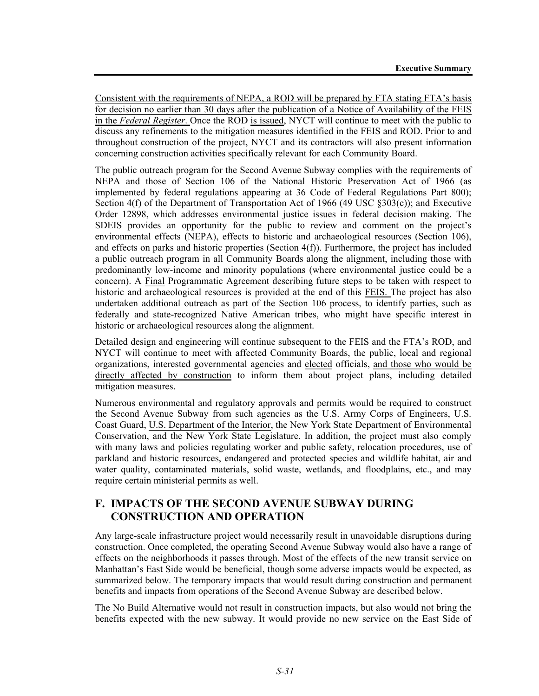Consistent with the requirements of NEPA, a ROD will be prepared by FTA stating FTA's basis for decision no earlier than 30 days after the publication of a Notice of Availability of the FEIS in the *Federal Register*. Once the ROD is issued, NYCT will continue to meet with the public to discuss any refinements to the mitigation measures identified in the FEIS and ROD. Prior to and throughout construction of the project, NYCT and its contractors will also present information concerning construction activities specifically relevant for each Community Board.

The public outreach program for the Second Avenue Subway complies with the requirements of NEPA and those of Section 106 of the National Historic Preservation Act of 1966 (as implemented by federal regulations appearing at 36 Code of Federal Regulations Part 800); Section 4(f) of the Department of Transportation Act of 1966 (49 USC §303(c)); and Executive Order 12898, which addresses environmental justice issues in federal decision making. The SDEIS provides an opportunity for the public to review and comment on the project's environmental effects (NEPA), effects to historic and archaeological resources (Section 106), and effects on parks and historic properties (Section 4(f)). Furthermore, the project has included a public outreach program in all Community Boards along the alignment, including those with predominantly low-income and minority populations (where environmental justice could be a concern). A Final Programmatic Agreement describing future steps to be taken with respect to historic and archaeological resources is provided at the end of this FEIS. The project has also undertaken additional outreach as part of the Section 106 process, to identify parties, such as federally and state-recognized Native American tribes, who might have specific interest in historic or archaeological resources along the alignment.

Detailed design and engineering will continue subsequent to the FEIS and the FTA's ROD, and NYCT will continue to meet with affected Community Boards, the public, local and regional organizations, interested governmental agencies and elected officials, and those who would be directly affected by construction to inform them about project plans, including detailed mitigation measures.

Numerous environmental and regulatory approvals and permits would be required to construct the Second Avenue Subway from such agencies as the U.S. Army Corps of Engineers, U.S. Coast Guard, U.S. Department of the Interior, the New York State Department of Environmental Conservation, and the New York State Legislature. In addition, the project must also comply with many laws and policies regulating worker and public safety, relocation procedures, use of parkland and historic resources, endangered and protected species and wildlife habitat, air and water quality, contaminated materials, solid waste, wetlands, and floodplains, etc., and may require certain ministerial permits as well.

# **F. IMPACTS OF THE SECOND AVENUE SUBWAY DURING CONSTRUCTION AND OPERATION**

Any large-scale infrastructure project would necessarily result in unavoidable disruptions during construction. Once completed, the operating Second Avenue Subway would also have a range of effects on the neighborhoods it passes through. Most of the effects of the new transit service on Manhattan's East Side would be beneficial, though some adverse impacts would be expected, as summarized below. The temporary impacts that would result during construction and permanent benefits and impacts from operations of the Second Avenue Subway are described below.

The No Build Alternative would not result in construction impacts, but also would not bring the benefits expected with the new subway. It would provide no new service on the East Side of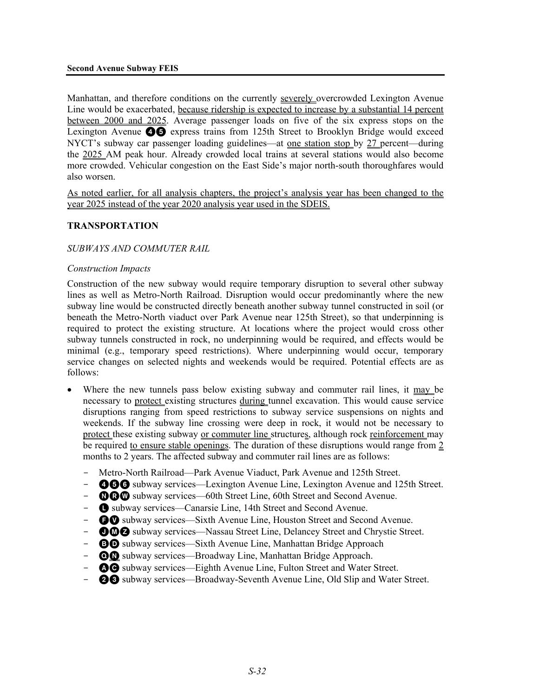Manhattan, and therefore conditions on the currently severely overcrowded Lexington Avenue Line would be exacerbated, because ridership is expected to increase by a substantial 14 percent between 2000 and 2025. Average passenger loads on five of the six express stops on the Lexington Avenue **46** express trains from 125th Street to Brooklyn Bridge would exceed NYCT's subway car passenger loading guidelines—at one station stop by 27 percent—during the 2025 AM peak hour. Already crowded local trains at several stations would also become more crowded. Vehicular congestion on the East Side's major north-south thoroughfares would also worsen.

As noted earlier, for all analysis chapters, the project's analysis year has been changed to the year 2025 instead of the year 2020 analysis year used in the SDEIS.

#### **TRANSPORTATION**

#### *SUBWAYS AND COMMUTER RAIL*

#### *Construction Impacts*

Construction of the new subway would require temporary disruption to several other subway lines as well as Metro-North Railroad. Disruption would occur predominantly where the new subway line would be constructed directly beneath another subway tunnel constructed in soil (or beneath the Metro-North viaduct over Park Avenue near 125th Street), so that underpinning is required to protect the existing structure. At locations where the project would cross other subway tunnels constructed in rock, no underpinning would be required, and effects would be minimal (e.g., temporary speed restrictions). Where underpinning would occur, temporary service changes on selected nights and weekends would be required. Potential effects are as follows:

- Where the new tunnels pass below existing subway and commuter rail lines, it may be necessary to protect existing structures during tunnel excavation. This would cause service disruptions ranging from speed restrictions to subway service suspensions on nights and weekends. If the subway line crossing were deep in rock, it would not be necessary to protect these existing subway or commuter line structures, although rock reinforcement may be required to ensure stable openings. The duration of these disruptions would range from 2 months to 2 years. The affected subway and commuter rail lines are as follows:
	- Metro-North Railroad—Park Avenue Viaduct, Park Avenue and 125th Street.
	- **466** subway services—Lexington Avenue Line, Lexington Avenue and 125th Street.
	- $\blacksquare$  $\blacksquare$  subway services—60th Street Line, 60th Street and Second Avenue.
	- **Q** subway services—Canarsie Line, 14th Street and Second Avenue.
	- $\bullet$  subway services—Sixth Avenue Line, Houston Street and Second Avenue.
	- **ODO** subway services—Nassau Street Line, Delancey Street and Chrystie Street.
	- **OD** subway services—Sixth Avenue Line, Manhattan Bridge Approach
	- $\odot$  subway services—Broadway Line, Manhattan Bridge Approach.
	- $\bullet$  subway services—Eighth Avenue Line, Fulton Street and Water Street.
	- **23** subway services—Broadway-Seventh Avenue Line, Old Slip and Water Street.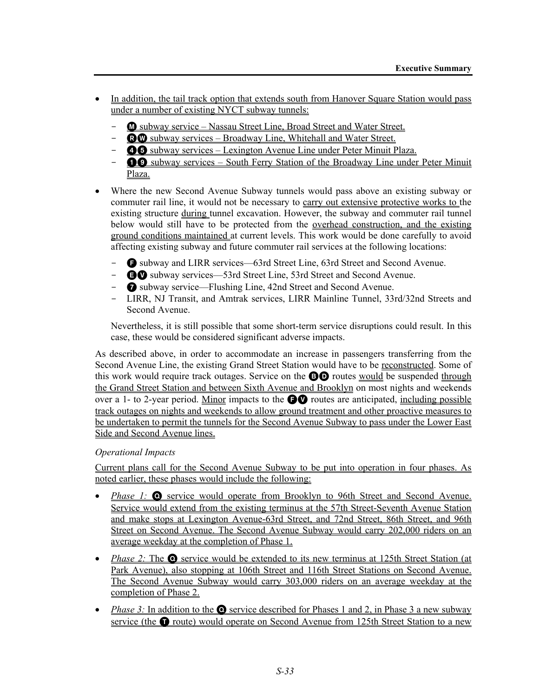- In addition, the tail track option that extends south from Hanover Square Station would pass under a number of existing NYCT subway tunnels:
	- **M** subway service Nassau Street Line, Broad Street and Water Street.
	- $\bullet$  Subway services Broadway Line, Whitehall and Water Street.
	- **46** subway services Lexington Avenue Line under Peter Minuit Plaza.
	- $\bullet$  subway services South Ferry Station of the Broadway Line under Peter Minuit Plaza.
- Where the new Second Avenue Subway tunnels would pass above an existing subway or commuter rail line, it would not be necessary to carry out extensive protective works to the existing structure during tunnel excavation. However, the subway and commuter rail tunnel below would still have to be protected from the overhead construction, and the existing ground conditions maintained at current levels. This work would be done carefully to avoid affecting existing subway and future commuter rail services at the following locations:
	- F subway and LIRR services—63rd Street Line, 63rd Street and Second Avenue.
	- $\bullet\bullet$  subway services—53rd Street Line, 53rd Street and Second Avenue.
	- 7 subway service—Flushing Line, 42nd Street and Second Avenue.
	- LIRR, NJ Transit, and Amtrak services, LIRR Mainline Tunnel, 33rd/32nd Streets and Second Avenue.

Nevertheless, it is still possible that some short-term service disruptions could result. In this case, these would be considered significant adverse impacts.

As described above, in order to accommodate an increase in passengers transferring from the Second Avenue Line, the existing Grand Street Station would have to be reconstructed. Some of this work would require track outages. Service on the **BO** routes would be suspended through the Grand Street Station and between Sixth Avenue and Brooklyn on most nights and weekends over a 1- to 2-year period. Minor impacts to the  $\bigcirc$  routes are anticipated, including possible track outages on nights and weekends to allow ground treatment and other proactive measures to be undertaken to permit the tunnels for the Second Avenue Subway to pass under the Lower East Side and Second Avenue lines.

# *Operational Impacts*

Current plans call for the Second Avenue Subway to be put into operation in four phases. As noted earlier, these phases would include the following:

- *Phase 1:* **O** service would operate from Brooklyn to 96th Street and Second Avenue. Service would extend from the existing terminus at the 57th Street-Seventh Avenue Station and make stops at Lexington Avenue-63rd Street, and 72nd Street, 86th Street, and 96th Street on Second Avenue. The Second Avenue Subway would carry 202,000 riders on an average weekday at the completion of Phase 1.
- *Phase 2:* The **O** service would be extended to its new terminus at 125th Street Station (at Park Avenue), also stopping at 106th Street and 116th Street Stations on Second Avenue. The Second Avenue Subway would carry 303,000 riders on an average weekday at the completion of Phase 2.
- *Phase 3:* In addition to the  $\odot$  service described for Phases 1 and 2, in Phase 3 a new subway service (the  $\bullet$  route) would operate on Second Avenue from 125th Street Station to a new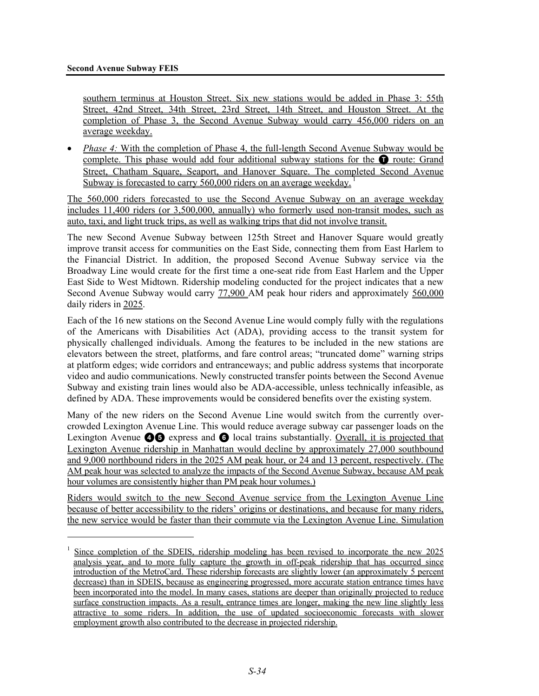<u>.</u>

southern terminus at Houston Street. Six new stations would be added in Phase 3: 55th Street, 42nd Street, 34th Street, 23rd Street, 14th Street, and Houston Street. At the completion of Phase 3, the Second Avenue Subway would carry 456,000 riders on an average weekday.

• *Phase 4:* With the completion of Phase 4, the full-length Second Avenue Subway would be complete. This phase would add four additional subway stations for the  $\bullet$  route: Grand Street, Chatham Square, Seaport, and Hanover Square. The completed Second Avenue Subway is forecasted to carry 560,000 riders on an average weekday.

The 560,000 riders forecasted to use the Second Avenue Subway on an average weekday includes 11,400 riders (or 3,500,000, annually) who formerly used non-transit modes, such as auto, taxi, and light truck trips, as well as walking trips that did not involve transit.

The new Second Avenue Subway between 125th Street and Hanover Square would greatly improve transit access for communities on the East Side, connecting them from East Harlem to the Financial District. In addition, the proposed Second Avenue Subway service via the Broadway Line would create for the first time a one-seat ride from East Harlem and the Upper East Side to West Midtown. Ridership modeling conducted for the project indicates that a new Second Avenue Subway would carry 77,900 AM peak hour riders and approximately 560,000 daily riders in 2025.

Each of the 16 new stations on the Second Avenue Line would comply fully with the regulations of the Americans with Disabilities Act (ADA), providing access to the transit system for physically challenged individuals. Among the features to be included in the new stations are elevators between the street, platforms, and fare control areas; "truncated dome" warning strips at platform edges; wide corridors and entranceways; and public address systems that incorporate video and audio communications. Newly constructed transfer points between the Second Avenue Subway and existing train lines would also be ADA-accessible, unless technically infeasible, as defined by ADA. These improvements would be considered benefits over the existing system.

Many of the new riders on the Second Avenue Line would switch from the currently overcrowded Lexington Avenue Line. This would reduce average subway car passenger loads on the Lexington Avenue **46** express and **6** local trains substantially. Overall, it is projected that Lexington Avenue ridership in Manhattan would decline by approximately 27,000 southbound and 9,000 northbound riders in the 2025 AM peak hour, or 24 and 13 percent, respectively. (The AM peak hour was selected to analyze the impacts of the Second Avenue Subway, because AM peak hour volumes are consistently higher than PM peak hour volumes.)

Riders would switch to the new Second Avenue service from the Lexington Avenue Line because of better accessibility to the riders' origins or destinations, and because for many riders, the new service would be faster than their commute via the Lexington Avenue Line. Simulation

<sup>1</sup> Since completion of the SDEIS, ridership modeling has been revised to incorporate the new 2025 analysis year, and to more fully capture the growth in off-peak ridership that has occurred since introduction of the MetroCard. These ridership forecasts are slightly lower (an approximately 5 percent decrease) than in SDEIS, because as engineering progressed, more accurate station entrance times have been incorporated into the model. In many cases, stations are deeper than originally projected to reduce surface construction impacts. As a result, entrance times are longer, making the new line slightly less attractive to some riders. In addition, the use of updated socioeconomic forecasts with slower employment growth also contributed to the decrease in projected ridership.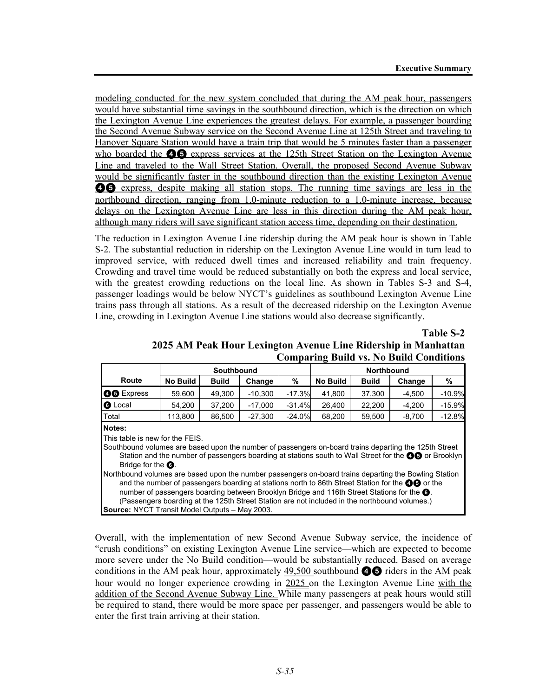modeling conducted for the new system concluded that during the AM peak hour, passengers would have substantial time savings in the southbound direction, which is the direction on which the Lexington Avenue Line experiences the greatest delays. For example, a passenger boarding the Second Avenue Subway service on the Second Avenue Line at 125th Street and traveling to Hanover Square Station would have a train trip that would be 5 minutes faster than a passenger who boarded the  $\odot$  express services at the 125th Street Station on the Lexington Avenue Line and traveled to the Wall Street Station. Overall, the proposed Second Avenue Subway would be significantly faster in the southbound direction than the existing Lexington Avenue **46** express, despite making all station stops. The running time savings are less in the northbound direction, ranging from 1.0-minute reduction to a 1.0-minute increase, because delays on the Lexington Avenue Line are less in this direction during the AM peak hour, although many riders will save significant station access time, depending on their destination.

The reduction in Lexington Avenue Line ridership during the AM peak hour is shown in Table S-2. The substantial reduction in ridership on the Lexington Avenue Line would in turn lead to improved service, with reduced dwell times and increased reliability and train frequency. Crowding and travel time would be reduced substantially on both the express and local service, with the greatest crowding reductions on the local line. As shown in Tables S-3 and S-4, passenger loadings would be below NYCT's guidelines as southbound Lexington Avenue Line trains pass through all stations. As a result of the decreased ridership on the Lexington Avenue Line, crowding in Lexington Avenue Line stations would also decrease significantly.

#### **Table S-2 2025 AM Peak Hour Lexington Avenue Line Ridership in Manhattan Comparing Build vs. No Build Conditions**

|                   |                 | Southbound   |           |          | <b>Northbound</b> |              |          |          |
|-------------------|-----------------|--------------|-----------|----------|-------------------|--------------|----------|----------|
| Route             | <b>No Build</b> | <b>Build</b> | Change    | %        | <b>No Build</b>   | <b>Build</b> | Change   | %        |
| <b>OO</b> Express | 59,600          | 49.300       | $-10,300$ | $-17.3%$ | 41,800            | 37,300       | $-4.500$ | $-10.9%$ |
| <b>6</b> Local    | 54.200          | 37.200       | $-17,000$ | $-31.4%$ | 26,400            | 22.200       | $-4,200$ | $-15.9%$ |
| Total             | 113,800         | 86,500       | $-27,300$ | $-24.0%$ | 68,200            | 59,500       | $-8,700$ | $-12.8%$ |
| .                 |                 |              |           |          |                   |              |          |          |

**Notes:**

This table is new for the FEIS.

Southbound volumes are based upon the number of passengers on-board trains departing the 125th Street Station and the number of passengers boarding at stations south to Wall Street for the **46 o**r Brooklyn Bridge for the **O**.

Northbound volumes are based upon the number passengers on-board trains departing the Bowling Station and the number of passengers boarding at stations north to 86th Street Station for the **46** or the number of passengers boarding between Brooklyn Bridge and 116th Street Stations for the  $\odot$ . (Passengers boarding at the 125th Street Station are not included in the northbound volumes.) **Source:** NYCT Transit Model Outputs – May 2003.

Overall, with the implementation of new Second Avenue Subway service, the incidence of "crush conditions" on existing Lexington Avenue Line service—which are expected to become more severe under the No Build condition—would be substantially reduced. Based on average conditions in the AM peak hour, approximately  $49,500$  southbound  $\bullet$  riders in the AM peak hour would no longer experience crowding in 2025 on the Lexington Avenue Line with the addition of the Second Avenue Subway Line. While many passengers at peak hours would still be required to stand, there would be more space per passenger, and passengers would be able to enter the first train arriving at their station.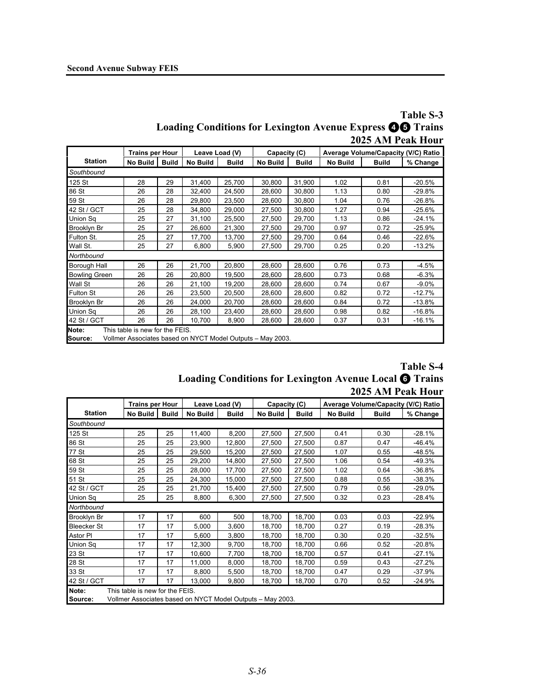|                                                                  | Table S-3         |
|------------------------------------------------------------------|-------------------|
| <b>Loading Conditions for Lexington Avenue Express @G Trains</b> |                   |
|                                                                  | 2025 AM Peak Hour |

|                      | <b>Trains per Hour</b>          |              | Leave Load (V)                                             |              | Capacity (C)    |              | Average Volume/Capacity (V/C) Ratio |              |          |
|----------------------|---------------------------------|--------------|------------------------------------------------------------|--------------|-----------------|--------------|-------------------------------------|--------------|----------|
| <b>Station</b>       | No Build                        | <b>Build</b> | No Build                                                   | <b>Build</b> | <b>No Build</b> | <b>Build</b> | <b>No Build</b>                     | <b>Build</b> | % Change |
| Southbound           |                                 |              |                                                            |              |                 |              |                                     |              |          |
| 125 St               | 28                              | 29           | 31,400                                                     | 25,700       | 30.800          | 31.900       | 1.02                                | 0.81         | $-20.5%$ |
| 86 St                | 26                              | 28           | 32,400                                                     | 24,500       | 28,600          | 30,800       | 1.13                                | 0.80         | $-29.8%$ |
| 59 St                | 26                              | 28           | 29.800                                                     | 23,500       | 28,600          | 30.800       | 1.04                                | 0.76         | $-26.8%$ |
| 42 St / GCT          | 25                              | 28           | 34,800                                                     | 29,000       | 27,500          | 30,800       | 1.27                                | 0.94         | $-25.6%$ |
| <b>Union Sq</b>      | 25                              | 27           | 31,100                                                     | 25,500       | 27,500          | 29,700       | 1.13                                | 0.86         | $-24.1%$ |
| <b>Brooklyn Br</b>   | 25                              | 27           | 26,600                                                     | 21,300       | 27,500          | 29,700       | 0.97                                | 0.72         | $-25.9%$ |
| Fulton St.           | 25                              | 27           | 17,700                                                     | 13,700       | 27,500          | 29,700       | 0.64                                | 0.46         | $-22.6%$ |
| Wall St.             | 25                              | 27           | 6,800                                                      | 5,900        | 27,500          | 29,700       | 0.25                                | 0.20         | $-13.2%$ |
| Northbound           |                                 |              |                                                            |              |                 |              |                                     |              |          |
| Borough Hall         | 26                              | 26           | 21,700                                                     | 20,800       | 28,600          | 28,600       | 0.76                                | 0.73         | $-4.5%$  |
| <b>Bowling Green</b> | 26                              | 26           | 20,800                                                     | 19,500       | 28,600          | 28,600       | 0.73                                | 0.68         | $-6.3%$  |
| <b>Wall St</b>       | 26                              | 26           | 21,100                                                     | 19,200       | 28,600          | 28,600       | 0.74                                | 0.67         | $-9.0%$  |
| <b>Fulton St</b>     | 26                              | 26           | 23,500                                                     | 20,500       | 28,600          | 28,600       | 0.82                                | 0.72         | $-12.7%$ |
| <b>Brooklyn Br</b>   | 26                              | 26           | 24,000                                                     | 20.700       | 28,600          | 28,600       | 0.84                                | 0.72         | $-13.8%$ |
| <b>Union Sq</b>      | 26                              | 26           | 28,100                                                     | 23,400       | 28,600          | 28,600       | 0.98                                | 0.82         | $-16.8%$ |
| 42 St / GCT          | 26                              | 26           | 10,700                                                     | 8,900        | 28,600          | 28,600       | 0.37                                | 0.31         | $-16.1%$ |
| Note:<br>Source:     | This table is new for the FEIS. |              | Vollmer Associates based on NYCT Model Outputs - May 2003. |              |                 |              |                                     |              |          |

|                                                               | <b>Table S-4</b>  |
|---------------------------------------------------------------|-------------------|
| <b>Loading Conditions for Lexington Avenue Local O Trains</b> |                   |
|                                                               | 2025 AM Peak Hour |

|                                                            | <b>Trains per Hour</b>          |              | Leave Load (V) |              | Capacity (C)    |              | Average Volume/Capacity (V/C) Ratio |              |          |
|------------------------------------------------------------|---------------------------------|--------------|----------------|--------------|-----------------|--------------|-------------------------------------|--------------|----------|
| <b>Station</b>                                             | No Build                        | <b>Build</b> | No Build       | <b>Build</b> | <b>No Build</b> | <b>Build</b> | <b>No Build</b>                     | <b>Build</b> | % Change |
| Southbound                                                 |                                 |              |                |              |                 |              |                                     |              |          |
| 125 St                                                     | 25                              | 25           | 11,400         | 8,200        | 27,500          | 27,500       | 0.41                                | 0.30         | $-28.1%$ |
| 86 St                                                      | 25                              | 25           | 23,900         | 12,800       | 27,500          | 27,500       | 0.87                                | 0.47         | $-46.4%$ |
| 77 St                                                      | 25                              | 25           | 29,500         | 15,200       | 27,500          | 27,500       | 1.07                                | 0.55         | $-48.5%$ |
| 68 St                                                      | 25                              | 25           | 29,200         | 14,800       | 27,500          | 27,500       | 1.06                                | 0.54         | $-49.3%$ |
| 59 St                                                      | 25                              | 25           | 28,000         | 17,700       | 27,500          | 27,500       | 1.02                                | 0.64         | $-36.8%$ |
| 51 St                                                      | 25                              | 25           | 24,300         | 15,000       | 27,500          | 27,500       | 0.88                                | 0.55         | $-38.3%$ |
| 42 St / GCT                                                | 25                              | 25           | 21,700         | 15,400       | 27,500          | 27,500       | 0.79                                | 0.56         | $-29.0%$ |
| Union Sq                                                   | 25                              | 25           | 8,800          | 6,300        | 27,500          | 27,500       | 0.32                                | 0.23         | $-28.4%$ |
| Northbound                                                 |                                 |              |                |              |                 |              |                                     |              |          |
| Brooklyn Br                                                | 17                              | 17           | 600            | 500          | 18,700          | 18,700       | 0.03                                | 0.03         | $-22.9%$ |
| <b>Bleecker St</b>                                         | 17                              | 17           | 5,000          | 3,600        | 18,700          | 18,700       | 0.27                                | 0.19         | $-28.3%$ |
| Astor PI                                                   | 17                              | 17           | 5,600          | 3,800        | 18,700          | 18,700       | 0.30                                | 0.20         | $-32.5%$ |
| Union Sq                                                   | 17                              | 17           | 12,300         | 9,700        | 18,700          | 18,700       | 0.66                                | 0.52         | $-20.8%$ |
| 23 St                                                      | 17                              | 17           | 10,600         | 7,700        | 18,700          | 18,700       | 0.57                                | 0.41         | $-27.1%$ |
| 28 St                                                      | 17                              | 17           | 11,000         | 8,000        | 18,700          | 18,700       | 0.59                                | 0.43         | $-27.2%$ |
| 33 St                                                      | 17                              | 17           | 8,800          | 5,500        | 18,700          | 18,700       | 0.47                                | 0.29         | $-37.9%$ |
| 42 St / GCT                                                | 17                              | 17           | 13,000         | 9,800        | 18,700          | 18,700       | 0.70                                | 0.52         | $-24.9%$ |
| Note:<br>Source:                                           | This table is new for the FEIS. |              |                |              |                 |              |                                     |              |          |
| Vollmer Associates based on NYCT Model Outputs - May 2003. |                                 |              |                |              |                 |              |                                     |              |          |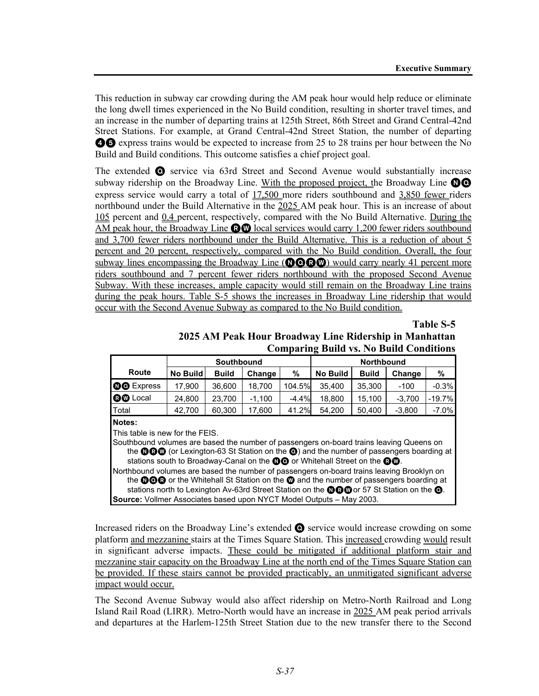This reduction in subway car crowding during the AM peak hour would help reduce or eliminate the long dwell times experienced in the No Build condition, resulting in shorter travel times, and an increase in the number of departing trains at 125th Street, 86th Street and Grand Central-42nd Street Stations. For example, at Grand Central-42nd Street Station, the number of departing **46** express trains would be expected to increase from 25 to 28 trains per hour between the No Build and Build conditions. This outcome satisfies a chief project goal.

The extended Q service via 63rd Street and Second Avenue would substantially increase subway ridership on the Broadway Line. With the proposed project, the Broadway Line  $\odot$ express service would carry a total of 17,500 more riders southbound and 3,850 fewer riders northbound under the Build Alternative in the 2025 AM peak hour. This is an increase of about 105 percent and 0.4 percent, respectively, compared with the No Build Alternative. During the AM peak hour, the Broadway Line  $\mathbf{R}\mathbf{W}$  local services would carry 1,200 fewer riders southbound and 3,700 fewer riders northbound under the Build Alternative. This is a reduction of about 5 percent and 20 percent, respectively, compared with the No Build condition. Overall, the four subway lines encompassing the Broadway Line (**OOOW**) would carry nearly 41 percent more riders southbound and 7 percent fewer riders northbound with the proposed Second Avenue Subway. With these increases, ample capacity would still remain on the Broadway Line trains during the peak hours. Table S-5 shows the increases in Broadway Line ridership that would occur with the Second Avenue Subway as compared to the No Build condition.

#### **Table S-5**

**2025 AM Peak Hour Broadway Line Ridership in Manhattan Comparing Build vs. No Build Conditions**

| Southbound      |              |          |   | <b>Northbound</b> |                            |          |          |
|-----------------|--------------|----------|---|-------------------|----------------------------|----------|----------|
| <b>No Build</b> | <b>Build</b> | Change   | % | <b>No Build</b>   | <b>Build</b>               | Change   | %        |
| 17,900          | 36.600       | 18.700   |   | 35.400            | 35.300                     | $-100$   | $-0.3%$  |
| 24,800          | 23.700       | $-1.100$ |   | 18.800            | 15.100                     | $-3.700$ | $-19.7%$ |
| 42,700          | 60,300       | 17,600   |   | 54.200            | 50,400                     | $-3.800$ | $-7.0\%$ |
|                 |              |          |   |                   | 104.5%<br>$-4.4%$<br>41.2% |          |          |

#### **Notes:**

This table is new for the FEIS.

Southbound volumes are based the number of passengers on-board trains leaving Queens on the **OCO** (or Lexington-63 St Station on the O) and the number of passengers boarding at stations south to Broadway-Canal on the  $\mathbf{Q}$  or Whitehall Street on the  $\mathbf{Q}$  $\mathbf{Q}$ .

Northbound volumes are based the number of passengers on-board trains leaving Brooklyn on the **OOC** or the Whitehall St Station on the  $\omega$  and the number of passengers boarding at stations north to Lexington Av-63rd Street Station on the  $\mathbf{Q}$   $\mathbf{Q}$  or 57 St Station on the  $\mathbf{Q}$ . **Source:** Vollmer Associates based upon NYCT Model Outputs – May 2003.

Increased riders on the Broadway Line's extended Q service would increase crowding on some platform and mezzanine stairs at the Times Square Station. This increased crowding would result in significant adverse impacts. These could be mitigated if additional platform stair and mezzanine stair capacity on the Broadway Line at the north end of the Times Square Station can be provided. If these stairs cannot be provided practicably, an unmitigated significant adverse impact would occur.

The Second Avenue Subway would also affect ridership on Metro-North Railroad and Long Island Rail Road (LIRR). Metro-North would have an increase in 2025 AM peak period arrivals and departures at the Harlem-125th Street Station due to the new transfer there to the Second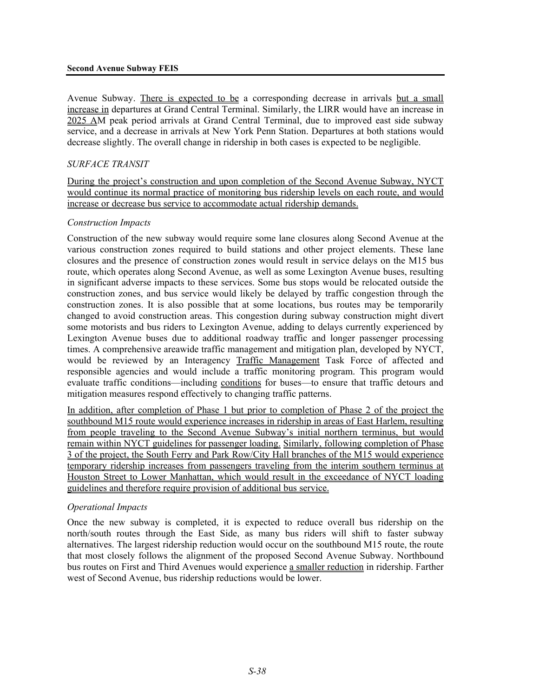Avenue Subway. There is expected to be a corresponding decrease in arrivals but a small increase in departures at Grand Central Terminal. Similarly, the LIRR would have an increase in 2025 AM peak period arrivals at Grand Central Terminal, due to improved east side subway service, and a decrease in arrivals at New York Penn Station. Departures at both stations would decrease slightly. The overall change in ridership in both cases is expected to be negligible.

### *SURFACE TRANSIT*

During the project's construction and upon completion of the Second Avenue Subway, NYCT would continue its normal practice of monitoring bus ridership levels on each route, and would increase or decrease bus service to accommodate actual ridership demands.

### *Construction Impacts*

Construction of the new subway would require some lane closures along Second Avenue at the various construction zones required to build stations and other project elements. These lane closures and the presence of construction zones would result in service delays on the M15 bus route, which operates along Second Avenue, as well as some Lexington Avenue buses, resulting in significant adverse impacts to these services. Some bus stops would be relocated outside the construction zones, and bus service would likely be delayed by traffic congestion through the construction zones. It is also possible that at some locations, bus routes may be temporarily changed to avoid construction areas. This congestion during subway construction might divert some motorists and bus riders to Lexington Avenue, adding to delays currently experienced by Lexington Avenue buses due to additional roadway traffic and longer passenger processing times. A comprehensive areawide traffic management and mitigation plan, developed by NYCT, would be reviewed by an Interagency Traffic Management Task Force of affected and responsible agencies and would include a traffic monitoring program. This program would evaluate traffic conditions—including conditions for buses—to ensure that traffic detours and mitigation measures respond effectively to changing traffic patterns.

In addition, after completion of Phase 1 but prior to completion of Phase 2 of the project the southbound M15 route would experience increases in ridership in areas of East Harlem, resulting from people traveling to the Second Avenue Subway's initial northern terminus, but would remain within NYCT guidelines for passenger loading. Similarly, following completion of Phase 3 of the project, the South Ferry and Park Row/City Hall branches of the M15 would experience temporary ridership increases from passengers traveling from the interim southern terminus at Houston Street to Lower Manhattan, which would result in the exceedance of NYCT loading guidelines and therefore require provision of additional bus service.

#### *Operational Impacts*

Once the new subway is completed, it is expected to reduce overall bus ridership on the north/south routes through the East Side, as many bus riders will shift to faster subway alternatives. The largest ridership reduction would occur on the southbound M15 route, the route that most closely follows the alignment of the proposed Second Avenue Subway. Northbound bus routes on First and Third Avenues would experience a smaller reduction in ridership. Farther west of Second Avenue, bus ridership reductions would be lower.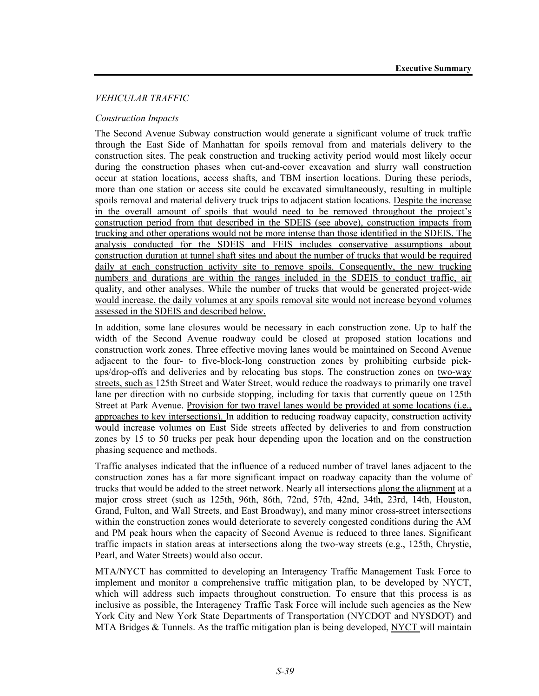#### *VEHICULAR TRAFFIC*

#### *Construction Impacts*

The Second Avenue Subway construction would generate a significant volume of truck traffic through the East Side of Manhattan for spoils removal from and materials delivery to the construction sites. The peak construction and trucking activity period would most likely occur during the construction phases when cut-and-cover excavation and slurry wall construction occur at station locations, access shafts, and TBM insertion locations. During these periods, more than one station or access site could be excavated simultaneously, resulting in multiple spoils removal and material delivery truck trips to adjacent station locations. Despite the increase in the overall amount of spoils that would need to be removed throughout the project's construction period from that described in the SDEIS (see above), construction impacts from trucking and other operations would not be more intense than those identified in the SDEIS. The analysis conducted for the SDEIS and FEIS includes conservative assumptions about construction duration at tunnel shaft sites and about the number of trucks that would be required daily at each construction activity site to remove spoils. Consequently, the new trucking numbers and durations are within the ranges included in the SDEIS to conduct traffic, air quality, and other analyses. While the number of trucks that would be generated project-wide would increase, the daily volumes at any spoils removal site would not increase beyond volumes assessed in the SDEIS and described below.

In addition, some lane closures would be necessary in each construction zone. Up to half the width of the Second Avenue roadway could be closed at proposed station locations and construction work zones. Three effective moving lanes would be maintained on Second Avenue adjacent to the four- to five-block-long construction zones by prohibiting curbside pickups/drop-offs and deliveries and by relocating bus stops. The construction zones on two-way streets, such as 125th Street and Water Street, would reduce the roadways to primarily one travel lane per direction with no curbside stopping, including for taxis that currently queue on 125th Street at Park Avenue. Provision for two travel lanes would be provided at some locations (i.e., approaches to key intersections). In addition to reducing roadway capacity, construction activity would increase volumes on East Side streets affected by deliveries to and from construction zones by 15 to 50 trucks per peak hour depending upon the location and on the construction phasing sequence and methods.

Traffic analyses indicated that the influence of a reduced number of travel lanes adjacent to the construction zones has a far more significant impact on roadway capacity than the volume of trucks that would be added to the street network. Nearly all intersections along the alignment at a major cross street (such as 125th, 96th, 86th, 72nd, 57th, 42nd, 34th, 23rd, 14th, Houston, Grand, Fulton, and Wall Streets, and East Broadway), and many minor cross-street intersections within the construction zones would deteriorate to severely congested conditions during the AM and PM peak hours when the capacity of Second Avenue is reduced to three lanes. Significant traffic impacts in station areas at intersections along the two-way streets (e.g., 125th, Chrystie, Pearl, and Water Streets) would also occur.

MTA/NYCT has committed to developing an Interagency Traffic Management Task Force to implement and monitor a comprehensive traffic mitigation plan, to be developed by NYCT, which will address such impacts throughout construction. To ensure that this process is as inclusive as possible, the Interagency Traffic Task Force will include such agencies as the New York City and New York State Departments of Transportation (NYCDOT and NYSDOT) and MTA Bridges  $\&$  Tunnels. As the traffic mitigation plan is being developed, NYCT will maintain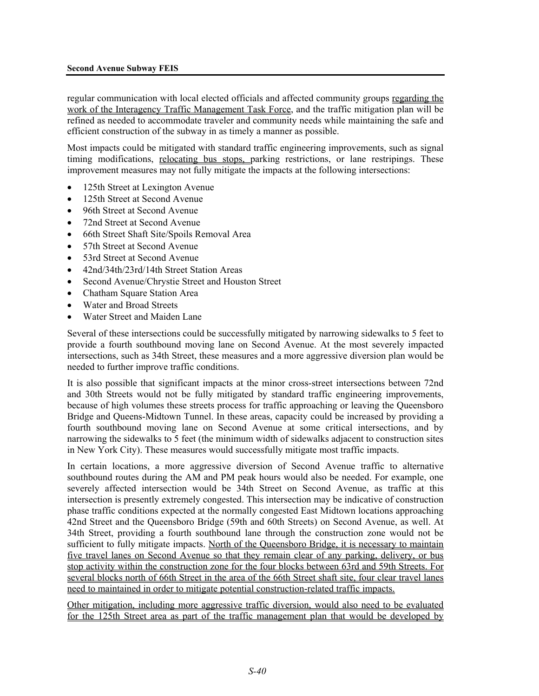regular communication with local elected officials and affected community groups regarding the work of the Interagency Traffic Management Task Force, and the traffic mitigation plan will be refined as needed to accommodate traveler and community needs while maintaining the safe and efficient construction of the subway in as timely a manner as possible.

Most impacts could be mitigated with standard traffic engineering improvements, such as signal timing modifications, relocating bus stops, parking restrictions, or lane restripings. These improvement measures may not fully mitigate the impacts at the following intersections:

- 125th Street at Lexington Avenue
- 125th Street at Second Avenue
- 96th Street at Second Avenue
- 72nd Street at Second Avenue
- 66th Street Shaft Site/Spoils Removal Area
- 57th Street at Second Avenue
- 53rd Street at Second Avenue
- 42nd/34th/23rd/14th Street Station Areas
- Second Avenue/Chrystie Street and Houston Street
- Chatham Square Station Area
- Water and Broad Streets
- Water Street and Maiden Lane

Several of these intersections could be successfully mitigated by narrowing sidewalks to 5 feet to provide a fourth southbound moving lane on Second Avenue. At the most severely impacted intersections, such as 34th Street, these measures and a more aggressive diversion plan would be needed to further improve traffic conditions.

It is also possible that significant impacts at the minor cross-street intersections between 72nd and 30th Streets would not be fully mitigated by standard traffic engineering improvements, because of high volumes these streets process for traffic approaching or leaving the Queensboro Bridge and Queens-Midtown Tunnel. In these areas, capacity could be increased by providing a fourth southbound moving lane on Second Avenue at some critical intersections, and by narrowing the sidewalks to 5 feet (the minimum width of sidewalks adjacent to construction sites in New York City). These measures would successfully mitigate most traffic impacts.

In certain locations, a more aggressive diversion of Second Avenue traffic to alternative southbound routes during the AM and PM peak hours would also be needed. For example, one severely affected intersection would be 34th Street on Second Avenue, as traffic at this intersection is presently extremely congested. This intersection may be indicative of construction phase traffic conditions expected at the normally congested East Midtown locations approaching 42nd Street and the Queensboro Bridge (59th and 60th Streets) on Second Avenue, as well. At 34th Street, providing a fourth southbound lane through the construction zone would not be sufficient to fully mitigate impacts. North of the Queensboro Bridge, it is necessary to maintain five travel lanes on Second Avenue so that they remain clear of any parking, delivery, or bus stop activity within the construction zone for the four blocks between 63rd and 59th Streets. For several blocks north of 66th Street in the area of the 66th Street shaft site, four clear travel lanes need to maintained in order to mitigate potential construction-related traffic impacts.

Other mitigation, including more aggressive traffic diversion, would also need to be evaluated for the 125th Street area as part of the traffic management plan that would be developed by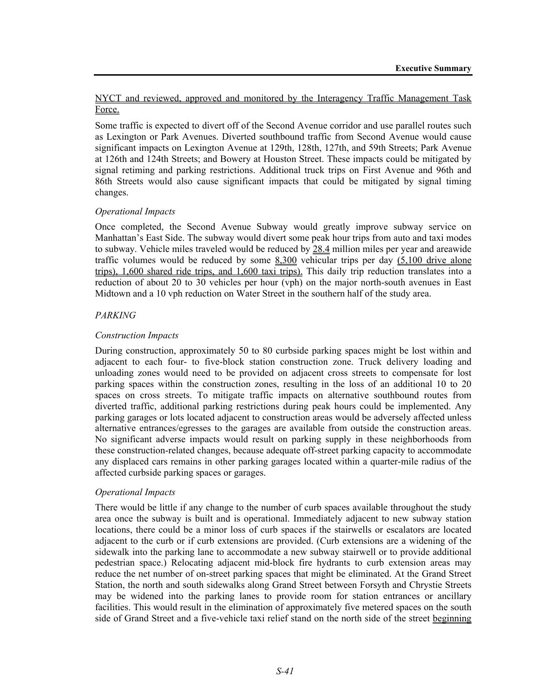### NYCT and reviewed, approved and monitored by the Interagency Traffic Management Task Force.

Some traffic is expected to divert off of the Second Avenue corridor and use parallel routes such as Lexington or Park Avenues. Diverted southbound traffic from Second Avenue would cause significant impacts on Lexington Avenue at 129th, 128th, 127th, and 59th Streets; Park Avenue at 126th and 124th Streets; and Bowery at Houston Street. These impacts could be mitigated by signal retiming and parking restrictions. Additional truck trips on First Avenue and 96th and 86th Streets would also cause significant impacts that could be mitigated by signal timing changes.

### *Operational Impacts*

Once completed, the Second Avenue Subway would greatly improve subway service on Manhattan's East Side. The subway would divert some peak hour trips from auto and taxi modes to subway. Vehicle miles traveled would be reduced by 28.4 million miles per year and areawide traffic volumes would be reduced by some  $8,300$  vehicular trips per day  $(5,100)$  drive alone trips), 1,600 shared ride trips, and 1,600 taxi trips). This daily trip reduction translates into a reduction of about 20 to 30 vehicles per hour (vph) on the major north-south avenues in East Midtown and a 10 vph reduction on Water Street in the southern half of the study area.

### *PARKING*

### *Construction Impacts*

During construction, approximately 50 to 80 curbside parking spaces might be lost within and adjacent to each four- to five-block station construction zone. Truck delivery loading and unloading zones would need to be provided on adjacent cross streets to compensate for lost parking spaces within the construction zones, resulting in the loss of an additional 10 to 20 spaces on cross streets. To mitigate traffic impacts on alternative southbound routes from diverted traffic, additional parking restrictions during peak hours could be implemented. Any parking garages or lots located adjacent to construction areas would be adversely affected unless alternative entrances/egresses to the garages are available from outside the construction areas. No significant adverse impacts would result on parking supply in these neighborhoods from these construction-related changes, because adequate off-street parking capacity to accommodate any displaced cars remains in other parking garages located within a quarter-mile radius of the affected curbside parking spaces or garages.

#### *Operational Impacts*

There would be little if any change to the number of curb spaces available throughout the study area once the subway is built and is operational. Immediately adjacent to new subway station locations, there could be a minor loss of curb spaces if the stairwells or escalators are located adjacent to the curb or if curb extensions are provided. (Curb extensions are a widening of the sidewalk into the parking lane to accommodate a new subway stairwell or to provide additional pedestrian space.) Relocating adjacent mid-block fire hydrants to curb extension areas may reduce the net number of on-street parking spaces that might be eliminated. At the Grand Street Station, the north and south sidewalks along Grand Street between Forsyth and Chrystie Streets may be widened into the parking lanes to provide room for station entrances or ancillary facilities. This would result in the elimination of approximately five metered spaces on the south side of Grand Street and a five-vehicle taxi relief stand on the north side of the street beginning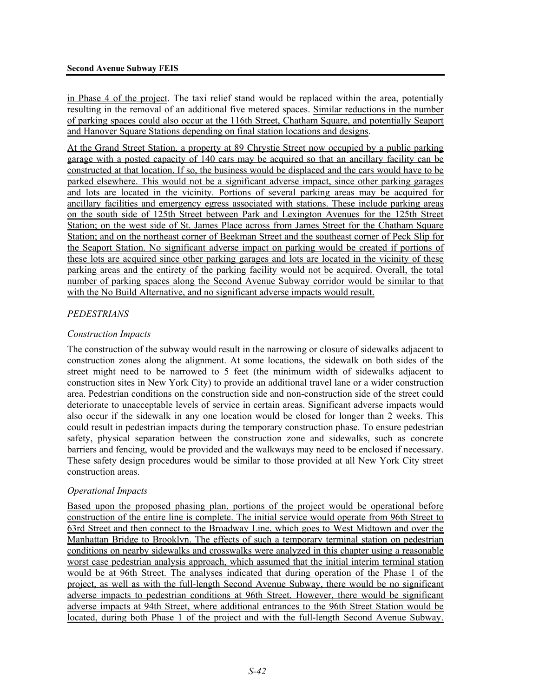in Phase 4 of the project. The taxi relief stand would be replaced within the area, potentially resulting in the removal of an additional five metered spaces. Similar reductions in the number of parking spaces could also occur at the 116th Street, Chatham Square, and potentially Seaport and Hanover Square Stations depending on final station locations and designs.

At the Grand Street Station, a property at 89 Chrystie Street now occupied by a public parking garage with a posted capacity of 140 cars may be acquired so that an ancillary facility can be constructed at that location. If so, the business would be displaced and the cars would have to be parked elsewhere. This would not be a significant adverse impact, since other parking garages and lots are located in the vicinity. Portions of several parking areas may be acquired for ancillary facilities and emergency egress associated with stations. These include parking areas on the south side of 125th Street between Park and Lexington Avenues for the 125th Street Station; on the west side of St. James Place across from James Street for the Chatham Square Station; and on the northeast corner of Beekman Street and the southeast corner of Peck Slip for the Seaport Station. No significant adverse impact on parking would be created if portions of these lots are acquired since other parking garages and lots are located in the vicinity of these parking areas and the entirety of the parking facility would not be acquired. Overall, the total number of parking spaces along the Second Avenue Subway corridor would be similar to that with the No Build Alternative, and no significant adverse impacts would result.

# *PEDESTRIANS*

# *Construction Impacts*

The construction of the subway would result in the narrowing or closure of sidewalks adjacent to construction zones along the alignment. At some locations, the sidewalk on both sides of the street might need to be narrowed to 5 feet (the minimum width of sidewalks adjacent to construction sites in New York City) to provide an additional travel lane or a wider construction area. Pedestrian conditions on the construction side and non-construction side of the street could deteriorate to unacceptable levels of service in certain areas. Significant adverse impacts would also occur if the sidewalk in any one location would be closed for longer than 2 weeks. This could result in pedestrian impacts during the temporary construction phase. To ensure pedestrian safety, physical separation between the construction zone and sidewalks, such as concrete barriers and fencing, would be provided and the walkways may need to be enclosed if necessary. These safety design procedures would be similar to those provided at all New York City street construction areas.

# *Operational Impacts*

Based upon the proposed phasing plan, portions of the project would be operational before construction of the entire line is complete. The initial service would operate from 96th Street to 63rd Street and then connect to the Broadway Line, which goes to West Midtown and over the Manhattan Bridge to Brooklyn. The effects of such a temporary terminal station on pedestrian conditions on nearby sidewalks and crosswalks were analyzed in this chapter using a reasonable worst case pedestrian analysis approach, which assumed that the initial interim terminal station would be at 96th Street. The analyses indicated that during operation of the Phase 1 of the project, as well as with the full-length Second Avenue Subway, there would be no significant adverse impacts to pedestrian conditions at 96th Street. However, there would be significant adverse impacts at 94th Street, where additional entrances to the 96th Street Station would be located, during both Phase 1 of the project and with the full-length Second Avenue Subway.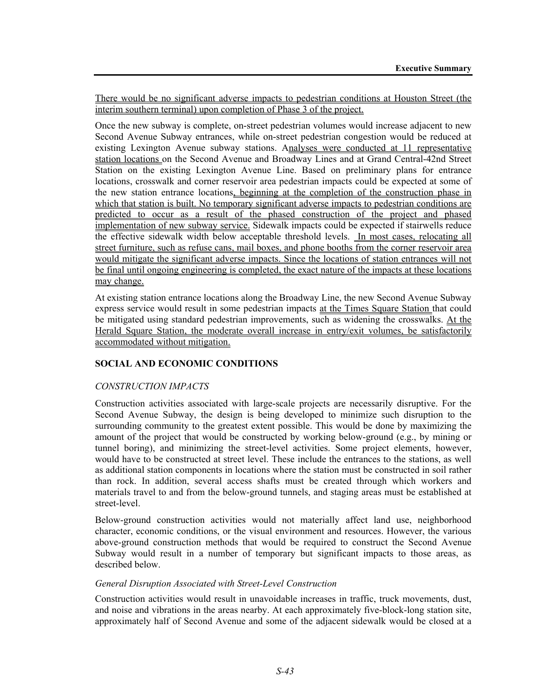There would be no significant adverse impacts to pedestrian conditions at Houston Street (the interim southern terminal) upon completion of Phase 3 of the project.

Once the new subway is complete, on-street pedestrian volumes would increase adjacent to new Second Avenue Subway entrances, while on-street pedestrian congestion would be reduced at existing Lexington Avenue subway stations. Analyses were conducted at 11 representative station locations on the Second Avenue and Broadway Lines and at Grand Central-42nd Street Station on the existing Lexington Avenue Line. Based on preliminary plans for entrance locations, crosswalk and corner reservoir area pedestrian impacts could be expected at some of the new station entrance locations, beginning at the completion of the construction phase in which that station is built. No temporary significant adverse impacts to pedestrian conditions are predicted to occur as a result of the phased construction of the project and phased implementation of new subway service. Sidewalk impacts could be expected if stairwells reduce the effective sidewalk width below acceptable threshold levels. In most cases, relocating all street furniture, such as refuse cans, mail boxes, and phone booths from the corner reservoir area would mitigate the significant adverse impacts. Since the locations of station entrances will not be final until ongoing engineering is completed, the exact nature of the impacts at these locations may change.

At existing station entrance locations along the Broadway Line, the new Second Avenue Subway express service would result in some pedestrian impacts at the Times Square Station that could be mitigated using standard pedestrian improvements, such as widening the crosswalks. At the Herald Square Station, the moderate overall increase in entry/exit volumes, be satisfactorily accommodated without mitigation.

# **SOCIAL AND ECONOMIC CONDITIONS**

#### *CONSTRUCTION IMPACTS*

Construction activities associated with large-scale projects are necessarily disruptive. For the Second Avenue Subway, the design is being developed to minimize such disruption to the surrounding community to the greatest extent possible. This would be done by maximizing the amount of the project that would be constructed by working below-ground (e.g., by mining or tunnel boring), and minimizing the street-level activities. Some project elements, however, would have to be constructed at street level. These include the entrances to the stations, as well as additional station components in locations where the station must be constructed in soil rather than rock. In addition, several access shafts must be created through which workers and materials travel to and from the below-ground tunnels, and staging areas must be established at street-level.

Below-ground construction activities would not materially affect land use, neighborhood character, economic conditions, or the visual environment and resources. However, the various above-ground construction methods that would be required to construct the Second Avenue Subway would result in a number of temporary but significant impacts to those areas, as described below.

#### *General Disruption Associated with Street-Level Construction*

Construction activities would result in unavoidable increases in traffic, truck movements, dust, and noise and vibrations in the areas nearby. At each approximately five-block-long station site, approximately half of Second Avenue and some of the adjacent sidewalk would be closed at a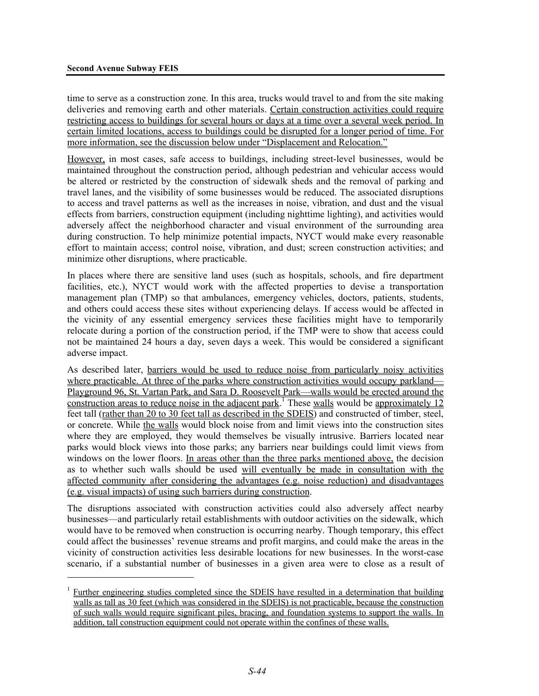<u>.</u>

time to serve as a construction zone. In this area, trucks would travel to and from the site making deliveries and removing earth and other materials. Certain construction activities could require restricting access to buildings for several hours or days at a time over a several week period. In certain limited locations, access to buildings could be disrupted for a longer period of time. For more information, see the discussion below under "Displacement and Relocation."

However, in most cases, safe access to buildings, including street-level businesses, would be maintained throughout the construction period, although pedestrian and vehicular access would be altered or restricted by the construction of sidewalk sheds and the removal of parking and travel lanes, and the visibility of some businesses would be reduced. The associated disruptions to access and travel patterns as well as the increases in noise, vibration, and dust and the visual effects from barriers, construction equipment (including nighttime lighting), and activities would adversely affect the neighborhood character and visual environment of the surrounding area during construction. To help minimize potential impacts, NYCT would make every reasonable effort to maintain access; control noise, vibration, and dust; screen construction activities; and minimize other disruptions, where practicable.

In places where there are sensitive land uses (such as hospitals, schools, and fire department facilities, etc.), NYCT would work with the affected properties to devise a transportation management plan (TMP) so that ambulances, emergency vehicles, doctors, patients, students, and others could access these sites without experiencing delays. If access would be affected in the vicinity of any essential emergency services these facilities might have to temporarily relocate during a portion of the construction period, if the TMP were to show that access could not be maintained 24 hours a day, seven days a week. This would be considered a significant adverse impact.

As described later, barriers would be used to reduce noise from particularly noisy activities where practicable. At three of the parks where construction activities would occupy parkland— Playground 96, St. Vartan Park, and Sara D. Roosevelt Park—walls would be erected around the construction areas to reduce noise in the adjacent park.<sup>1</sup> These walls would be approximately 12 feet tall (rather than 20 to 30 feet tall as described in the SDEIS) and constructed of timber, steel, or concrete. While the walls would block noise from and limit views into the construction sites where they are employed, they would themselves be visually intrusive. Barriers located near parks would block views into those parks; any barriers near buildings could limit views from windows on the lower floors. In areas other than the three parks mentioned above, the decision as to whether such walls should be used will eventually be made in consultation with the affected community after considering the advantages (e.g. noise reduction) and disadvantages (e.g. visual impacts) of using such barriers during construction.

The disruptions associated with construction activities could also adversely affect nearby businesses—and particularly retail establishments with outdoor activities on the sidewalk, which would have to be removed when construction is occurring nearby. Though temporary, this effect could affect the businesses' revenue streams and profit margins, and could make the areas in the vicinity of construction activities less desirable locations for new businesses. In the worst-case scenario, if a substantial number of businesses in a given area were to close as a result of

<sup>&</sup>lt;sup>1</sup> Further engineering studies completed since the SDEIS have resulted in a determination that building walls as tall as 30 feet (which was considered in the SDEIS) is not practicable, because the construction of such walls would require significant piles, bracing, and foundation systems to support the walls. In addition, tall construction equipment could not operate within the confines of these walls.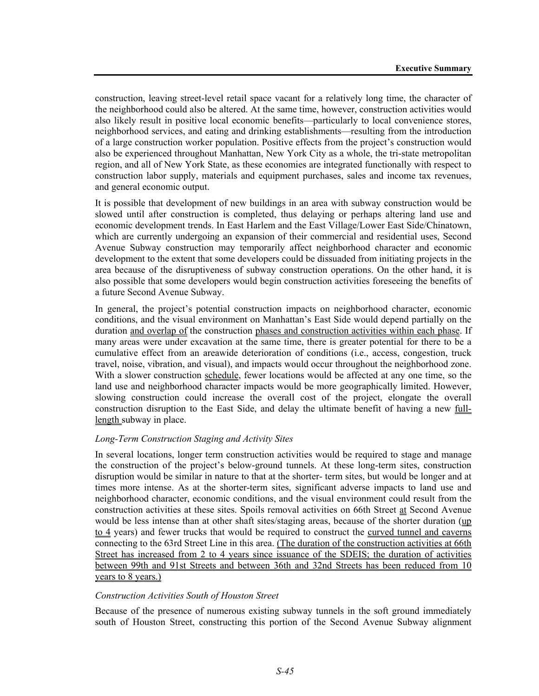construction, leaving street-level retail space vacant for a relatively long time, the character of the neighborhood could also be altered. At the same time, however, construction activities would also likely result in positive local economic benefits—particularly to local convenience stores, neighborhood services, and eating and drinking establishments—resulting from the introduction of a large construction worker population. Positive effects from the project's construction would also be experienced throughout Manhattan, New York City as a whole, the tri-state metropolitan region, and all of New York State, as these economies are integrated functionally with respect to construction labor supply, materials and equipment purchases, sales and income tax revenues, and general economic output.

It is possible that development of new buildings in an area with subway construction would be slowed until after construction is completed, thus delaying or perhaps altering land use and economic development trends. In East Harlem and the East Village/Lower East Side/Chinatown, which are currently undergoing an expansion of their commercial and residential uses, Second Avenue Subway construction may temporarily affect neighborhood character and economic development to the extent that some developers could be dissuaded from initiating projects in the area because of the disruptiveness of subway construction operations. On the other hand, it is also possible that some developers would begin construction activities foreseeing the benefits of a future Second Avenue Subway.

In general, the project's potential construction impacts on neighborhood character, economic conditions, and the visual environment on Manhattan's East Side would depend partially on the duration and overlap of the construction phases and construction activities within each phase. If many areas were under excavation at the same time, there is greater potential for there to be a cumulative effect from an areawide deterioration of conditions (i.e., access, congestion, truck travel, noise, vibration, and visual), and impacts would occur throughout the neighborhood zone. With a slower construction schedule, fewer locations would be affected at any one time, so the land use and neighborhood character impacts would be more geographically limited. However, slowing construction could increase the overall cost of the project, elongate the overall construction disruption to the East Side, and delay the ultimate benefit of having a new fulllength subway in place.

#### *Long-Term Construction Staging and Activity Sites*

In several locations, longer term construction activities would be required to stage and manage the construction of the project's below-ground tunnels. At these long-term sites, construction disruption would be similar in nature to that at the shorter- term sites, but would be longer and at times more intense. As at the shorter-term sites, significant adverse impacts to land use and neighborhood character, economic conditions, and the visual environment could result from the construction activities at these sites. Spoils removal activities on 66th Street at Second Avenue would be less intense than at other shaft sites/staging areas, because of the shorter duration (up to 4 years) and fewer trucks that would be required to construct the curved tunnel and caverns connecting to the 63rd Street Line in this area. (The duration of the construction activities at 66th Street has increased from 2 to 4 years since issuance of the SDEIS; the duration of activities between 99th and 91st Streets and between 36th and 32nd Streets has been reduced from 10 years to 8 years.)

#### *Construction Activities South of Houston Street*

Because of the presence of numerous existing subway tunnels in the soft ground immediately south of Houston Street, constructing this portion of the Second Avenue Subway alignment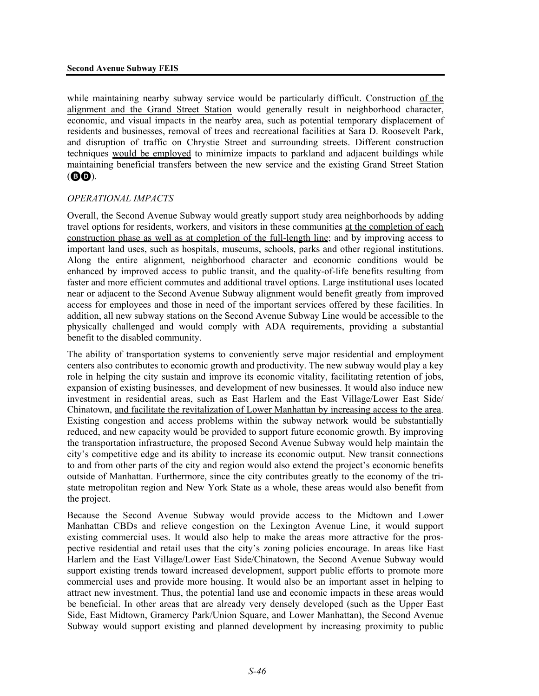while maintaining nearby subway service would be particularly difficult. Construction of the alignment and the Grand Street Station would generally result in neighborhood character, economic, and visual impacts in the nearby area, such as potential temporary displacement of residents and businesses, removal of trees and recreational facilities at Sara D. Roosevelt Park, and disruption of traffic on Chrystie Street and surrounding streets. Different construction techniques would be employed to minimize impacts to parkland and adjacent buildings while maintaining beneficial transfers between the new service and the existing Grand Street Station (BD).

### *OPERATIONAL IMPACTS*

Overall, the Second Avenue Subway would greatly support study area neighborhoods by adding travel options for residents, workers, and visitors in these communities at the completion of each construction phase as well as at completion of the full-length line; and by improving access to important land uses, such as hospitals, museums, schools, parks and other regional institutions. Along the entire alignment, neighborhood character and economic conditions would be enhanced by improved access to public transit, and the quality-of-life benefits resulting from faster and more efficient commutes and additional travel options. Large institutional uses located near or adjacent to the Second Avenue Subway alignment would benefit greatly from improved access for employees and those in need of the important services offered by these facilities. In addition, all new subway stations on the Second Avenue Subway Line would be accessible to the physically challenged and would comply with ADA requirements, providing a substantial benefit to the disabled community.

The ability of transportation systems to conveniently serve major residential and employment centers also contributes to economic growth and productivity. The new subway would play a key role in helping the city sustain and improve its economic vitality, facilitating retention of jobs, expansion of existing businesses, and development of new businesses. It would also induce new investment in residential areas, such as East Harlem and the East Village/Lower East Side/ Chinatown, and facilitate the revitalization of Lower Manhattan by increasing access to the area. Existing congestion and access problems within the subway network would be substantially reduced, and new capacity would be provided to support future economic growth. By improving the transportation infrastructure, the proposed Second Avenue Subway would help maintain the city's competitive edge and its ability to increase its economic output. New transit connections to and from other parts of the city and region would also extend the project's economic benefits outside of Manhattan. Furthermore, since the city contributes greatly to the economy of the tristate metropolitan region and New York State as a whole, these areas would also benefit from the project.

Because the Second Avenue Subway would provide access to the Midtown and Lower Manhattan CBDs and relieve congestion on the Lexington Avenue Line, it would support existing commercial uses. It would also help to make the areas more attractive for the prospective residential and retail uses that the city's zoning policies encourage. In areas like East Harlem and the East Village/Lower East Side/Chinatown, the Second Avenue Subway would support existing trends toward increased development, support public efforts to promote more commercial uses and provide more housing. It would also be an important asset in helping to attract new investment. Thus, the potential land use and economic impacts in these areas would be beneficial. In other areas that are already very densely developed (such as the Upper East Side, East Midtown, Gramercy Park/Union Square, and Lower Manhattan), the Second Avenue Subway would support existing and planned development by increasing proximity to public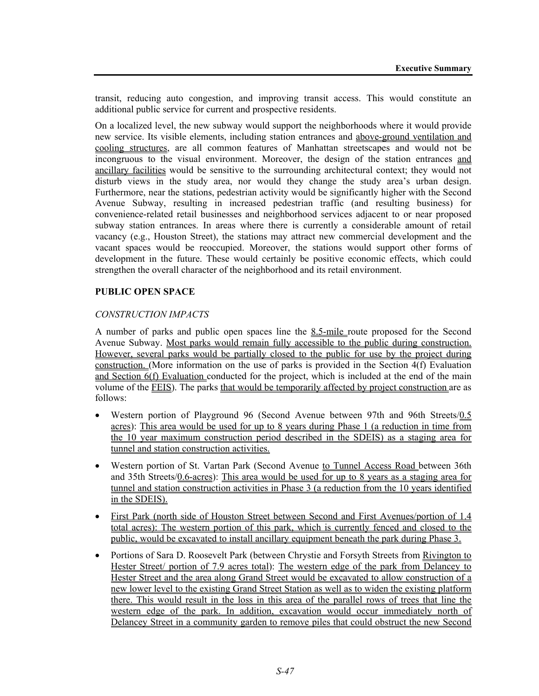transit, reducing auto congestion, and improving transit access. This would constitute an additional public service for current and prospective residents.

On a localized level, the new subway would support the neighborhoods where it would provide new service. Its visible elements, including station entrances and above-ground ventilation and cooling structures, are all common features of Manhattan streetscapes and would not be incongruous to the visual environment. Moreover, the design of the station entrances and ancillary facilities would be sensitive to the surrounding architectural context; they would not disturb views in the study area, nor would they change the study area's urban design. Furthermore, near the stations, pedestrian activity would be significantly higher with the Second Avenue Subway, resulting in increased pedestrian traffic (and resulting business) for convenience-related retail businesses and neighborhood services adjacent to or near proposed subway station entrances. In areas where there is currently a considerable amount of retail vacancy (e.g., Houston Street), the stations may attract new commercial development and the vacant spaces would be reoccupied. Moreover, the stations would support other forms of development in the future. These would certainly be positive economic effects, which could strengthen the overall character of the neighborhood and its retail environment.

# **PUBLIC OPEN SPACE**

### *CONSTRUCTION IMPACTS*

A number of parks and public open spaces line the 8.5-mile route proposed for the Second Avenue Subway. Most parks would remain fully accessible to the public during construction. However, several parks would be partially closed to the public for use by the project during construction. (More information on the use of parks is provided in the Section 4(f) Evaluation and Section 6(f) Evaluation conducted for the project, which is included at the end of the main volume of the FEIS). The parks that would be temporarily affected by project construction are as follows:

- Western portion of Playground 96 (Second Avenue between 97th and 96th Streets/0.5 acres): This area would be used for up to 8 years during Phase 1 (a reduction in time from the 10 year maximum construction period described in the SDEIS) as a staging area for tunnel and station construction activities.
- Western portion of St. Vartan Park (Second Avenue to Tunnel Access Road between 36th and 35th Streets/0.6-acres): This area would be used for up to 8 years as a staging area for tunnel and station construction activities in Phase 3 (a reduction from the 10 years identified in the SDEIS).
- First Park (north side of Houston Street between Second and First Avenues/portion of 1.4 total acres): The western portion of this park, which is currently fenced and closed to the public, would be excavated to install ancillary equipment beneath the park during Phase 3.
- Portions of Sara D. Roosevelt Park (between Chrystie and Forsyth Streets from Rivington to Hester Street/ portion of 7.9 acres total): The western edge of the park from Delancey to Hester Street and the area along Grand Street would be excavated to allow construction of a new lower level to the existing Grand Street Station as well as to widen the existing platform there. This would result in the loss in this area of the parallel rows of trees that line the western edge of the park. In addition, excavation would occur immediately north of Delancey Street in a community garden to remove piles that could obstruct the new Second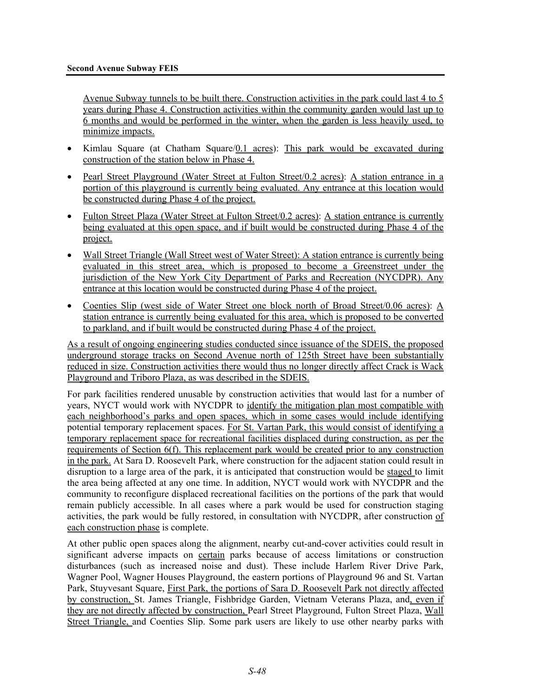Avenue Subway tunnels to be built there. Construction activities in the park could last 4 to 5 years during Phase 4. Construction activities within the community garden would last up to 6 months and would be performed in the winter, when the garden is less heavily used, to minimize impacts.

- Kimlau Square (at Chatham Square/0.1 acres): This park would be excavated during construction of the station below in Phase 4.
- Pearl Street Playground (Water Street at Fulton Street/0.2 acres): A station entrance in a portion of this playground is currently being evaluated. Any entrance at this location would be constructed during Phase 4 of the project.
- Fulton Street Plaza (Water Street at Fulton Street/0.2 acres): A station entrance is currently being evaluated at this open space, and if built would be constructed during Phase 4 of the project.
- Wall Street Triangle (Wall Street west of Water Street): A station entrance is currently being evaluated in this street area, which is proposed to become a Greenstreet under the jurisdiction of the New York City Department of Parks and Recreation (NYCDPR). Any entrance at this location would be constructed during Phase 4 of the project.
- Coenties Slip (west side of Water Street one block north of Broad Street/0.06 acres): A station entrance is currently being evaluated for this area, which is proposed to be converted to parkland, and if built would be constructed during Phase 4 of the project.

As a result of ongoing engineering studies conducted since issuance of the SDEIS, the proposed underground storage tracks on Second Avenue north of 125th Street have been substantially reduced in size. Construction activities there would thus no longer directly affect Crack is Wack Playground and Triboro Plaza, as was described in the SDEIS.

For park facilities rendered unusable by construction activities that would last for a number of years, NYCT would work with NYCDPR to identify the mitigation plan most compatible with each neighborhood's parks and open spaces, which in some cases would include identifying potential temporary replacement spaces. For St. Vartan Park, this would consist of identifying a temporary replacement space for recreational facilities displaced during construction, as per the requirements of Section 6(f). This replacement park would be created prior to any construction in the park. At Sara D. Roosevelt Park, where construction for the adjacent station could result in disruption to a large area of the park, it is anticipated that construction would be staged to limit the area being affected at any one time. In addition, NYCT would work with NYCDPR and the community to reconfigure displaced recreational facilities on the portions of the park that would remain publicly accessible. In all cases where a park would be used for construction staging activities, the park would be fully restored, in consultation with NYCDPR, after construction of each construction phase is complete.

At other public open spaces along the alignment, nearby cut-and-cover activities could result in significant adverse impacts on certain parks because of access limitations or construction disturbances (such as increased noise and dust). These include Harlem River Drive Park, Wagner Pool, Wagner Houses Playground, the eastern portions of Playground 96 and St. Vartan Park, Stuyvesant Square, First Park, the portions of Sara D. Roosevelt Park not directly affected by construction, St. James Triangle, Fishbridge Garden, Vietnam Veterans Plaza, and, even if they are not directly affected by construction, Pearl Street Playground, Fulton Street Plaza, Wall Street Triangle, and Coenties Slip. Some park users are likely to use other nearby parks with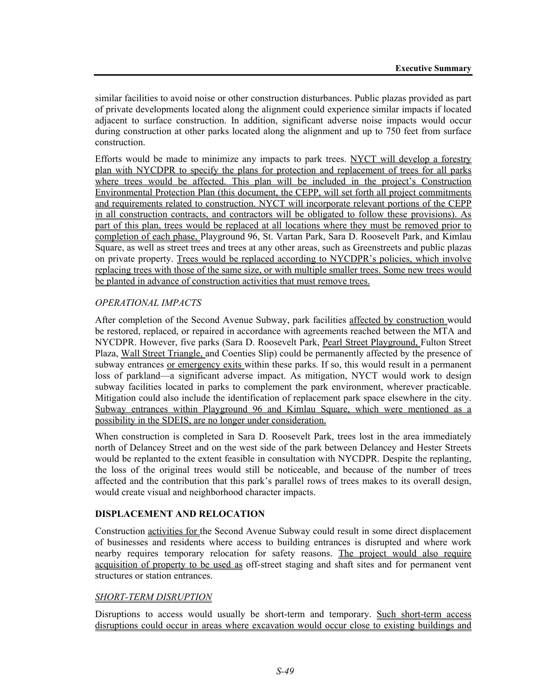similar facilities to avoid noise or other construction disturbances. Public plazas provided as part of private developments located along the alignment could experience similar impacts if located adjacent to surface construction. In addition, significant adverse noise impacts would occur during construction at other parks located along the alignment and up to 750 feet from surface construction.

Efforts would be made to minimize any impacts to park trees. NYCT will develop a forestry plan with NYCDPR to specify the plans for protection and replacement of trees for all parks where trees would be affected. This plan will be included in the project's Construction Environmental Protection Plan (this document, the CEPP, will set forth all project commitments and requirements related to construction. NYCT will incorporate relevant portions of the CEPP in all construction contracts, and contractors will be obligated to follow these provisions). As part of this plan, trees would be replaced at all locations where they must be removed prior to completion of each phase, Playground 96, St. Vartan Park, Sara D. Roosevelt Park, and Kimlau Square, as well as street trees and trees at any other areas, such as Greenstreets and public plazas on private property. Trees would be replaced according to NYCDPR's policies, which involve replacing trees with those of the same size, or with multiple smaller trees. Some new trees would be planted in advance of construction activities that must remove trees.

# *OPERATIONAL IMPACTS*

After completion of the Second Avenue Subway, park facilities affected by construction would be restored, replaced, or repaired in accordance with agreements reached between the MTA and NYCDPR. However, five parks (Sara D. Roosevelt Park, Pearl Street Playground, Fulton Street Plaza, Wall Street Triangle, and Coenties Slip) could be permanently affected by the presence of subway entrances or emergency exits within these parks. If so, this would result in a permanent loss of parkland—a significant adverse impact. As mitigation, NYCT would work to design subway facilities located in parks to complement the park environment, wherever practicable. Mitigation could also include the identification of replacement park space elsewhere in the city. Subway entrances within Playground 96 and Kimlau Square, which were mentioned as a possibility in the SDEIS, are no longer under consideration.

When construction is completed in Sara D. Roosevelt Park, trees lost in the area immediately north of Delancey Street and on the west side of the park between Delancey and Hester Streets would be replanted to the extent feasible in consultation with NYCDPR. Despite the replanting, the loss of the original trees would still be noticeable, and because of the number of trees affected and the contribution that this park's parallel rows of trees makes to its overall design, would create visual and neighborhood character impacts.

# **DISPLACEMENT AND RELOCATION**

Construction activities for the Second Avenue Subway could result in some direct displacement of businesses and residents where access to building entrances is disrupted and where work nearby requires temporary relocation for safety reasons. The project would also require acquisition of property to be used as off-street staging and shaft sites and for permanent vent structures or station entrances.

# *SHORT-TERM DISRUPTION*

Disruptions to access would usually be short-term and temporary. Such short-term access disruptions could occur in areas where excavation would occur close to existing buildings and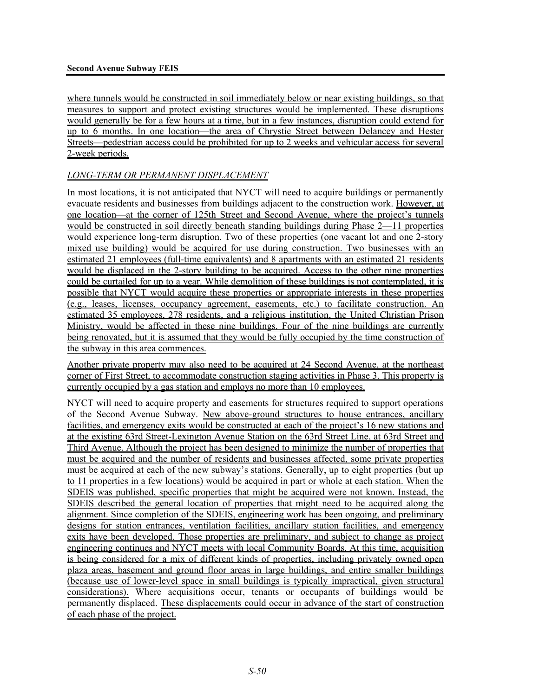where tunnels would be constructed in soil immediately below or near existing buildings, so that measures to support and protect existing structures would be implemented. These disruptions would generally be for a few hours at a time, but in a few instances, disruption could extend for up to 6 months. In one location—the area of Chrystie Street between Delancey and Hester Streets—pedestrian access could be prohibited for up to 2 weeks and vehicular access for several 2-week periods.

#### *LONG-TERM OR PERMANENT DISPLACEMENT*

In most locations, it is not anticipated that NYCT will need to acquire buildings or permanently evacuate residents and businesses from buildings adjacent to the construction work. However, at one location—at the corner of 125th Street and Second Avenue, where the project's tunnels would be constructed in soil directly beneath standing buildings during Phase 2—11 properties would experience long-term disruption. Two of these properties (one vacant lot and one 2-story mixed use building) would be acquired for use during construction. Two businesses with an estimated 21 employees (full-time equivalents) and 8 apartments with an estimated 21 residents would be displaced in the 2-story building to be acquired. Access to the other nine properties could be curtailed for up to a year. While demolition of these buildings is not contemplated, it is possible that NYCT would acquire these properties or appropriate interests in these properties (e.g., leases, licenses, occupancy agreement, easements, etc.) to facilitate construction. An estimated 35 employees, 278 residents, and a religious institution, the United Christian Prison Ministry, would be affected in these nine buildings. Four of the nine buildings are currently being renovated, but it is assumed that they would be fully occupied by the time construction of the subway in this area commences.

Another private property may also need to be acquired at 24 Second Avenue, at the northeast corner of First Street, to accommodate construction staging activities in Phase 3. This property is currently occupied by a gas station and employs no more than 10 employees.

NYCT will need to acquire property and easements for structures required to support operations of the Second Avenue Subway. New above-ground structures to house entrances, ancillary facilities, and emergency exits would be constructed at each of the project's 16 new stations and at the existing 63rd Street-Lexington Avenue Station on the 63rd Street Line, at 63rd Street and Third Avenue. Although the project has been designed to minimize the number of properties that must be acquired and the number of residents and businesses affected, some private properties must be acquired at each of the new subway's stations. Generally, up to eight properties (but up to 11 properties in a few locations) would be acquired in part or whole at each station. When the SDEIS was published, specific properties that might be acquired were not known. Instead, the SDEIS described the general location of properties that might need to be acquired along the alignment. Since completion of the SDEIS, engineering work has been ongoing, and preliminary designs for station entrances, ventilation facilities, ancillary station facilities, and emergency exits have been developed. Those properties are preliminary, and subject to change as project engineering continues and NYCT meets with local Community Boards. At this time, acquisition is being considered for a mix of different kinds of properties, including privately owned open plaza areas, basement and ground floor areas in large buildings, and entire smaller buildings (because use of lower-level space in small buildings is typically impractical, given structural considerations). Where acquisitions occur, tenants or occupants of buildings would be permanently displaced. These displacements could occur in advance of the start of construction of each phase of the project.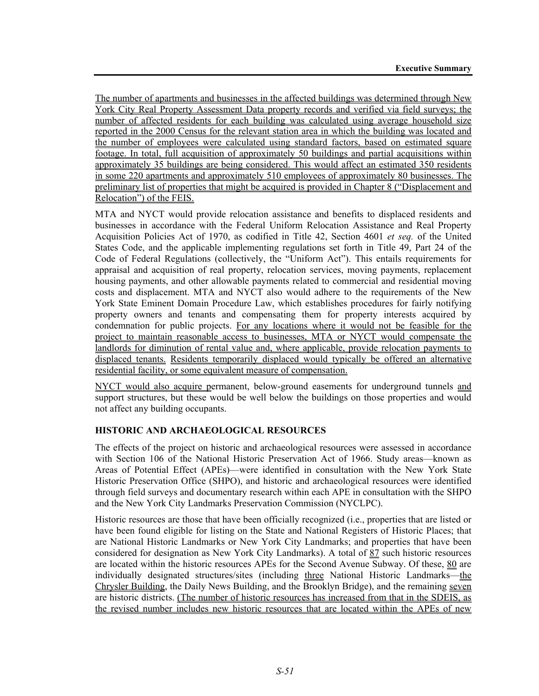The number of apartments and businesses in the affected buildings was determined through New York City Real Property Assessment Data property records and verified via field surveys; the number of affected residents for each building was calculated using average household size reported in the 2000 Census for the relevant station area in which the building was located and the number of employees were calculated using standard factors, based on estimated square footage. In total, full acquisition of approximately 50 buildings and partial acquisitions within approximately 35 buildings are being considered. This would affect an estimated 350 residents in some 220 apartments and approximately 510 employees of approximately 80 businesses. The preliminary list of properties that might be acquired is provided in Chapter 8 ("Displacement and Relocation") of the FEIS.

MTA and NYCT would provide relocation assistance and benefits to displaced residents and businesses in accordance with the Federal Uniform Relocation Assistance and Real Property Acquisition Policies Act of 1970, as codified in Title 42, Section 4601 *et seq.* of the United States Code, and the applicable implementing regulations set forth in Title 49, Part 24 of the Code of Federal Regulations (collectively, the "Uniform Act"). This entails requirements for appraisal and acquisition of real property, relocation services, moving payments, replacement housing payments, and other allowable payments related to commercial and residential moving costs and displacement. MTA and NYCT also would adhere to the requirements of the New York State Eminent Domain Procedure Law, which establishes procedures for fairly notifying property owners and tenants and compensating them for property interests acquired by condemnation for public projects. For any locations where it would not be feasible for the project to maintain reasonable access to businesses, MTA or NYCT would compensate the landlords for diminution of rental value and, where applicable, provide relocation payments to displaced tenants. Residents temporarily displaced would typically be offered an alternative residential facility, or some equivalent measure of compensation.

NYCT would also acquire permanent, below-ground easements for underground tunnels and support structures, but these would be well below the buildings on those properties and would not affect any building occupants.

# **HISTORIC AND ARCHAEOLOGICAL RESOURCES**

The effects of the project on historic and archaeological resources were assessed in accordance with Section 106 of the National Historic Preservation Act of 1966. Study areas—known as Areas of Potential Effect (APEs)—were identified in consultation with the New York State Historic Preservation Office (SHPO), and historic and archaeological resources were identified through field surveys and documentary research within each APE in consultation with the SHPO and the New York City Landmarks Preservation Commission (NYCLPC).

Historic resources are those that have been officially recognized (i.e., properties that are listed or have been found eligible for listing on the State and National Registers of Historic Places; that are National Historic Landmarks or New York City Landmarks; and properties that have been considered for designation as New York City Landmarks). A total of 87 such historic resources are located within the historic resources APEs for the Second Avenue Subway. Of these, 80 are individually designated structures/sites (including three National Historic Landmarks—the Chrysler Building, the Daily News Building, and the Brooklyn Bridge), and the remaining seven are historic districts. (The number of historic resources has increased from that in the SDEIS, as the revised number includes new historic resources that are located within the APEs of new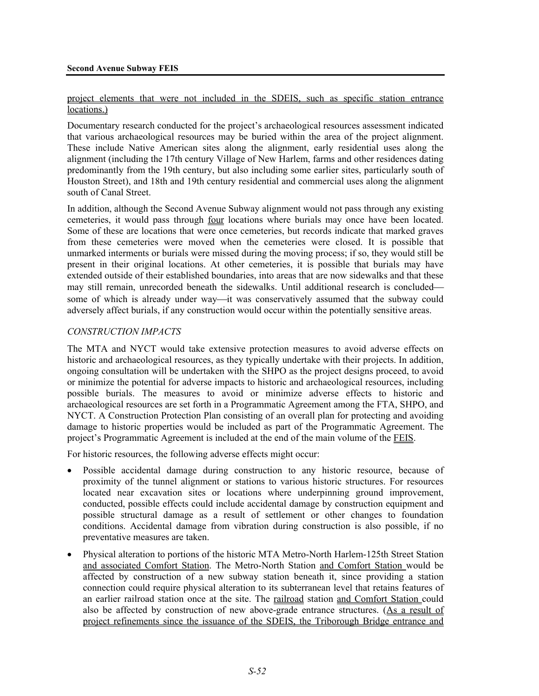#### project elements that were not included in the SDEIS, such as specific station entrance locations.)

Documentary research conducted for the project's archaeological resources assessment indicated that various archaeological resources may be buried within the area of the project alignment. These include Native American sites along the alignment, early residential uses along the alignment (including the 17th century Village of New Harlem, farms and other residences dating predominantly from the 19th century, but also including some earlier sites, particularly south of Houston Street), and 18th and 19th century residential and commercial uses along the alignment south of Canal Street.

In addition, although the Second Avenue Subway alignment would not pass through any existing cemeteries, it would pass through four locations where burials may once have been located. Some of these are locations that were once cemeteries, but records indicate that marked graves from these cemeteries were moved when the cemeteries were closed. It is possible that unmarked interments or burials were missed during the moving process; if so, they would still be present in their original locations. At other cemeteries, it is possible that burials may have extended outside of their established boundaries, into areas that are now sidewalks and that these may still remain, unrecorded beneath the sidewalks. Until additional research is concluded some of which is already under way—it was conservatively assumed that the subway could adversely affect burials, if any construction would occur within the potentially sensitive areas.

### *CONSTRUCTION IMPACTS*

The MTA and NYCT would take extensive protection measures to avoid adverse effects on historic and archaeological resources, as they typically undertake with their projects. In addition, ongoing consultation will be undertaken with the SHPO as the project designs proceed, to avoid or minimize the potential for adverse impacts to historic and archaeological resources, including possible burials. The measures to avoid or minimize adverse effects to historic and archaeological resources are set forth in a Programmatic Agreement among the FTA, SHPO, and NYCT. A Construction Protection Plan consisting of an overall plan for protecting and avoiding damage to historic properties would be included as part of the Programmatic Agreement. The project's Programmatic Agreement is included at the end of the main volume of the FEIS.

For historic resources, the following adverse effects might occur:

- Possible accidental damage during construction to any historic resource, because of proximity of the tunnel alignment or stations to various historic structures. For resources located near excavation sites or locations where underpinning ground improvement, conducted, possible effects could include accidental damage by construction equipment and possible structural damage as a result of settlement or other changes to foundation conditions. Accidental damage from vibration during construction is also possible, if no preventative measures are taken.
- Physical alteration to portions of the historic MTA Metro-North Harlem-125th Street Station and associated Comfort Station. The Metro-North Station and Comfort Station would be affected by construction of a new subway station beneath it, since providing a station connection could require physical alteration to its subterranean level that retains features of an earlier railroad station once at the site. The railroad station and Comfort Station could also be affected by construction of new above-grade entrance structures. (As a result of project refinements since the issuance of the SDEIS, the Triborough Bridge entrance and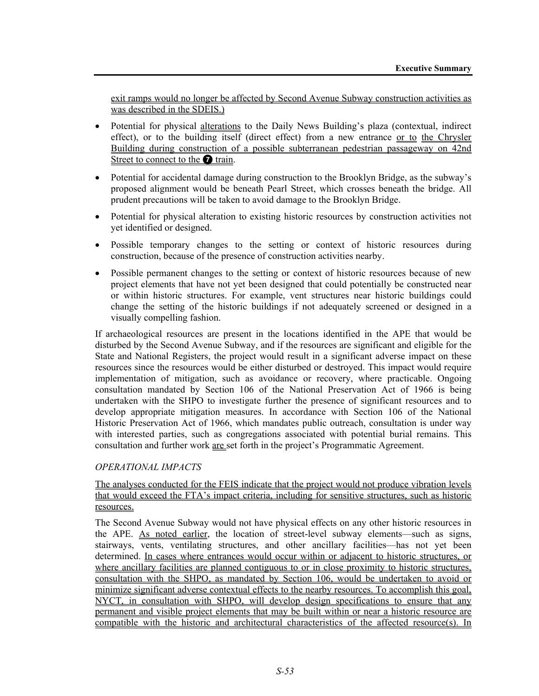exit ramps would no longer be affected by Second Avenue Subway construction activities as was described in the SDEIS.)

- Potential for physical alterations to the Daily News Building's plaza (contextual, indirect effect), or to the building itself (direct effect) from a new entrance or to the Chrysler Building during construction of a possible subterranean pedestrian passageway on 42nd Street to connect to the  $\bullet$  train.
- Potential for accidental damage during construction to the Brooklyn Bridge, as the subway's proposed alignment would be beneath Pearl Street, which crosses beneath the bridge. All prudent precautions will be taken to avoid damage to the Brooklyn Bridge.
- Potential for physical alteration to existing historic resources by construction activities not yet identified or designed.
- Possible temporary changes to the setting or context of historic resources during construction, because of the presence of construction activities nearby.
- Possible permanent changes to the setting or context of historic resources because of new project elements that have not yet been designed that could potentially be constructed near or within historic structures. For example, vent structures near historic buildings could change the setting of the historic buildings if not adequately screened or designed in a visually compelling fashion.

If archaeological resources are present in the locations identified in the APE that would be disturbed by the Second Avenue Subway, and if the resources are significant and eligible for the State and National Registers, the project would result in a significant adverse impact on these resources since the resources would be either disturbed or destroyed. This impact would require implementation of mitigation, such as avoidance or recovery, where practicable. Ongoing consultation mandated by Section 106 of the National Preservation Act of 1966 is being undertaken with the SHPO to investigate further the presence of significant resources and to develop appropriate mitigation measures. In accordance with Section 106 of the National Historic Preservation Act of 1966, which mandates public outreach, consultation is under way with interested parties, such as congregations associated with potential burial remains. This consultation and further work are set forth in the project's Programmatic Agreement.

# *OPERATIONAL IMPACTS*

### The analyses conducted for the FEIS indicate that the project would not produce vibration levels that would exceed the FTA's impact criteria, including for sensitive structures, such as historic resources.

The Second Avenue Subway would not have physical effects on any other historic resources in the APE. As noted earlier, the location of street-level subway elements—such as signs, stairways, vents, ventilating structures, and other ancillary facilities—has not yet been determined. In cases where entrances would occur within or adjacent to historic structures, or where ancillary facilities are planned contiguous to or in close proximity to historic structures, consultation with the SHPO, as mandated by Section 106, would be undertaken to avoid or minimize significant adverse contextual effects to the nearby resources. To accomplish this goal, NYCT, in consultation with SHPO, will develop design specifications to ensure that any permanent and visible project elements that may be built within or near a historic resource are compatible with the historic and architectural characteristics of the affected resource(s). In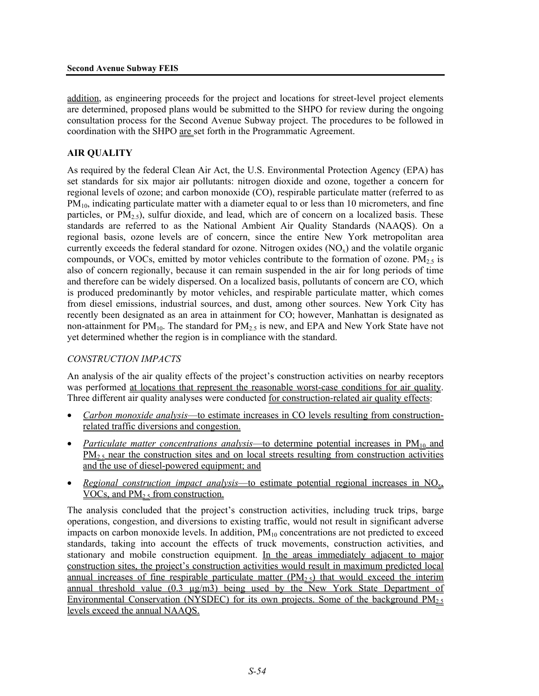addition, as engineering proceeds for the project and locations for street-level project elements are determined, proposed plans would be submitted to the SHPO for review during the ongoing consultation process for the Second Avenue Subway project. The procedures to be followed in coordination with the SHPO are set forth in the Programmatic Agreement.

# **AIR QUALITY**

As required by the federal Clean Air Act, the U.S. Environmental Protection Agency (EPA) has set standards for six major air pollutants: nitrogen dioxide and ozone, together a concern for regional levels of ozone; and carbon monoxide (CO), respirable particulate matter (referred to as  $PM<sub>10</sub>$ , indicating particulate matter with a diameter equal to or less than 10 micrometers, and fine particles, or  $PM_{2.5}$ ), sulfur dioxide, and lead, which are of concern on a localized basis. These standards are referred to as the National Ambient Air Quality Standards (NAAQS). On a regional basis, ozone levels are of concern, since the entire New York metropolitan area currently exceeds the federal standard for ozone. Nitrogen oxides  $(NO<sub>x</sub>)$  and the volatile organic compounds, or VOCs, emitted by motor vehicles contribute to the formation of ozone.  $PM<sub>25</sub>$  is also of concern regionally, because it can remain suspended in the air for long periods of time and therefore can be widely dispersed. On a localized basis, pollutants of concern are CO, which is produced predominantly by motor vehicles, and respirable particulate matter, which comes from diesel emissions, industrial sources, and dust, among other sources. New York City has recently been designated as an area in attainment for CO; however, Manhattan is designated as non-attainment for  $PM_{10}$ . The standard for  $PM_{2.5}$  is new, and EPA and New York State have not yet determined whether the region is in compliance with the standard.

# *CONSTRUCTION IMPACTS*

An analysis of the air quality effects of the project's construction activities on nearby receptors was performed at locations that represent the reasonable worst-case conditions for air quality. Three different air quality analyses were conducted for construction-related air quality effects:

- *Carbon monoxide analysis*—to estimate increases in CO levels resulting from constructionrelated traffic diversions and congestion.
- *Particulate matter concentrations analysis*—to determine potential increases in PM<sub>10</sub> and  $PM_{2.5}$  near the construction sites and on local streets resulting from construction activities and the use of diesel-powered equipment; and
- *Regional construction impact analysis*—to estimate potential regional increases in NOx,  $VOCs$ , and  $PM<sub>2.5</sub>$  from construction.

The analysis concluded that the project's construction activities, including truck trips, barge operations, congestion, and diversions to existing traffic, would not result in significant adverse impacts on carbon monoxide levels. In addition,  $PM_{10}$  concentrations are not predicted to exceed standards, taking into account the effects of truck movements, construction activities, and stationary and mobile construction equipment. In the areas immediately adjacent to major construction sites, the project's construction activities would result in maximum predicted local annual increases of fine respirable particulate matter  $(PM<sub>2.5</sub>)$  that would exceed the interim annual threshold value (0.3  $\mu$ g/m3) being used by the New York State Department of Environmental Conservation (NYSDEC) for its own projects. Some of the background  $PM_{2.5}$ levels exceed the annual NAAQS.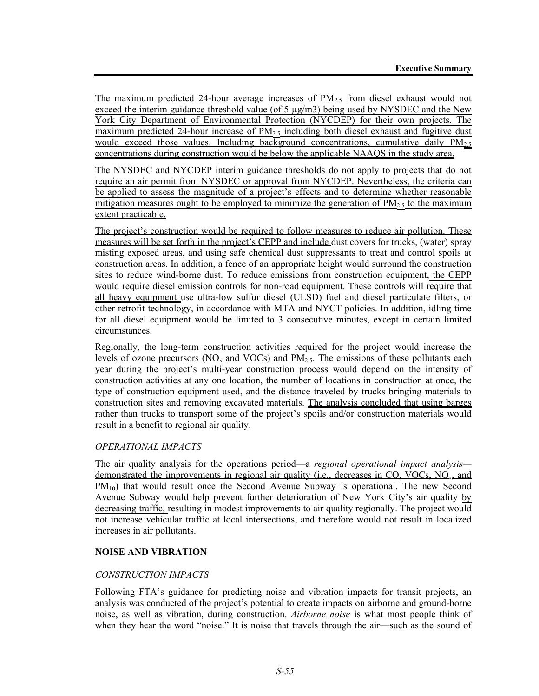The maximum predicted 24-hour average increases of  $PM<sub>2.5</sub>$  from diesel exhaust would not exceed the interim guidance threshold value (of 5  $\mu$ g/m3) being used by NYSDEC and the New York City Department of Environmental Protection (NYCDEP) for their own projects. The maximum predicted 24-hour increase of  $PM_2$ , including both diesel exhaust and fugitive dust would exceed those values. Including background concentrations, cumulative daily  $PM<sub>25</sub>$ concentrations during construction would be below the applicable NAAQS in the study area.

The NYSDEC and NYCDEP interim guidance thresholds do not apply to projects that do not require an air permit from NYSDEC or approval from NYCDEP. Nevertheless, the criteria can be applied to assess the magnitude of a project's effects and to determine whether reasonable mitigation measures ought to be employed to minimize the generation of  $PM_{2.5}$  to the maximum extent practicable.

The project's construction would be required to follow measures to reduce air pollution. These measures will be set forth in the project's CEPP and include dust covers for trucks, (water) spray misting exposed areas, and using safe chemical dust suppressants to treat and control spoils at construction areas. In addition, a fence of an appropriate height would surround the construction sites to reduce wind-borne dust. To reduce emissions from construction equipment, the CEPP would require diesel emission controls for non-road equipment. These controls will require that all heavy equipment use ultra-low sulfur diesel (ULSD) fuel and diesel particulate filters, or other retrofit technology, in accordance with MTA and NYCT policies. In addition, idling time for all diesel equipment would be limited to 3 consecutive minutes, except in certain limited circumstances.

Regionally, the long-term construction activities required for the project would increase the levels of ozone precursors ( $NO<sub>x</sub>$  and  $VOCs$ ) and  $PM<sub>2.5</sub>$ . The emissions of these pollutants each year during the project's multi-year construction process would depend on the intensity of construction activities at any one location, the number of locations in construction at once, the type of construction equipment used, and the distance traveled by trucks bringing materials to construction sites and removing excavated materials. The analysis concluded that using barges rather than trucks to transport some of the project's spoils and/or construction materials would result in a benefit to regional air quality.

# *OPERATIONAL IMPACTS*

The air quality analysis for the operations period—a *regional operational impact analysis* demonstrated the improvements in regional air quality (i.e., decreases in CO, VOCs, NO<sub>x</sub>, and  $PM_{10}$ ) that would result once the Second Avenue Subway is operational. The new Second Avenue Subway would help prevent further deterioration of New York City's air quality by decreasing traffic, resulting in modest improvements to air quality regionally. The project would not increase vehicular traffic at local intersections, and therefore would not result in localized increases in air pollutants.

#### **NOISE AND VIBRATION**

#### *CONSTRUCTION IMPACTS*

Following FTA's guidance for predicting noise and vibration impacts for transit projects, an analysis was conducted of the project's potential to create impacts on airborne and ground-borne noise, as well as vibration, during construction. *Airborne noise* is what most people think of when they hear the word "noise." It is noise that travels through the air—such as the sound of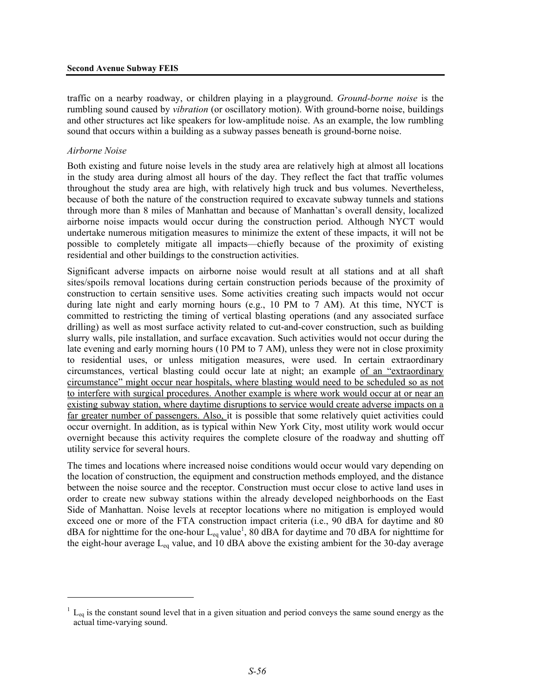traffic on a nearby roadway, or children playing in a playground. *Ground-borne noise* is the rumbling sound caused by *vibration* (or oscillatory motion). With ground-borne noise, buildings and other structures act like speakers for low-amplitude noise. As an example, the low rumbling sound that occurs within a building as a subway passes beneath is ground-borne noise.

#### *Airborne Noise*

<u>.</u>

Both existing and future noise levels in the study area are relatively high at almost all locations in the study area during almost all hours of the day. They reflect the fact that traffic volumes throughout the study area are high, with relatively high truck and bus volumes. Nevertheless, because of both the nature of the construction required to excavate subway tunnels and stations through more than 8 miles of Manhattan and because of Manhattan's overall density, localized airborne noise impacts would occur during the construction period. Although NYCT would undertake numerous mitigation measures to minimize the extent of these impacts, it will not be possible to completely mitigate all impacts—chiefly because of the proximity of existing residential and other buildings to the construction activities.

Significant adverse impacts on airborne noise would result at all stations and at all shaft sites/spoils removal locations during certain construction periods because of the proximity of construction to certain sensitive uses. Some activities creating such impacts would not occur during late night and early morning hours (e.g., 10 PM to 7 AM). At this time, NYCT is committed to restricting the timing of vertical blasting operations (and any associated surface drilling) as well as most surface activity related to cut-and-cover construction, such as building slurry walls, pile installation, and surface excavation. Such activities would not occur during the late evening and early morning hours (10 PM to 7 AM), unless they were not in close proximity to residential uses, or unless mitigation measures, were used. In certain extraordinary circumstances, vertical blasting could occur late at night; an example of an "extraordinary circumstance" might occur near hospitals, where blasting would need to be scheduled so as not to interfere with surgical procedures. Another example is where work would occur at or near an existing subway station, where daytime disruptions to service would create adverse impacts on a far greater number of passengers. Also, it is possible that some relatively quiet activities could occur overnight. In addition, as is typical within New York City, most utility work would occur overnight because this activity requires the complete closure of the roadway and shutting off utility service for several hours.

The times and locations where increased noise conditions would occur would vary depending on the location of construction, the equipment and construction methods employed, and the distance between the noise source and the receptor. Construction must occur close to active land uses in order to create new subway stations within the already developed neighborhoods on the East Side of Manhattan. Noise levels at receptor locations where no mitigation is employed would exceed one or more of the FTA construction impact criteria (i.e., 90 dBA for daytime and 80 dBA for nighttime for the one-hour  $L_{eq}$  value<sup>1</sup>, 80 dBA for daytime and 70 dBA for nighttime for the eight-hour average  $L_{eq}$  value, and 10 dBA above the existing ambient for the 30-day average

 $1 L_{eq}$  is the constant sound level that in a given situation and period conveys the same sound energy as the actual time-varying sound.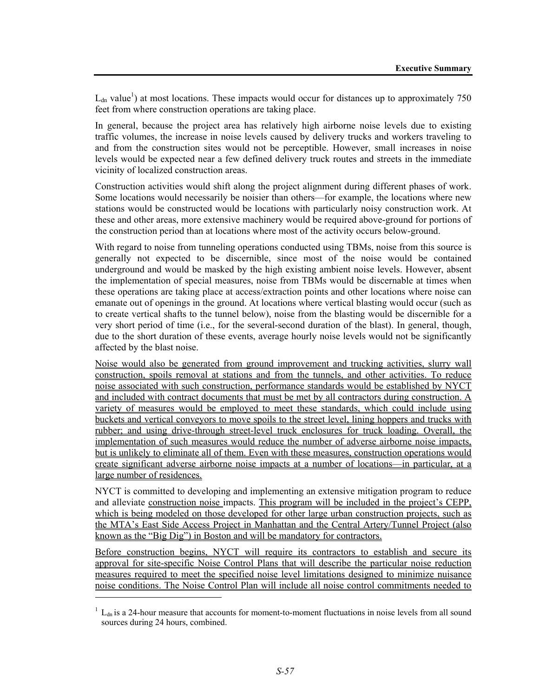$L_{dn}$  value<sup>1</sup>) at most locations. These impacts would occur for distances up to approximately 750 feet from where construction operations are taking place.

In general, because the project area has relatively high airborne noise levels due to existing traffic volumes, the increase in noise levels caused by delivery trucks and workers traveling to and from the construction sites would not be perceptible. However, small increases in noise levels would be expected near a few defined delivery truck routes and streets in the immediate vicinity of localized construction areas.

Construction activities would shift along the project alignment during different phases of work. Some locations would necessarily be noisier than others—for example, the locations where new stations would be constructed would be locations with particularly noisy construction work. At these and other areas, more extensive machinery would be required above-ground for portions of the construction period than at locations where most of the activity occurs below-ground.

With regard to noise from tunneling operations conducted using TBMs, noise from this source is generally not expected to be discernible, since most of the noise would be contained underground and would be masked by the high existing ambient noise levels. However, absent the implementation of special measures, noise from TBMs would be discernable at times when these operations are taking place at access/extraction points and other locations where noise can emanate out of openings in the ground. At locations where vertical blasting would occur (such as to create vertical shafts to the tunnel below), noise from the blasting would be discernible for a very short period of time (i.e., for the several-second duration of the blast). In general, though, due to the short duration of these events, average hourly noise levels would not be significantly affected by the blast noise.

Noise would also be generated from ground improvement and trucking activities, slurry wall construction, spoils removal at stations and from the tunnels, and other activities. To reduce noise associated with such construction, performance standards would be established by NYCT and included with contract documents that must be met by all contractors during construction. A variety of measures would be employed to meet these standards, which could include using buckets and vertical conveyors to move spoils to the street level, lining hoppers and trucks with rubber; and using drive-through street-level truck enclosures for truck loading. Overall, the implementation of such measures would reduce the number of adverse airborne noise impacts, but is unlikely to eliminate all of them. Even with these measures, construction operations would create significant adverse airborne noise impacts at a number of locations—in particular, at a large number of residences.

NYCT is committed to developing and implementing an extensive mitigation program to reduce and alleviate construction noise impacts. This program will be included in the project's CEPP, which is being modeled on those developed for other large urban construction projects, such as the MTA's East Side Access Project in Manhattan and the Central Artery/Tunnel Project (also known as the "Big Dig") in Boston and will be mandatory for contractors.

Before construction begins, NYCT will require its contractors to establish and secure its approval for site-specific Noise Control Plans that will describe the particular noise reduction measures required to meet the specified noise level limitations designed to minimize nuisance noise conditions. The Noise Control Plan will include all noise control commitments needed to

l

 $1 L_{dn}$  is a 24-hour measure that accounts for moment-to-moment fluctuations in noise levels from all sound sources during 24 hours, combined.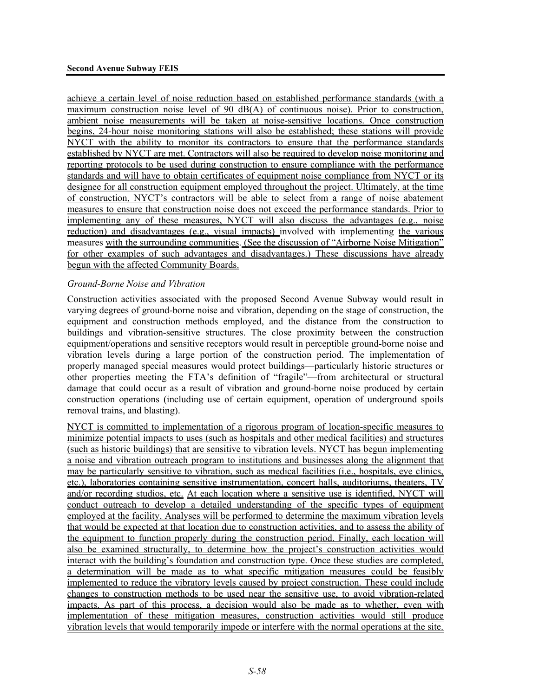achieve a certain level of noise reduction based on established performance standards (with a maximum construction noise level of 90 dB(A) of continuous noise). Prior to construction, ambient noise measurements will be taken at noise-sensitive locations. Once construction begins, 24-hour noise monitoring stations will also be established; these stations will provide NYCT with the ability to monitor its contractors to ensure that the performance standards established by NYCT are met. Contractors will also be required to develop noise monitoring and reporting protocols to be used during construction to ensure compliance with the performance standards and will have to obtain certificates of equipment noise compliance from NYCT or its designee for all construction equipment employed throughout the project. Ultimately, at the time of construction, NYCT's contractors will be able to select from a range of noise abatement measures to ensure that construction noise does not exceed the performance standards. Prior to implementing any of these measures, NYCT will also discuss the advantages (e.g., noise reduction) and disadvantages (e.g., visual impacts) involved with implementing the various measures with the surrounding communities. (See the discussion of "Airborne Noise Mitigation" for other examples of such advantages and disadvantages.) These discussions have already begun with the affected Community Boards.

#### *Ground-Borne Noise and Vibration*

Construction activities associated with the proposed Second Avenue Subway would result in varying degrees of ground-borne noise and vibration, depending on the stage of construction, the equipment and construction methods employed, and the distance from the construction to buildings and vibration-sensitive structures. The close proximity between the construction equipment/operations and sensitive receptors would result in perceptible ground-borne noise and vibration levels during a large portion of the construction period. The implementation of properly managed special measures would protect buildings—particularly historic structures or other properties meeting the FTA's definition of "fragile"—from architectural or structural damage that could occur as a result of vibration and ground-borne noise produced by certain construction operations (including use of certain equipment, operation of underground spoils removal trains, and blasting).

NYCT is committed to implementation of a rigorous program of location-specific measures to minimize potential impacts to uses (such as hospitals and other medical facilities) and structures (such as historic buildings) that are sensitive to vibration levels. NYCT has begun implementing a noise and vibration outreach program to institutions and businesses along the alignment that may be particularly sensitive to vibration, such as medical facilities (i.e., hospitals, eye clinics, etc.), laboratories containing sensitive instrumentation, concert halls, auditoriums, theaters, TV and/or recording studios, etc. At each location where a sensitive use is identified, NYCT will conduct outreach to develop a detailed understanding of the specific types of equipment employed at the facility. Analyses will be performed to determine the maximum vibration levels that would be expected at that location due to construction activities, and to assess the ability of the equipment to function properly during the construction period. Finally, each location will also be examined structurally, to determine how the project's construction activities would interact with the building's foundation and construction type. Once these studies are completed, a determination will be made as to what specific mitigation measures could be feasibly implemented to reduce the vibratory levels caused by project construction. These could include changes to construction methods to be used near the sensitive use, to avoid vibration-related impacts. As part of this process, a decision would also be made as to whether, even with implementation of these mitigation measures, construction activities would still produce vibration levels that would temporarily impede or interfere with the normal operations at the site.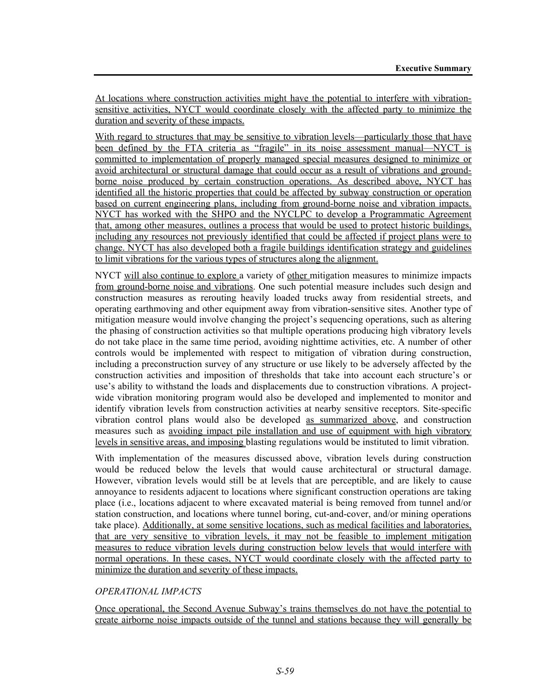At locations where construction activities might have the potential to interfere with vibrationsensitive activities, NYCT would coordinate closely with the affected party to minimize the duration and severity of these impacts.

With regard to structures that may be sensitive to vibration levels—particularly those that have been defined by the FTA criteria as "fragile" in its noise assessment manual—NYCT is committed to implementation of properly managed special measures designed to minimize or avoid architectural or structural damage that could occur as a result of vibrations and groundborne noise produced by certain construction operations. As described above, NYCT has identified all the historic properties that could be affected by subway construction or operation based on current engineering plans, including from ground-borne noise and vibration impacts. NYCT has worked with the SHPO and the NYCLPC to develop a Programmatic Agreement that, among other measures, outlines a process that would be used to protect historic buildings, including any resources not previously identified that could be affected if project plans were to change. NYCT has also developed both a fragile buildings identification strategy and guidelines to limit vibrations for the various types of structures along the alignment.

NYCT will also continue to explore a variety of other mitigation measures to minimize impacts from ground-borne noise and vibrations. One such potential measure includes such design and construction measures as rerouting heavily loaded trucks away from residential streets, and operating earthmoving and other equipment away from vibration-sensitive sites. Another type of mitigation measure would involve changing the project's sequencing operations, such as altering the phasing of construction activities so that multiple operations producing high vibratory levels do not take place in the same time period, avoiding nighttime activities, etc. A number of other controls would be implemented with respect to mitigation of vibration during construction, including a preconstruction survey of any structure or use likely to be adversely affected by the construction activities and imposition of thresholds that take into account each structure's or use's ability to withstand the loads and displacements due to construction vibrations. A projectwide vibration monitoring program would also be developed and implemented to monitor and identify vibration levels from construction activities at nearby sensitive receptors. Site-specific vibration control plans would also be developed as summarized above, and construction measures such as avoiding impact pile installation and use of equipment with high vibratory levels in sensitive areas, and imposing blasting regulations would be instituted to limit vibration.

With implementation of the measures discussed above, vibration levels during construction would be reduced below the levels that would cause architectural or structural damage. However, vibration levels would still be at levels that are perceptible, and are likely to cause annoyance to residents adjacent to locations where significant construction operations are taking place (i.e., locations adjacent to where excavated material is being removed from tunnel and/or station construction, and locations where tunnel boring, cut-and-cover, and/or mining operations take place). Additionally, at some sensitive locations, such as medical facilities and laboratories, that are very sensitive to vibration levels, it may not be feasible to implement mitigation measures to reduce vibration levels during construction below levels that would interfere with normal operations. In these cases, NYCT would coordinate closely with the affected party to minimize the duration and severity of these impacts.

# *OPERATIONAL IMPACTS*

Once operational, the Second Avenue Subway's trains themselves do not have the potential to create airborne noise impacts outside of the tunnel and stations because they will generally be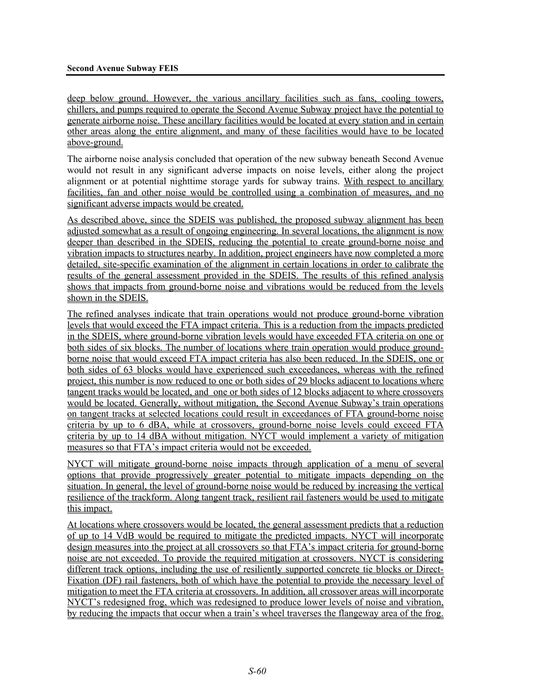deep below ground. However, the various ancillary facilities such as fans, cooling towers, chillers, and pumps required to operate the Second Avenue Subway project have the potential to generate airborne noise. These ancillary facilities would be located at every station and in certain other areas along the entire alignment, and many of these facilities would have to be located above-ground.

The airborne noise analysis concluded that operation of the new subway beneath Second Avenue would not result in any significant adverse impacts on noise levels, either along the project alignment or at potential nighttime storage yards for subway trains. With respect to ancillary facilities, fan and other noise would be controlled using a combination of measures, and no significant adverse impacts would be created.

As described above, since the SDEIS was published, the proposed subway alignment has been adjusted somewhat as a result of ongoing engineering. In several locations, the alignment is now deeper than described in the SDEIS, reducing the potential to create ground-borne noise and vibration impacts to structures nearby. In addition, project engineers have now completed a more detailed, site-specific examination of the alignment in certain locations in order to calibrate the results of the general assessment provided in the SDEIS. The results of this refined analysis shows that impacts from ground-borne noise and vibrations would be reduced from the levels shown in the SDEIS.

The refined analyses indicate that train operations would not produce ground-borne vibration levels that would exceed the FTA impact criteria. This is a reduction from the impacts predicted in the SDEIS, where ground-borne vibration levels would have exceeded FTA criteria on one or both sides of six blocks. The number of locations where train operation would produce groundborne noise that would exceed FTA impact criteria has also been reduced. In the SDEIS, one or both sides of 63 blocks would have experienced such exceedances, whereas with the refined project, this number is now reduced to one or both sides of 29 blocks adjacent to locations where tangent tracks would be located, and one or both sides of 12 blocks adjacent to where crossovers would be located. Generally, without mitigation, the Second Avenue Subway's train operations on tangent tracks at selected locations could result in exceedances of FTA ground-borne noise criteria by up to 6 dBA, while at crossovers, ground-borne noise levels could exceed FTA criteria by up to 14 dBA without mitigation. NYCT would implement a variety of mitigation measures so that FTA's impact criteria would not be exceeded.

NYCT will mitigate ground-borne noise impacts through application of a menu of several options that provide progressively greater potential to mitigate impacts depending on the situation. In general, the level of ground-borne noise would be reduced by increasing the vertical resilience of the trackform. Along tangent track, resilient rail fasteners would be used to mitigate this impact.

At locations where crossovers would be located, the general assessment predicts that a reduction of up to 14 VdB would be required to mitigate the predicted impacts. NYCT will incorporate design measures into the project at all crossovers so that FTA's impact criteria for ground-borne noise are not exceeded. To provide the required mitigation at crossovers. NYCT is considering different track options, including the use of resiliently supported concrete tie blocks or Direct-Fixation (DF) rail fasteners, both of which have the potential to provide the necessary level of mitigation to meet the FTA criteria at crossovers. In addition, all crossover areas will incorporate NYCT's redesigned frog, which was redesigned to produce lower levels of noise and vibration, by reducing the impacts that occur when a train's wheel traverses the flangeway area of the frog.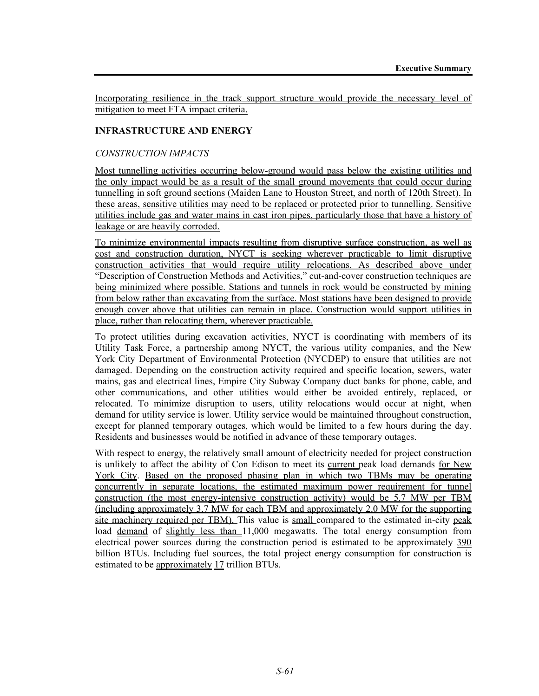Incorporating resilience in the track support structure would provide the necessary level of mitigation to meet FTA impact criteria.

### **INFRASTRUCTURE AND ENERGY**

#### *CONSTRUCTION IMPACTS*

Most tunnelling activities occurring below-ground would pass below the existing utilities and the only impact would be as a result of the small ground movements that could occur during tunnelling in soft ground sections (Maiden Lane to Houston Street, and north of 120th Street). In these areas, sensitive utilities may need to be replaced or protected prior to tunnelling. Sensitive utilities include gas and water mains in cast iron pipes, particularly those that have a history of leakage or are heavily corroded.

To minimize environmental impacts resulting from disruptive surface construction, as well as cost and construction duration, NYCT is seeking wherever practicable to limit disruptive construction activities that would require utility relocations. As described above under "Description of Construction Methods and Activities," cut-and-cover construction techniques are being minimized where possible. Stations and tunnels in rock would be constructed by mining from below rather than excavating from the surface. Most stations have been designed to provide enough cover above that utilities can remain in place. Construction would support utilities in place, rather than relocating them, wherever practicable.

To protect utilities during excavation activities, NYCT is coordinating with members of its Utility Task Force, a partnership among NYCT, the various utility companies, and the New York City Department of Environmental Protection (NYCDEP) to ensure that utilities are not damaged. Depending on the construction activity required and specific location, sewers, water mains, gas and electrical lines, Empire City Subway Company duct banks for phone, cable, and other communications, and other utilities would either be avoided entirely, replaced, or relocated. To minimize disruption to users, utility relocations would occur at night, when demand for utility service is lower. Utility service would be maintained throughout construction, except for planned temporary outages, which would be limited to a few hours during the day. Residents and businesses would be notified in advance of these temporary outages.

With respect to energy, the relatively small amount of electricity needed for project construction is unlikely to affect the ability of Con Edison to meet its current peak load demands for New York City. Based on the proposed phasing plan in which two TBMs may be operating concurrently in separate locations, the estimated maximum power requirement for tunnel construction (the most energy-intensive construction activity) would be 5.7 MW per TBM (including approximately 3.7 MW for each TBM and approximately 2.0 MW for the supporting site machinery required per TBM). This value is small compared to the estimated in-city peak load demand of slightly less than 11,000 megawatts. The total energy consumption from electrical power sources during the construction period is estimated to be approximately 390 billion BTUs. Including fuel sources, the total project energy consumption for construction is estimated to be approximately 17 trillion BTUs.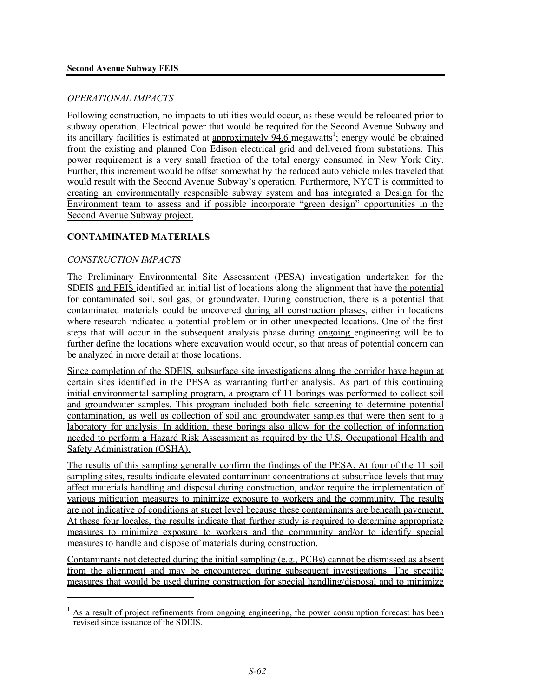# *OPERATIONAL IMPACTS*

Following construction, no impacts to utilities would occur, as these would be relocated prior to subway operation. Electrical power that would be required for the Second Avenue Subway and its ancillary facilities is estimated at approximately  $94.6$  megawatts<sup>1</sup>; energy would be obtained from the existing and planned Con Edison electrical grid and delivered from substations. This power requirement is a very small fraction of the total energy consumed in New York City. Further, this increment would be offset somewhat by the reduced auto vehicle miles traveled that would result with the Second Avenue Subway's operation. Furthermore, NYCT is committed to creating an environmentally responsible subway system and has integrated a Design for the Environment team to assess and if possible incorporate "green design" opportunities in the Second Avenue Subway project.

# **CONTAMINATED MATERIALS**

# *CONSTRUCTION IMPACTS*

<u>.</u>

The Preliminary Environmental Site Assessment (PESA) investigation undertaken for the SDEIS and FEIS identified an initial list of locations along the alignment that have the potential for contaminated soil, soil gas, or groundwater. During construction, there is a potential that contaminated materials could be uncovered during all construction phases, either in locations where research indicated a potential problem or in other unexpected locations. One of the first steps that will occur in the subsequent analysis phase during ongoing engineering will be to further define the locations where excavation would occur, so that areas of potential concern can be analyzed in more detail at those locations.

Since completion of the SDEIS, subsurface site investigations along the corridor have begun at certain sites identified in the PESA as warranting further analysis. As part of this continuing initial environmental sampling program, a program of 11 borings was performed to collect soil and groundwater samples. This program included both field screening to determine potential contamination, as well as collection of soil and groundwater samples that were then sent to a laboratory for analysis. In addition, these borings also allow for the collection of information needed to perform a Hazard Risk Assessment as required by the U.S. Occupational Health and Safety Administration (OSHA).

The results of this sampling generally confirm the findings of the PESA. At four of the 11 soil sampling sites, results indicate elevated contaminant concentrations at subsurface levels that may affect materials handling and disposal during construction, and/or require the implementation of various mitigation measures to minimize exposure to workers and the community. The results are not indicative of conditions at street level because these contaminants are beneath pavement. At these four locales, the results indicate that further study is required to determine appropriate measures to minimize exposure to workers and the community and/or to identify special measures to handle and dispose of materials during construction.

Contaminants not detected during the initial sampling (e.g., PCBs) cannot be dismissed as absent from the alignment and may be encountered during subsequent investigations. The specific measures that would be used during construction for special handling/disposal and to minimize

 $<sup>1</sup>$  As a result of project refinements from ongoing engineering, the power consumption forecast has been</sup> revised since issuance of the SDEIS.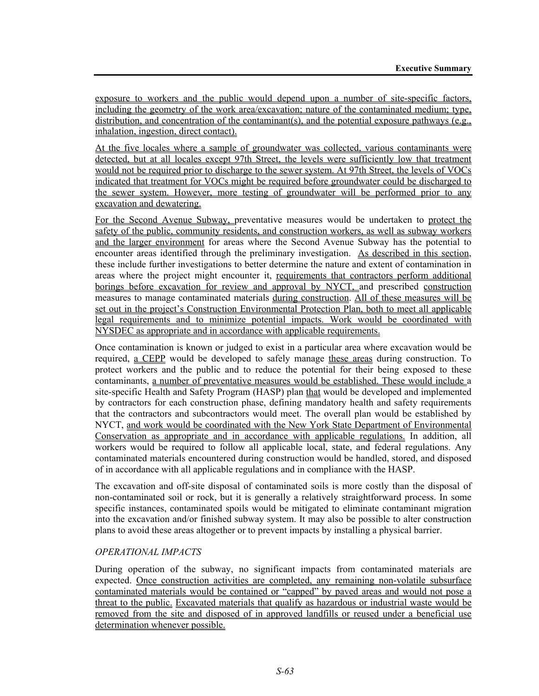exposure to workers and the public would depend upon a number of site-specific factors, including the geometry of the work area/excavation; nature of the contaminated medium; type, distribution, and concentration of the contaminant(s), and the potential exposure pathways (e.g., inhalation, ingestion, direct contact).

At the five locales where a sample of groundwater was collected, various contaminants were detected, but at all locales except 97th Street, the levels were sufficiently low that treatment would not be required prior to discharge to the sewer system. At 97th Street, the levels of VOCs indicated that treatment for VOCs might be required before groundwater could be discharged to the sewer system. However, more testing of groundwater will be performed prior to any excavation and dewatering.

For the Second Avenue Subway, preventative measures would be undertaken to protect the safety of the public, community residents, and construction workers, as well as subway workers and the larger environment for areas where the Second Avenue Subway has the potential to encounter areas identified through the preliminary investigation. As described in this section, these include further investigations to better determine the nature and extent of contamination in areas where the project might encounter it, requirements that contractors perform additional borings before excavation for review and approval by NYCT, and prescribed construction measures to manage contaminated materials during construction. All of these measures will be set out in the project's Construction Environmental Protection Plan, both to meet all applicable legal requirements and to minimize potential impacts. Work would be coordinated with NYSDEC as appropriate and in accordance with applicable requirements.

Once contamination is known or judged to exist in a particular area where excavation would be required, a CEPP would be developed to safely manage these areas during construction. To protect workers and the public and to reduce the potential for their being exposed to these contaminants, a number of preventative measures would be established. These would include a site-specific Health and Safety Program (HASP) plan that would be developed and implemented by contractors for each construction phase, defining mandatory health and safety requirements that the contractors and subcontractors would meet. The overall plan would be established by NYCT, and work would be coordinated with the New York State Department of Environmental Conservation as appropriate and in accordance with applicable regulations. In addition, all workers would be required to follow all applicable local, state, and federal regulations. Any contaminated materials encountered during construction would be handled, stored, and disposed of in accordance with all applicable regulations and in compliance with the HASP.

The excavation and off-site disposal of contaminated soils is more costly than the disposal of non-contaminated soil or rock, but it is generally a relatively straightforward process. In some specific instances, contaminated spoils would be mitigated to eliminate contaminant migration into the excavation and/or finished subway system. It may also be possible to alter construction plans to avoid these areas altogether or to prevent impacts by installing a physical barrier.

#### *OPERATIONAL IMPACTS*

During operation of the subway, no significant impacts from contaminated materials are expected. Once construction activities are completed, any remaining non-volatile subsurface contaminated materials would be contained or "capped" by paved areas and would not pose a threat to the public. Excavated materials that qualify as hazardous or industrial waste would be removed from the site and disposed of in approved landfills or reused under a beneficial use determination whenever possible.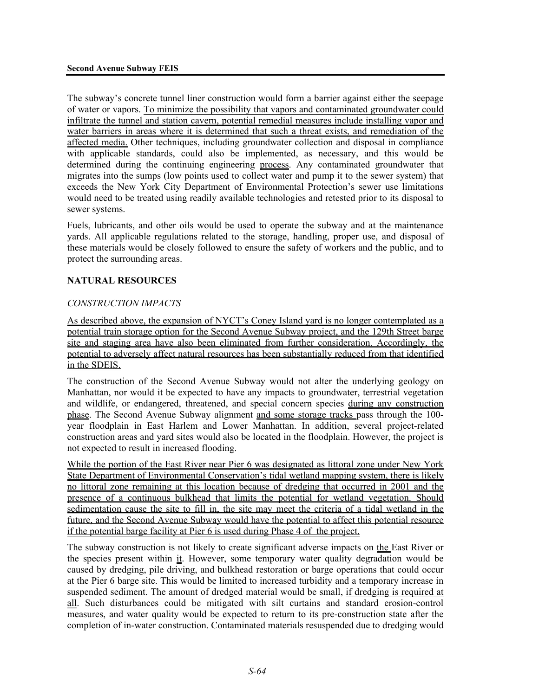The subway's concrete tunnel liner construction would form a barrier against either the seepage of water or vapors. To minimize the possibility that vapors and contaminated groundwater could infiltrate the tunnel and station cavern, potential remedial measures include installing vapor and water barriers in areas where it is determined that such a threat exists, and remediation of the affected media. Other techniques, including groundwater collection and disposal in compliance with applicable standards, could also be implemented, as necessary, and this would be determined during the continuing engineering process. Any contaminated groundwater that migrates into the sumps (low points used to collect water and pump it to the sewer system) that exceeds the New York City Department of Environmental Protection's sewer use limitations would need to be treated using readily available technologies and retested prior to its disposal to sewer systems.

Fuels, lubricants, and other oils would be used to operate the subway and at the maintenance yards. All applicable regulations related to the storage, handling, proper use, and disposal of these materials would be closely followed to ensure the safety of workers and the public, and to protect the surrounding areas.

# **NATURAL RESOURCES**

# *CONSTRUCTION IMPACTS*

As described above, the expansion of NYCT's Coney Island yard is no longer contemplated as a potential train storage option for the Second Avenue Subway project, and the 129th Street barge site and staging area have also been eliminated from further consideration. Accordingly, the potential to adversely affect natural resources has been substantially reduced from that identified in the SDEIS.

The construction of the Second Avenue Subway would not alter the underlying geology on Manhattan, nor would it be expected to have any impacts to groundwater, terrestrial vegetation and wildlife, or endangered, threatened, and special concern species during any construction phase. The Second Avenue Subway alignment and some storage tracks pass through the 100 year floodplain in East Harlem and Lower Manhattan. In addition, several project-related construction areas and yard sites would also be located in the floodplain. However, the project is not expected to result in increased flooding.

While the portion of the East River near Pier 6 was designated as littoral zone under New York State Department of Environmental Conservation's tidal wetland mapping system, there is likely no littoral zone remaining at this location because of dredging that occurred in 2001 and the presence of a continuous bulkhead that limits the potential for wetland vegetation. Should sedimentation cause the site to fill in, the site may meet the criteria of a tidal wetland in the future, and the Second Avenue Subway would have the potential to affect this potential resource if the potential barge facility at Pier 6 is used during Phase 4 of the project.

The subway construction is not likely to create significant adverse impacts on the East River or the species present within it. However, some temporary water quality degradation would be caused by dredging, pile driving, and bulkhead restoration or barge operations that could occur at the Pier 6 barge site. This would be limited to increased turbidity and a temporary increase in suspended sediment. The amount of dredged material would be small, if dredging is required at all. Such disturbances could be mitigated with silt curtains and standard erosion-control measures, and water quality would be expected to return to its pre-construction state after the completion of in-water construction. Contaminated materials resuspended due to dredging would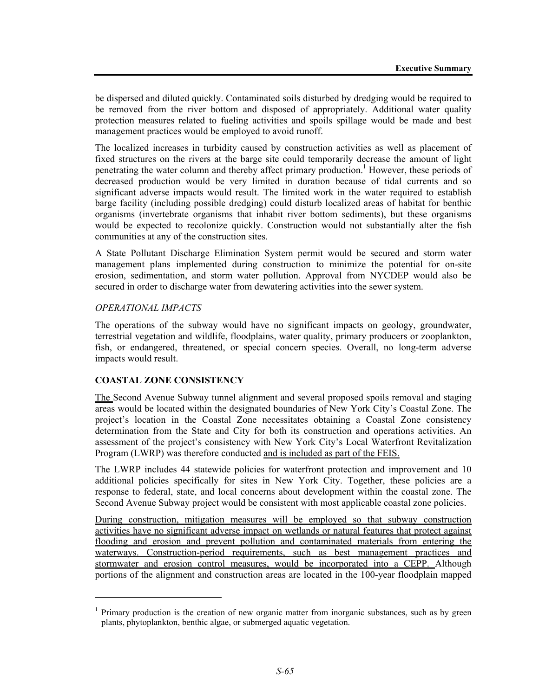be dispersed and diluted quickly. Contaminated soils disturbed by dredging would be required to be removed from the river bottom and disposed of appropriately. Additional water quality protection measures related to fueling activities and spoils spillage would be made and best management practices would be employed to avoid runoff.

The localized increases in turbidity caused by construction activities as well as placement of fixed structures on the rivers at the barge site could temporarily decrease the amount of light penetrating the water column and thereby affect primary production.<sup>1</sup> However, these periods of decreased production would be very limited in duration because of tidal currents and so significant adverse impacts would result. The limited work in the water required to establish barge facility (including possible dredging) could disturb localized areas of habitat for benthic organisms (invertebrate organisms that inhabit river bottom sediments), but these organisms would be expected to recolonize quickly. Construction would not substantially alter the fish communities at any of the construction sites.

A State Pollutant Discharge Elimination System permit would be secured and storm water management plans implemented during construction to minimize the potential for on-site erosion, sedimentation, and storm water pollution. Approval from NYCDEP would also be secured in order to discharge water from dewatering activities into the sewer system.

#### *OPERATIONAL IMPACTS*

1

The operations of the subway would have no significant impacts on geology, groundwater, terrestrial vegetation and wildlife, floodplains, water quality, primary producers or zooplankton, fish, or endangered, threatened, or special concern species. Overall, no long-term adverse impacts would result.

#### **COASTAL ZONE CONSISTENCY**

The Second Avenue Subway tunnel alignment and several proposed spoils removal and staging areas would be located within the designated boundaries of New York City's Coastal Zone. The project's location in the Coastal Zone necessitates obtaining a Coastal Zone consistency determination from the State and City for both its construction and operations activities. An assessment of the project's consistency with New York City's Local Waterfront Revitalization Program (LWRP) was therefore conducted and is included as part of the FEIS.

The LWRP includes 44 statewide policies for waterfront protection and improvement and 10 additional policies specifically for sites in New York City. Together, these policies are a response to federal, state, and local concerns about development within the coastal zone. The Second Avenue Subway project would be consistent with most applicable coastal zone policies.

During construction, mitigation measures will be employed so that subway construction activities have no significant adverse impact on wetlands or natural features that protect against flooding and erosion and prevent pollution and contaminated materials from entering the waterways. Construction-period requirements, such as best management practices and stormwater and erosion control measures, would be incorporated into a CEPP. Although portions of the alignment and construction areas are located in the 100-year floodplain mapped

<sup>&</sup>lt;sup>1</sup> Primary production is the creation of new organic matter from inorganic substances, such as by green plants, phytoplankton, benthic algae, or submerged aquatic vegetation.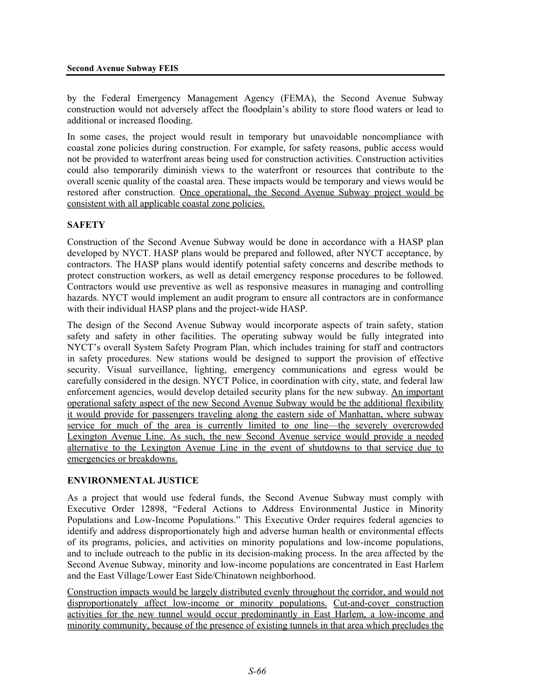by the Federal Emergency Management Agency (FEMA), the Second Avenue Subway construction would not adversely affect the floodplain's ability to store flood waters or lead to additional or increased flooding.

In some cases, the project would result in temporary but unavoidable noncompliance with coastal zone policies during construction. For example, for safety reasons, public access would not be provided to waterfront areas being used for construction activities. Construction activities could also temporarily diminish views to the waterfront or resources that contribute to the overall scenic quality of the coastal area. These impacts would be temporary and views would be restored after construction. Once operational, the Second Avenue Subway project would be consistent with all applicable coastal zone policies.

# **SAFETY**

Construction of the Second Avenue Subway would be done in accordance with a HASP plan developed by NYCT. HASP plans would be prepared and followed, after NYCT acceptance, by contractors. The HASP plans would identify potential safety concerns and describe methods to protect construction workers, as well as detail emergency response procedures to be followed. Contractors would use preventive as well as responsive measures in managing and controlling hazards. NYCT would implement an audit program to ensure all contractors are in conformance with their individual HASP plans and the project-wide HASP.

The design of the Second Avenue Subway would incorporate aspects of train safety, station safety and safety in other facilities. The operating subway would be fully integrated into NYCT's overall System Safety Program Plan, which includes training for staff and contractors in safety procedures. New stations would be designed to support the provision of effective security. Visual surveillance, lighting, emergency communications and egress would be carefully considered in the design. NYCT Police, in coordination with city, state, and federal law enforcement agencies, would develop detailed security plans for the new subway. An important operational safety aspect of the new Second Avenue Subway would be the additional flexibility it would provide for passengers traveling along the eastern side of Manhattan, where subway service for much of the area is currently limited to one line—the severely overcrowded Lexington Avenue Line. As such, the new Second Avenue service would provide a needed alternative to the Lexington Avenue Line in the event of shutdowns to that service due to emergencies or breakdowns.

# **ENVIRONMENTAL JUSTICE**

As a project that would use federal funds, the Second Avenue Subway must comply with Executive Order 12898, "Federal Actions to Address Environmental Justice in Minority Populations and Low-Income Populations." This Executive Order requires federal agencies to identify and address disproportionately high and adverse human health or environmental effects of its programs, policies, and activities on minority populations and low-income populations, and to include outreach to the public in its decision-making process. In the area affected by the Second Avenue Subway, minority and low-income populations are concentrated in East Harlem and the East Village/Lower East Side/Chinatown neighborhood.

Construction impacts would be largely distributed evenly throughout the corridor, and would not disproportionately affect low-income or minority populations. Cut-and-cover construction activities for the new tunnel would occur predominantly in East Harlem, a low-income and minority community, because of the presence of existing tunnels in that area which precludes the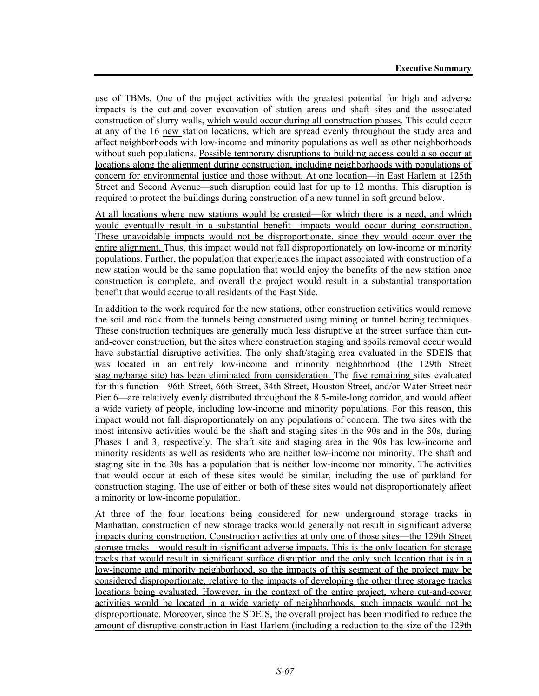use of TBMs. One of the project activities with the greatest potential for high and adverse impacts is the cut-and-cover excavation of station areas and shaft sites and the associated construction of slurry walls, which would occur during all construction phases. This could occur at any of the 16 new station locations, which are spread evenly throughout the study area and affect neighborhoods with low-income and minority populations as well as other neighborhoods without such populations. Possible temporary disruptions to building access could also occur at locations along the alignment during construction, including neighborhoods with populations of concern for environmental justice and those without. At one location—in East Harlem at 125th Street and Second Avenue—such disruption could last for up to 12 months. This disruption is required to protect the buildings during construction of a new tunnel in soft ground below.

At all locations where new stations would be created—for which there is a need, and which would eventually result in a substantial benefit—impacts would occur during construction. These unavoidable impacts would not be disproportionate, since they would occur over the entire alignment. Thus, this impact would not fall disproportionately on low-income or minority populations. Further, the population that experiences the impact associated with construction of a new station would be the same population that would enjoy the benefits of the new station once construction is complete, and overall the project would result in a substantial transportation benefit that would accrue to all residents of the East Side.

In addition to the work required for the new stations, other construction activities would remove the soil and rock from the tunnels being constructed using mining or tunnel boring techniques. These construction techniques are generally much less disruptive at the street surface than cutand-cover construction, but the sites where construction staging and spoils removal occur would have substantial disruptive activities. The only shaft/staging area evaluated in the SDEIS that was located in an entirely low-income and minority neighborhood (the 129th Street staging/barge site) has been eliminated from consideration. The five remaining sites evaluated for this function—96th Street, 66th Street, 34th Street, Houston Street, and/or Water Street near Pier 6—are relatively evenly distributed throughout the 8.5-mile-long corridor, and would affect a wide variety of people, including low-income and minority populations. For this reason, this impact would not fall disproportionately on any populations of concern. The two sites with the most intensive activities would be the shaft and staging sites in the 90s and in the 30s, during Phases 1 and 3, respectively. The shaft site and staging area in the 90s has low-income and minority residents as well as residents who are neither low-income nor minority. The shaft and staging site in the 30s has a population that is neither low-income nor minority. The activities that would occur at each of these sites would be similar, including the use of parkland for construction staging. The use of either or both of these sites would not disproportionately affect a minority or low-income population.

At three of the four locations being considered for new underground storage tracks in Manhattan, construction of new storage tracks would generally not result in significant adverse impacts during construction. Construction activities at only one of those sites—the 129th Street storage tracks—would result in significant adverse impacts. This is the only location for storage tracks that would result in significant surface disruption and the only such location that is in a low-income and minority neighborhood, so the impacts of this segment of the project may be considered disproportionate, relative to the impacts of developing the other three storage tracks locations being evaluated. However, in the context of the entire project, where cut-and-cover activities would be located in a wide variety of neighborhoods, such impacts would not be disproportionate. Moreover, since the SDEIS, the overall project has been modified to reduce the amount of disruptive construction in East Harlem (including a reduction to the size of the 129th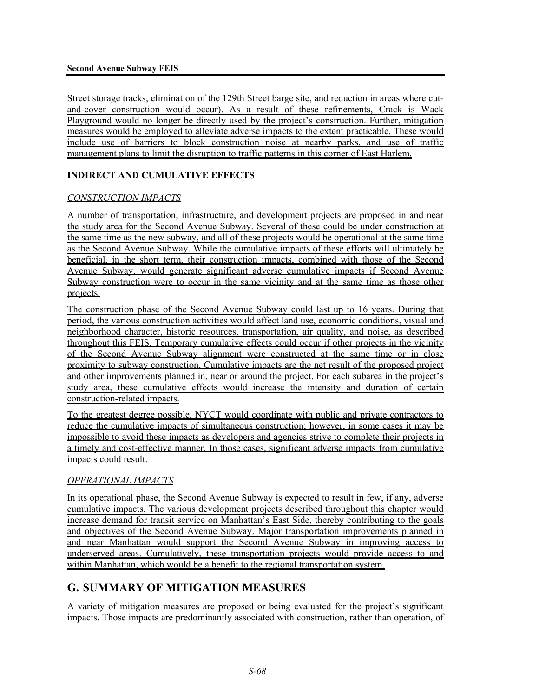Street storage tracks, elimination of the 129th Street barge site, and reduction in areas where cutand-cover construction would occur). As a result of these refinements, Crack is Wack Playground would no longer be directly used by the project's construction. Further, mitigation measures would be employed to alleviate adverse impacts to the extent practicable. These would include use of barriers to block construction noise at nearby parks, and use of traffic management plans to limit the disruption to traffic patterns in this corner of East Harlem.

# **INDIRECT AND CUMULATIVE EFFECTS**

# *CONSTRUCTION IMPACTS*

A number of transportation, infrastructure, and development projects are proposed in and near the study area for the Second Avenue Subway. Several of these could be under construction at the same time as the new subway, and all of these projects would be operational at the same time as the Second Avenue Subway. While the cumulative impacts of these efforts will ultimately be beneficial, in the short term, their construction impacts, combined with those of the Second Avenue Subway, would generate significant adverse cumulative impacts if Second Avenue Subway construction were to occur in the same vicinity and at the same time as those other projects.

The construction phase of the Second Avenue Subway could last up to 16 years. During that period, the various construction activities would affect land use, economic conditions, visual and neighborhood character, historic resources, transportation, air quality, and noise, as described throughout this FEIS. Temporary cumulative effects could occur if other projects in the vicinity of the Second Avenue Subway alignment were constructed at the same time or in close proximity to subway construction. Cumulative impacts are the net result of the proposed project and other improvements planned in, near or around the project. For each subarea in the project's study area, these cumulative effects would increase the intensity and duration of certain construction-related impacts.

To the greatest degree possible, NYCT would coordinate with public and private contractors to reduce the cumulative impacts of simultaneous construction; however, in some cases it may be impossible to avoid these impacts as developers and agencies strive to complete their projects in a timely and cost-effective manner. In those cases, significant adverse impacts from cumulative impacts could result.

# *OPERATIONAL IMPACTS*

In its operational phase, the Second Avenue Subway is expected to result in few, if any, adverse cumulative impacts. The various development projects described throughout this chapter would increase demand for transit service on Manhattan's East Side, thereby contributing to the goals and objectives of the Second Avenue Subway. Major transportation improvements planned in and near Manhattan would support the Second Avenue Subway in improving access to underserved areas. Cumulatively, these transportation projects would provide access to and within Manhattan, which would be a benefit to the regional transportation system.

# **G. SUMMARY OF MITIGATION MEASURES**

A variety of mitigation measures are proposed or being evaluated for the project's significant impacts. Those impacts are predominantly associated with construction, rather than operation, of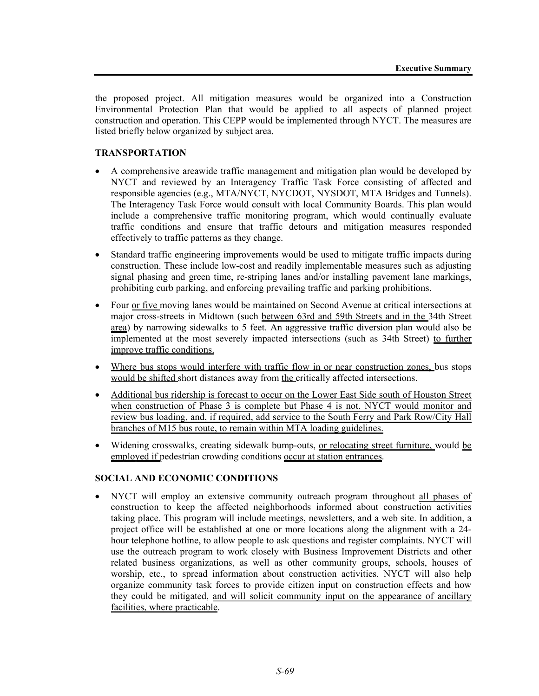the proposed project. All mitigation measures would be organized into a Construction Environmental Protection Plan that would be applied to all aspects of planned project construction and operation. This CEPP would be implemented through NYCT. The measures are listed briefly below organized by subject area.

# **TRANSPORTATION**

- A comprehensive areawide traffic management and mitigation plan would be developed by NYCT and reviewed by an Interagency Traffic Task Force consisting of affected and responsible agencies (e.g., MTA/NYCT, NYCDOT, NYSDOT, MTA Bridges and Tunnels). The Interagency Task Force would consult with local Community Boards. This plan would include a comprehensive traffic monitoring program, which would continually evaluate traffic conditions and ensure that traffic detours and mitigation measures responded effectively to traffic patterns as they change.
- Standard traffic engineering improvements would be used to mitigate traffic impacts during construction. These include low-cost and readily implementable measures such as adjusting signal phasing and green time, re-striping lanes and/or installing pavement lane markings, prohibiting curb parking, and enforcing prevailing traffic and parking prohibitions.
- Four or five moving lanes would be maintained on Second Avenue at critical intersections at major cross-streets in Midtown (such between 63rd and 59th Streets and in the 34th Street area) by narrowing sidewalks to 5 feet. An aggressive traffic diversion plan would also be implemented at the most severely impacted intersections (such as 34th Street) to further improve traffic conditions.
- Where bus stops would interfere with traffic flow in or near construction zones, bus stops would be shifted short distances away from the critically affected intersections.
- Additional bus ridership is forecast to occur on the Lower East Side south of Houston Street when construction of Phase 3 is complete but Phase 4 is not. NYCT would monitor and review bus loading, and, if required, add service to the South Ferry and Park Row/City Hall branches of M15 bus route, to remain within MTA loading guidelines.
- Widening crosswalks, creating sidewalk bump-outs, or relocating street furniture, would be employed if pedestrian crowding conditions occur at station entrances.

#### **SOCIAL AND ECONOMIC CONDITIONS**

• NYCT will employ an extensive community outreach program throughout all phases of construction to keep the affected neighborhoods informed about construction activities taking place. This program will include meetings, newsletters, and a web site. In addition, a project office will be established at one or more locations along the alignment with a 24 hour telephone hotline, to allow people to ask questions and register complaints. NYCT will use the outreach program to work closely with Business Improvement Districts and other related business organizations, as well as other community groups, schools, houses of worship, etc., to spread information about construction activities. NYCT will also help organize community task forces to provide citizen input on construction effects and how they could be mitigated, and will solicit community input on the appearance of ancillary facilities, where practicable.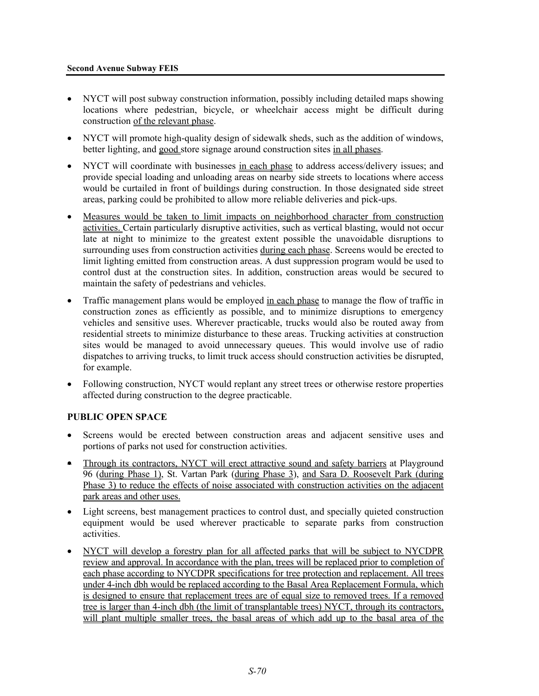#### **Second Avenue Subway FEIS**

- NYCT will post subway construction information, possibly including detailed maps showing locations where pedestrian, bicycle, or wheelchair access might be difficult during construction of the relevant phase.
- NYCT will promote high-quality design of sidewalk sheds, such as the addition of windows, better lighting, and good store signage around construction sites in all phases.
- NYCT will coordinate with businesses in each phase to address access/delivery issues; and provide special loading and unloading areas on nearby side streets to locations where access would be curtailed in front of buildings during construction. In those designated side street areas, parking could be prohibited to allow more reliable deliveries and pick-ups.
- Measures would be taken to limit impacts on neighborhood character from construction activities. Certain particularly disruptive activities, such as vertical blasting, would not occur late at night to minimize to the greatest extent possible the unavoidable disruptions to surrounding uses from construction activities during each phase. Screens would be erected to limit lighting emitted from construction areas. A dust suppression program would be used to control dust at the construction sites. In addition, construction areas would be secured to maintain the safety of pedestrians and vehicles.
- Traffic management plans would be employed in each phase to manage the flow of traffic in construction zones as efficiently as possible, and to minimize disruptions to emergency vehicles and sensitive uses. Wherever practicable, trucks would also be routed away from residential streets to minimize disturbance to these areas. Trucking activities at construction sites would be managed to avoid unnecessary queues. This would involve use of radio dispatches to arriving trucks, to limit truck access should construction activities be disrupted, for example.
- Following construction, NYCT would replant any street trees or otherwise restore properties affected during construction to the degree practicable.

#### **PUBLIC OPEN SPACE**

- Screens would be erected between construction areas and adjacent sensitive uses and portions of parks not used for construction activities.
- Through its contractors, NYCT will erect attractive sound and safety barriers at Playground 96 (during Phase 1), St. Vartan Park (during Phase 3), and Sara D. Roosevelt Park (during Phase 3) to reduce the effects of noise associated with construction activities on the adjacent park areas and other uses.
- Light screens, best management practices to control dust, and specially quieted construction equipment would be used wherever practicable to separate parks from construction activities.
- NYCT will develop a forestry plan for all affected parks that will be subject to NYCDPR review and approval. In accordance with the plan, trees will be replaced prior to completion of each phase according to NYCDPR specifications for tree protection and replacement. All trees under 4-inch dbh would be replaced according to the Basal Area Replacement Formula, which is designed to ensure that replacement trees are of equal size to removed trees. If a removed tree is larger than 4-inch dbh (the limit of transplantable trees) NYCT, through its contractors, will plant multiple smaller trees, the basal areas of which add up to the basal area of the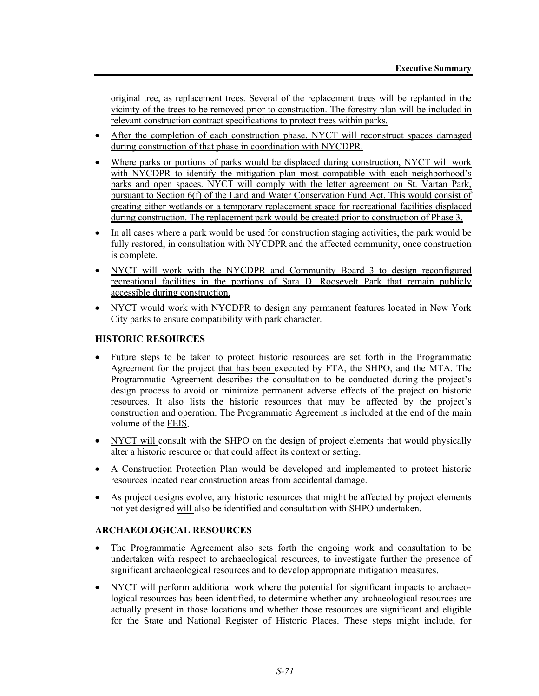original tree, as replacement trees. Several of the replacement trees will be replanted in the vicinity of the trees to be removed prior to construction. The forestry plan will be included in relevant construction contract specifications to protect trees within parks.

- After the completion of each construction phase, NYCT will reconstruct spaces damaged during construction of that phase in coordination with NYCDPR.
- Where parks or portions of parks would be displaced during construction, NYCT will work with NYCDPR to identify the mitigation plan most compatible with each neighborhood's parks and open spaces. NYCT will comply with the letter agreement on St. Vartan Park, pursuant to Section 6(f) of the Land and Water Conservation Fund Act. This would consist of creating either wetlands or a temporary replacement space for recreational facilities displaced during construction. The replacement park would be created prior to construction of Phase 3.
- In all cases where a park would be used for construction staging activities, the park would be fully restored, in consultation with NYCDPR and the affected community, once construction is complete.
- NYCT will work with the NYCDPR and Community Board 3 to design reconfigured recreational facilities in the portions of Sara D. Roosevelt Park that remain publicly accessible during construction.
- NYCT would work with NYCDPR to design any permanent features located in New York City parks to ensure compatibility with park character.

### **HISTORIC RESOURCES**

- Future steps to be taken to protect historic resources are set forth in the Programmatic Agreement for the project that has been executed by FTA, the SHPO, and the MTA. The Programmatic Agreement describes the consultation to be conducted during the project's design process to avoid or minimize permanent adverse effects of the project on historic resources. It also lists the historic resources that may be affected by the project's construction and operation. The Programmatic Agreement is included at the end of the main volume of the FEIS.
- NYCT will consult with the SHPO on the design of project elements that would physically alter a historic resource or that could affect its context or setting.
- A Construction Protection Plan would be developed and implemented to protect historic resources located near construction areas from accidental damage.
- As project designs evolve, any historic resources that might be affected by project elements not yet designed will also be identified and consultation with SHPO undertaken.

#### **ARCHAEOLOGICAL RESOURCES**

- The Programmatic Agreement also sets forth the ongoing work and consultation to be undertaken with respect to archaeological resources, to investigate further the presence of significant archaeological resources and to develop appropriate mitigation measures.
- NYCT will perform additional work where the potential for significant impacts to archaeological resources has been identified, to determine whether any archaeological resources are actually present in those locations and whether those resources are significant and eligible for the State and National Register of Historic Places. These steps might include, for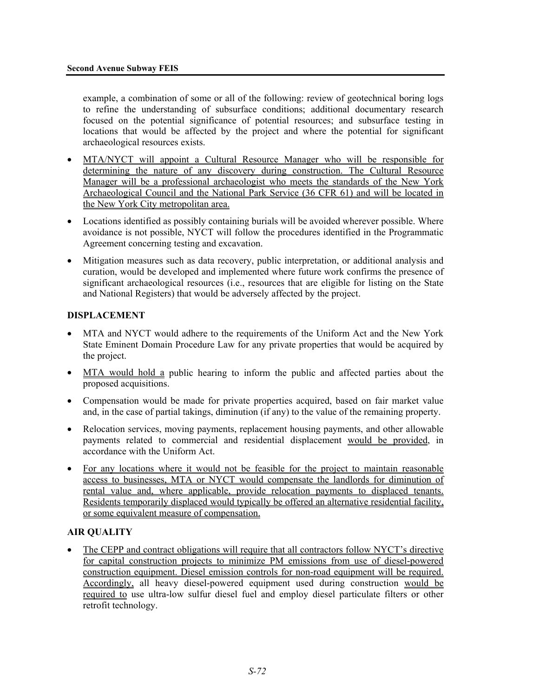example, a combination of some or all of the following: review of geotechnical boring logs to refine the understanding of subsurface conditions; additional documentary research focused on the potential significance of potential resources; and subsurface testing in locations that would be affected by the project and where the potential for significant archaeological resources exists.

- MTA/NYCT will appoint a Cultural Resource Manager who will be responsible for determining the nature of any discovery during construction. The Cultural Resource Manager will be a professional archaeologist who meets the standards of the New York Archaeological Council and the National Park Service (36 CFR 61) and will be located in the New York City metropolitan area.
- Locations identified as possibly containing burials will be avoided wherever possible. Where avoidance is not possible, NYCT will follow the procedures identified in the Programmatic Agreement concerning testing and excavation.
- Mitigation measures such as data recovery, public interpretation, or additional analysis and curation, would be developed and implemented where future work confirms the presence of significant archaeological resources (i.e., resources that are eligible for listing on the State and National Registers) that would be adversely affected by the project.

#### **DISPLACEMENT**

- MTA and NYCT would adhere to the requirements of the Uniform Act and the New York State Eminent Domain Procedure Law for any private properties that would be acquired by the project.
- MTA would hold a public hearing to inform the public and affected parties about the proposed acquisitions.
- Compensation would be made for private properties acquired, based on fair market value and, in the case of partial takings, diminution (if any) to the value of the remaining property.
- Relocation services, moving payments, replacement housing payments, and other allowable payments related to commercial and residential displacement would be provided, in accordance with the Uniform Act.
- For any locations where it would not be feasible for the project to maintain reasonable access to businesses, MTA or NYCT would compensate the landlords for diminution of rental value and, where applicable, provide relocation payments to displaced tenants. Residents temporarily displaced would typically be offered an alternative residential facility, or some equivalent measure of compensation.

#### **AIR QUALITY**

• The CEPP and contract obligations will require that all contractors follow NYCT's directive for capital construction projects to minimize PM emissions from use of diesel-powered construction equipment. Diesel emission controls for non-road equipment will be required. Accordingly, all heavy diesel-powered equipment used during construction would be required to use ultra-low sulfur diesel fuel and employ diesel particulate filters or other retrofit technology.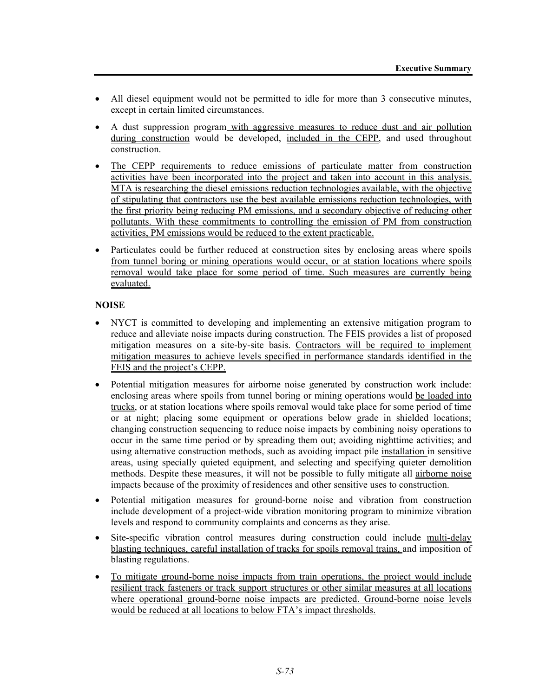- All diesel equipment would not be permitted to idle for more than 3 consecutive minutes, except in certain limited circumstances.
- A dust suppression program with aggressive measures to reduce dust and air pollution during construction would be developed, included in the CEPP, and used throughout construction.
- The CEPP requirements to reduce emissions of particulate matter from construction activities have been incorporated into the project and taken into account in this analysis. MTA is researching the diesel emissions reduction technologies available, with the objective of stipulating that contractors use the best available emissions reduction technologies, with the first priority being reducing PM emissions, and a secondary objective of reducing other pollutants. With these commitments to controlling the emission of PM from construction activities, PM emissions would be reduced to the extent practicable.
- Particulates could be further reduced at construction sites by enclosing areas where spoils from tunnel boring or mining operations would occur, or at station locations where spoils removal would take place for some period of time. Such measures are currently being evaluated.

## **NOISE**

- NYCT is committed to developing and implementing an extensive mitigation program to reduce and alleviate noise impacts during construction. The FEIS provides a list of proposed mitigation measures on a site-by-site basis. Contractors will be required to implement mitigation measures to achieve levels specified in performance standards identified in the FEIS and the project's CEPP.
- Potential mitigation measures for airborne noise generated by construction work include: enclosing areas where spoils from tunnel boring or mining operations would be loaded into trucks, or at station locations where spoils removal would take place for some period of time or at night; placing some equipment or operations below grade in shielded locations; changing construction sequencing to reduce noise impacts by combining noisy operations to occur in the same time period or by spreading them out; avoiding nighttime activities; and using alternative construction methods, such as avoiding impact pile installation in sensitive areas, using specially quieted equipment, and selecting and specifying quieter demolition methods. Despite these measures, it will not be possible to fully mitigate all airborne noise impacts because of the proximity of residences and other sensitive uses to construction.
- Potential mitigation measures for ground-borne noise and vibration from construction include development of a project-wide vibration monitoring program to minimize vibration levels and respond to community complaints and concerns as they arise.
- Site-specific vibration control measures during construction could include multi-delay blasting techniques, careful installation of tracks for spoils removal trains, and imposition of blasting regulations.
- To mitigate ground-borne noise impacts from train operations, the project would include resilient track fasteners or track support structures or other similar measures at all locations where operational ground-borne noise impacts are predicted. Ground-borne noise levels would be reduced at all locations to below FTA's impact thresholds.